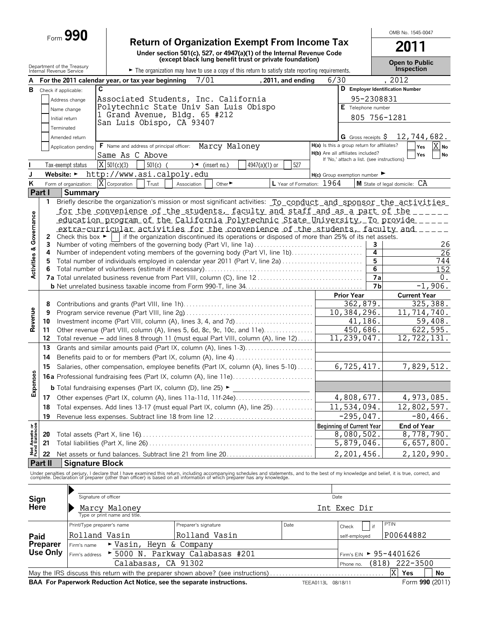# Form **990 Return of Organization Exempt From Income Tax**

**Under section 501(c), 527, or 4947(a)(1) of the Internal Revenue Code (except black lung benefit trust or private foundation)**

**2011 Open to Public**

OMB No. 1545-0047

|                                | Department of the Treasury<br>Internal Revenue Service              |                                                                                                                                                        |                                                   |                     | The organization may have to use a copy of this return to satisfy state reporting requirements. |               |                    |                                             |                      | Open to Public<br>Inspection                                                                                                                                                                                                      |
|--------------------------------|---------------------------------------------------------------------|--------------------------------------------------------------------------------------------------------------------------------------------------------|---------------------------------------------------|---------------------|-------------------------------------------------------------------------------------------------|---------------|--------------------|---------------------------------------------|----------------------|-----------------------------------------------------------------------------------------------------------------------------------------------------------------------------------------------------------------------------------|
|                                |                                                                     |                                                                                                                                                        | For the 2011 calendar year, or tax year beginning |                     | 7/01                                                                                            |               | , 2011, and ending | 6/30                                        |                      | , 2012                                                                                                                                                                                                                            |
|                                | <b>B</b> Check if applicable:                                       | C                                                                                                                                                      |                                                   |                     |                                                                                                 |               |                    |                                             |                      | D Employer Identification Number                                                                                                                                                                                                  |
|                                |                                                                     | Address change                                                                                                                                         |                                                   |                     | Associated Students, Inc. California                                                            |               |                    |                                             | 95-2308831           |                                                                                                                                                                                                                                   |
|                                | Name change                                                         |                                                                                                                                                        |                                                   |                     | Polytechnic State Univ San Luis Obispo                                                          |               |                    |                                             | $E$ Telephone number |                                                                                                                                                                                                                                   |
|                                | Initial return                                                      |                                                                                                                                                        |                                                   |                     | 1 Grand Avenue, Bldg. 65 #212                                                                   |               |                    |                                             | 805 756-1281         |                                                                                                                                                                                                                                   |
|                                | Terminated                                                          |                                                                                                                                                        |                                                   |                     | San Luis Obispo, CA 93407                                                                       |               |                    |                                             |                      |                                                                                                                                                                                                                                   |
|                                |                                                                     | Amended return                                                                                                                                         |                                                   |                     |                                                                                                 |               |                    |                                             |                      | <b>G</b> Gross receipts $\frac{5}{7}$ 12, 744, 682.                                                                                                                                                                               |
|                                |                                                                     | Application pending                                                                                                                                    | F Name and address of principal officer:          |                     | Marcy Maloney                                                                                   |               |                    | H(a) Is this a group return for affiliates? |                      | X No<br>Yes                                                                                                                                                                                                                       |
|                                |                                                                     |                                                                                                                                                        | Same As C Above                                   |                     |                                                                                                 |               |                    | H(b) Are all affiliates included?           |                      | No<br>Yes                                                                                                                                                                                                                         |
|                                | Tax-exempt status                                                   |                                                                                                                                                        | $X$ 501(c)(3)                                     | $501(c)$ (          | $\rightarrow$ (insert no.)                                                                      | 4947(a)(1) or | 527                | If 'No,' attach a list. (see instructions)  |                      |                                                                                                                                                                                                                                   |
| J                              |                                                                     |                                                                                                                                                        | Website: > http://www.asi.calpoly.edu             |                     |                                                                                                 |               |                    | $H(c)$ Group exemption number               |                      |                                                                                                                                                                                                                                   |
| ĸ                              |                                                                     | Form of organization:                                                                                                                                  | $\overline{X}$ Corporation                        | Trust               | Other <sup>&gt;</sup><br>Association                                                            |               |                    | L Year of Formation: 1964                   |                      | M State of legal domicile: CA                                                                                                                                                                                                     |
|                                | Part I                                                              | <b>Summary</b>                                                                                                                                         |                                                   |                     |                                                                                                 |               |                    |                                             |                      |                                                                                                                                                                                                                                   |
|                                | 1.                                                                  |                                                                                                                                                        |                                                   |                     |                                                                                                 |               |                    |                                             |                      | Briefly describe the organization's mission or most significant activities: To conduct and sponsor the activities                                                                                                                 |
|                                |                                                                     |                                                                                                                                                        |                                                   |                     |                                                                                                 |               |                    |                                             |                      | for the convenience of the students, faculty and staff and as a part of the                                                                                                                                                       |
|                                |                                                                     |                                                                                                                                                        |                                                   |                     |                                                                                                 |               |                    |                                             |                      | education program of the California Polytechnic State University To provide                                                                                                                                                       |
| Governance                     |                                                                     |                                                                                                                                                        |                                                   |                     |                                                                                                 |               |                    |                                             |                      | extra-curricular activities for the convenience of the students, faculty and _____                                                                                                                                                |
|                                | 2                                                                   | Check this box $\blacktriangleright$                                                                                                                   |                                                   |                     | if the organization discontinued its operations or disposed of more than 25% of its net assets. |               |                    |                                             |                      |                                                                                                                                                                                                                                   |
|                                | 3                                                                   |                                                                                                                                                        |                                                   |                     | Number of voting members of the governing body (Part VI, line 1a)                               |               |                    |                                             | з                    | 26                                                                                                                                                                                                                                |
|                                | 4                                                                   |                                                                                                                                                        |                                                   |                     | Number of independent voting members of the governing body (Part VI, line 1b)                   |               |                    |                                             | 4                    | 26                                                                                                                                                                                                                                |
|                                | 5                                                                   |                                                                                                                                                        |                                                   |                     | Total number of individuals employed in calendar year 2011 (Part V, line 2a)                    |               |                    |                                             | 5                    | 744                                                                                                                                                                                                                               |
| Activities &                   | 6                                                                   |                                                                                                                                                        |                                                   |                     |                                                                                                 |               |                    |                                             | 6<br>7a              | 152<br>0.                                                                                                                                                                                                                         |
|                                |                                                                     |                                                                                                                                                        |                                                   |                     |                                                                                                 |               |                    |                                             | 7 <sub>b</sub>       | $-1,906.$                                                                                                                                                                                                                         |
|                                |                                                                     |                                                                                                                                                        |                                                   |                     |                                                                                                 |               |                    | <b>Prior Year</b>                           |                      | <b>Current Year</b>                                                                                                                                                                                                               |
|                                | 8                                                                   |                                                                                                                                                        |                                                   |                     |                                                                                                 |               |                    |                                             | 362,879.             | 325,388.                                                                                                                                                                                                                          |
|                                | 9                                                                   |                                                                                                                                                        |                                                   |                     |                                                                                                 |               |                    | 10,384,296.                                 |                      | 11,714,740.                                                                                                                                                                                                                       |
| Revenue                        | Investment income (Part VIII, column (A), lines 3, 4, and 7d)<br>10 |                                                                                                                                                        |                                                   |                     |                                                                                                 |               |                    | $\overline{41}$ , 186.                      | 59,408.              |                                                                                                                                                                                                                                   |
|                                | 11                                                                  |                                                                                                                                                        |                                                   |                     | Other revenue (Part VIII, column (A), lines 5, 6d, 8c, 9c, 10c, and 11e)                        |               |                    |                                             | 450,686.             | 622,595.                                                                                                                                                                                                                          |
|                                | 12                                                                  |                                                                                                                                                        |                                                   |                     | Total revenue - add lines 8 through 11 (must equal Part VIII, column (A), line 12)              |               |                    | 11,239,047.                                 |                      | 12, 722, 131.                                                                                                                                                                                                                     |
|                                | 13                                                                  |                                                                                                                                                        |                                                   |                     | Grants and similar amounts paid (Part IX, column (A), lines 1-3)                                |               |                    |                                             |                      |                                                                                                                                                                                                                                   |
|                                | 14                                                                  |                                                                                                                                                        |                                                   |                     |                                                                                                 |               |                    |                                             |                      |                                                                                                                                                                                                                                   |
|                                | 15                                                                  |                                                                                                                                                        |                                                   |                     |                                                                                                 |               |                    |                                             | 6,725,417.           | 7,829,512.                                                                                                                                                                                                                        |
|                                |                                                                     | Salaries, other compensation, employee benefits (Part IX, column (A), lines 5-10)<br>16a Professional fundraising fees (Part IX, column (A), line 11e) |                                                   |                     |                                                                                                 |               |                    |                                             |                      |                                                                                                                                                                                                                                   |
| Expenses                       |                                                                     |                                                                                                                                                        |                                                   |                     |                                                                                                 |               |                    |                                             |                      |                                                                                                                                                                                                                                   |
|                                |                                                                     |                                                                                                                                                        |                                                   |                     | <b>b</b> Total fundraising expenses (Part IX, column (D), line 25) ►                            |               |                    |                                             |                      |                                                                                                                                                                                                                                   |
|                                |                                                                     |                                                                                                                                                        |                                                   |                     |                                                                                                 |               |                    |                                             | 4,808,677.           | 4,973,085.                                                                                                                                                                                                                        |
|                                |                                                                     |                                                                                                                                                        |                                                   |                     | 18 Total expenses. Add lines 13-17 (must equal Part IX, column (A), line 25)                    |               |                    | 11,534,094.                                 |                      | 12,802,597.                                                                                                                                                                                                                       |
|                                | 19                                                                  |                                                                                                                                                        |                                                   |                     |                                                                                                 |               |                    |                                             | $-295,047.$          | $-80, 466.$                                                                                                                                                                                                                       |
| Net Assets or<br>Fund Balances |                                                                     |                                                                                                                                                        |                                                   |                     |                                                                                                 |               |                    | <b>Beginning of Current Year</b>            |                      | <b>End of Year</b>                                                                                                                                                                                                                |
|                                | 20                                                                  |                                                                                                                                                        |                                                   |                     |                                                                                                 |               |                    |                                             | 8,080,502.           | 8,778,790.                                                                                                                                                                                                                        |
|                                | 21                                                                  |                                                                                                                                                        |                                                   |                     |                                                                                                 |               |                    |                                             | 5,879,046.           | 6,657,800.                                                                                                                                                                                                                        |
|                                | 22                                                                  |                                                                                                                                                        |                                                   |                     | Net assets or fund balances. Subtract line 21 from line 20                                      |               |                    |                                             | 2,201,456.           | 2,120,990.                                                                                                                                                                                                                        |
|                                | <b>Part II</b>                                                      | <b>Signature Block</b>                                                                                                                                 |                                                   |                     |                                                                                                 |               |                    |                                             |                      |                                                                                                                                                                                                                                   |
|                                |                                                                     |                                                                                                                                                        |                                                   |                     |                                                                                                 |               |                    |                                             |                      | Under penalties of perjury, I declare that I have examined this return, including accompanying schedules and statements, and to the best of my knowledge and belief, it is true, correct, and<br>complete. Declaration of prepare |
|                                |                                                                     |                                                                                                                                                        |                                                   |                     |                                                                                                 |               |                    |                                             |                      |                                                                                                                                                                                                                                   |
| Sign                           |                                                                     | Signature of officer                                                                                                                                   |                                                   |                     |                                                                                                 |               |                    | Date                                        |                      |                                                                                                                                                                                                                                   |
| Here                           |                                                                     |                                                                                                                                                        | Marcy Maloney                                     |                     |                                                                                                 |               |                    | Int Exec Dir                                |                      |                                                                                                                                                                                                                                   |
|                                |                                                                     |                                                                                                                                                        | Type or print name and title.                     |                     |                                                                                                 |               |                    |                                             |                      |                                                                                                                                                                                                                                   |
|                                |                                                                     | Print/Type preparer's name                                                                                                                             |                                                   |                     | Preparer's signature                                                                            |               | Date               |                                             |                      | PTIN                                                                                                                                                                                                                              |
|                                |                                                                     |                                                                                                                                                        |                                                   |                     |                                                                                                 |               |                    | Check                                       | if                   |                                                                                                                                                                                                                                   |
| Paid                           |                                                                     | Rolland Vasin                                                                                                                                          |                                                   |                     | Rolland Vasin                                                                                   |               |                    | self-employed                               |                      | P00644882                                                                                                                                                                                                                         |
|                                | Preparer<br><b>Use Only</b>                                         | Firm's name                                                                                                                                            |                                                   |                     | Vasin, Heyn & Company                                                                           |               |                    |                                             |                      |                                                                                                                                                                                                                                   |
|                                |                                                                     | Firm's address                                                                                                                                         |                                                   |                     | ▶ 5000 N. Parkway Calabasas #201                                                                |               |                    |                                             |                      | Firm's EIN > 95-4401626                                                                                                                                                                                                           |
|                                |                                                                     |                                                                                                                                                        |                                                   | Calabasas, CA 91302 |                                                                                                 |               |                    | Phone no.                                   | (818)                | 222-3500                                                                                                                                                                                                                          |
|                                |                                                                     |                                                                                                                                                        |                                                   |                     | May the IRS discuss this return with the preparer shown above? (see instructions)               |               |                    |                                             |                      | X<br>Yes<br>No                                                                                                                                                                                                                    |
|                                |                                                                     |                                                                                                                                                        |                                                   |                     | BAA For Paperwork Reduction Act Notice, see the separate instructions.                          |               |                    | TEEA0113L 08/18/11                          |                      | Form 990 (2011)                                                                                                                                                                                                                   |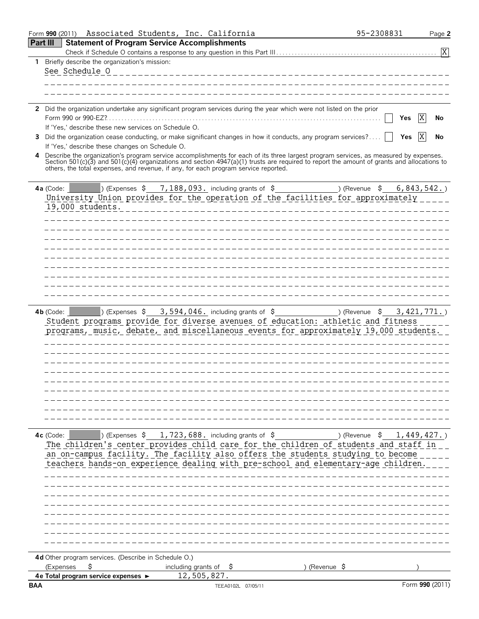|                 | Form 990 (2011) | Associated Students, Inc. California                                                |                                                                         |                                                                                                                                                                                                                                                                                    | 95-2308831       | Page 2          |
|-----------------|-----------------|-------------------------------------------------------------------------------------|-------------------------------------------------------------------------|------------------------------------------------------------------------------------------------------------------------------------------------------------------------------------------------------------------------------------------------------------------------------------|------------------|-----------------|
| <b>Part III</b> |                 | <b>Statement of Program Service Accomplishments</b>                                 |                                                                         |                                                                                                                                                                                                                                                                                    |                  |                 |
|                 |                 |                                                                                     |                                                                         |                                                                                                                                                                                                                                                                                    |                  | $\overline{X}$  |
|                 |                 | 1 Briefly describe the organization's mission:                                      |                                                                         |                                                                                                                                                                                                                                                                                    |                  |                 |
|                 | See Schedule O  |                                                                                     |                                                                         | --------------------                                                                                                                                                                                                                                                               |                  |                 |
|                 |                 |                                                                                     |                                                                         |                                                                                                                                                                                                                                                                                    |                  |                 |
|                 |                 |                                                                                     |                                                                         |                                                                                                                                                                                                                                                                                    |                  |                 |
|                 |                 |                                                                                     |                                                                         |                                                                                                                                                                                                                                                                                    |                  |                 |
|                 |                 |                                                                                     |                                                                         | 2 Did the organization undertake any significant program services during the year which were not listed on the prior                                                                                                                                                               |                  |                 |
|                 |                 |                                                                                     |                                                                         |                                                                                                                                                                                                                                                                                    |                  | X<br>Yes<br>No  |
|                 |                 | If 'Yes,' describe these new services on Schedule O.                                |                                                                         |                                                                                                                                                                                                                                                                                    |                  |                 |
| 3               |                 |                                                                                     |                                                                         | Did the organization cease conducting, or make significant changes in how it conducts, any program services?                                                                                                                                                                       |                  | X<br>Yes<br>No  |
|                 |                 | If 'Yes,' describe these changes on Schedule O.                                     |                                                                         |                                                                                                                                                                                                                                                                                    |                  |                 |
| 4               |                 |                                                                                     |                                                                         | Describe the organization's program service accomplishments for each of its three largest program services, as measured by expenses.<br>Section 501(c)(3) and 501(c)(4) organizations and section 4947(a)(1) trusts are required to report the amount of grants and allocations to |                  |                 |
|                 |                 | others, the total expenses, and revenue, if any, for each program service reported. |                                                                         |                                                                                                                                                                                                                                                                                    |                  |                 |
|                 |                 |                                                                                     |                                                                         |                                                                                                                                                                                                                                                                                    |                  |                 |
|                 | 4a (Code:       |                                                                                     | $\vert$ ) (Expenses $\vert$ 5 7, 188, 093. including grants of $\vert$  |                                                                                                                                                                                                                                                                                    | \$<br>) (Revenue | 6,843,542.      |
|                 |                 |                                                                                     |                                                                         | University Union provides for the operation of the facilities for approximately                                                                                                                                                                                                    |                  |                 |
|                 |                 | 19,000 students.                                                                    |                                                                         |                                                                                                                                                                                                                                                                                    |                  |                 |
|                 |                 |                                                                                     |                                                                         |                                                                                                                                                                                                                                                                                    |                  |                 |
|                 |                 |                                                                                     |                                                                         |                                                                                                                                                                                                                                                                                    |                  |                 |
|                 |                 |                                                                                     |                                                                         |                                                                                                                                                                                                                                                                                    |                  |                 |
|                 |                 |                                                                                     |                                                                         |                                                                                                                                                                                                                                                                                    |                  |                 |
|                 |                 |                                                                                     |                                                                         |                                                                                                                                                                                                                                                                                    |                  |                 |
|                 |                 |                                                                                     |                                                                         |                                                                                                                                                                                                                                                                                    |                  |                 |
|                 |                 |                                                                                     |                                                                         |                                                                                                                                                                                                                                                                                    |                  |                 |
|                 |                 |                                                                                     |                                                                         |                                                                                                                                                                                                                                                                                    |                  |                 |
|                 |                 |                                                                                     |                                                                         |                                                                                                                                                                                                                                                                                    |                  |                 |
|                 |                 |                                                                                     |                                                                         |                                                                                                                                                                                                                                                                                    |                  |                 |
|                 | $4b$ (Code:     |                                                                                     |                                                                         | $\Box$ (Expenses \$ 3,594,046. including grants of \$ ) (Revenue \$ 3,421,771.)                                                                                                                                                                                                    |                  |                 |
|                 |                 |                                                                                     |                                                                         | Student programs provide for diverse avenues of education: athletic and fitness                                                                                                                                                                                                    |                  |                 |
|                 |                 |                                                                                     |                                                                         | programs, music, debate, and miscellaneous events for approximately 19,000 students.                                                                                                                                                                                               |                  |                 |
|                 |                 |                                                                                     |                                                                         |                                                                                                                                                                                                                                                                                    |                  |                 |
|                 |                 |                                                                                     |                                                                         |                                                                                                                                                                                                                                                                                    |                  |                 |
|                 |                 |                                                                                     |                                                                         |                                                                                                                                                                                                                                                                                    |                  |                 |
|                 |                 |                                                                                     |                                                                         |                                                                                                                                                                                                                                                                                    |                  |                 |
|                 |                 |                                                                                     |                                                                         |                                                                                                                                                                                                                                                                                    |                  |                 |
|                 |                 |                                                                                     |                                                                         |                                                                                                                                                                                                                                                                                    |                  |                 |
|                 |                 |                                                                                     |                                                                         |                                                                                                                                                                                                                                                                                    |                  |                 |
|                 |                 |                                                                                     |                                                                         |                                                                                                                                                                                                                                                                                    |                  |                 |
|                 |                 |                                                                                     |                                                                         |                                                                                                                                                                                                                                                                                    |                  |                 |
|                 |                 |                                                                                     |                                                                         |                                                                                                                                                                                                                                                                                    |                  |                 |
|                 | 4c (Code:       |                                                                                     | ) (Expenses $\frac{1}{2}$ , 723, 688. including grants of $\frac{1}{2}$ |                                                                                                                                                                                                                                                                                    |                  | $1,449,427.$ )  |
|                 |                 |                                                                                     |                                                                         | The children's center provides child care for the children of students and staff in                                                                                                                                                                                                |                  |                 |
|                 |                 |                                                                                     |                                                                         | an on-campus facility. The facility also offers the students studying to become                                                                                                                                                                                                    |                  |                 |
|                 |                 |                                                                                     |                                                                         | teachers hands-on experience dealing with pre-school and elementary-age children.                                                                                                                                                                                                  |                  |                 |
|                 |                 |                                                                                     |                                                                         |                                                                                                                                                                                                                                                                                    |                  |                 |
|                 |                 |                                                                                     |                                                                         |                                                                                                                                                                                                                                                                                    |                  |                 |
|                 |                 |                                                                                     |                                                                         |                                                                                                                                                                                                                                                                                    |                  |                 |
|                 |                 |                                                                                     |                                                                         |                                                                                                                                                                                                                                                                                    |                  |                 |
|                 |                 |                                                                                     |                                                                         |                                                                                                                                                                                                                                                                                    |                  |                 |
|                 |                 |                                                                                     |                                                                         |                                                                                                                                                                                                                                                                                    |                  |                 |
|                 |                 |                                                                                     |                                                                         |                                                                                                                                                                                                                                                                                    |                  |                 |
|                 |                 |                                                                                     |                                                                         |                                                                                                                                                                                                                                                                                    |                  |                 |
|                 |                 | 4d Other program services. (Describe in Schedule O.)                                |                                                                         |                                                                                                                                                                                                                                                                                    |                  |                 |
|                 | (Expenses       | Ş                                                                                   | including grants of $\frac{1}{2}$                                       | ) (Revenue \$                                                                                                                                                                                                                                                                      |                  |                 |
|                 |                 | 4e Total program service expenses ►                                                 | 12,505,827.                                                             |                                                                                                                                                                                                                                                                                    |                  |                 |
| <b>BAA</b>      |                 |                                                                                     |                                                                         | TEEA0102L 07/05/11                                                                                                                                                                                                                                                                 |                  | Form 990 (2011) |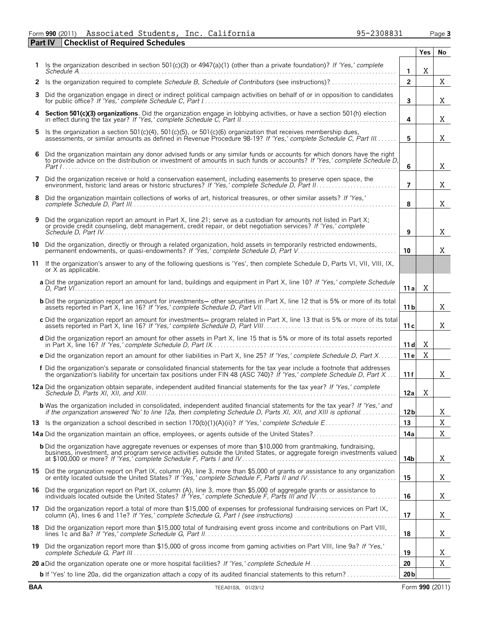### Form **990** (2011) Associated Students, Inc. California 95-2308831 Page **3** Associated Students, Inc. California 95-2308831

**Part IV Checklist of Required Schedules**

|    |                                                                                                                                                                                                                                                     |                 | Yes | No |
|----|-----------------------------------------------------------------------------------------------------------------------------------------------------------------------------------------------------------------------------------------------------|-----------------|-----|----|
|    | Is the organization described in section 501(c)(3) or $4947(a)(1)$ (other than a private foundation)? If 'Yes,' complete                                                                                                                            | 1               | X   |    |
|    | 2 Is the organization required to complete Schedule B, Schedule of Contributors (see instructions)?                                                                                                                                                 | $\overline{2}$  |     | Χ  |
| 3  | Did the organization engage in direct or indirect political campaign activities on behalf of or in opposition to candidates                                                                                                                         | 3               |     | X  |
| 4  | Section 501(c)(3) organizations. Did the organization engage in lobbying activities, or have a section 501(h) election                                                                                                                              | 4               |     | X  |
| 5. | Is the organization a section 501(c)(4), 501(c)(5), or 501(c)(6) organization that receives membership dues,<br>assessments, or similar amounts as defined in Revenue Procedure 98-19? If 'Yes,' complete Schedule C, Part III.                     | 5               |     | X  |
| 6  | Did the organization maintain any donor advised funds or any similar funds or accounts for which donors have the right<br>to provide advice on the distribution or investment of amounts in such funds or accounts? If 'Yes,' complete Schedule D,  | 6               |     | X  |
| 7  | Did the organization receive or hold a conservation easement, including easements to preserve open space, the                                                                                                                                       | $\overline{ }$  |     | X  |
| 8  | Did the organization maintain collections of works of art, historical treasures, or other similar assets? If 'Yes,'                                                                                                                                 | 8               |     | X  |
| 9  | Did the organization report an amount in Part X, line 21; serve as a custodian for amounts not listed in Part X;<br>or provide credit counseling, debt management, credit repair, or debt negotiation services? If 'Yes,' complete                  | 9               |     | X  |
| 10 | Did the organization, directly or through a related organization, hold assets in temporarily restricted endowments,<br>permanent endowments, or quasi-endowments? If 'Yes,' complete Schedule D, Part V                                             | 10              |     | X  |
| 11 | If the organization's answer to any of the following questions is 'Yes', then complete Schedule D, Parts VI, VII, VIII, IX,<br>or X as applicable.                                                                                                  |                 |     |    |
|    | a Did the organization report an amount for land, buildings and equipment in Part X, line 10? If 'Yes,' complete Schedule                                                                                                                           | 11 a            | Χ   |    |
|    | <b>b</b> Did the organization report an amount for investments— other securities in Part X, line 12 that is 5% or more of its total                                                                                                                 | 11 b            |     | X  |
|    | c Did the organization report an amount for investments- program related in Part X, line 13 that is 5% or more of its total                                                                                                                         | 11c             |     | X  |
|    | d Did the organization report an amount for other assets in Part X, line 15 that is 5% or more of its total assets reported                                                                                                                         | 11d             | X   |    |
|    | e Did the organization report an amount for other liabilities in Part X, line 25? If 'Yes,' complete Schedule D, Part X                                                                                                                             | 11e             | Χ   |    |
|    | f Did the organization's separate or consolidated financial statements for the tax year include a footnote that addresses<br>the organization's liability for uncertain tax positions under FIN 48 (ASC 740)? If 'Yes,' complete Schedule D, Part X | 11f             |     | Χ  |
|    | 12a Did the organization obtain separate, independent audited financial statements for the tax year? If 'Yes,' complete                                                                                                                             | 12a             | X   |    |
|    | <b>b</b> Was the organization included in consolidated, independent audited financial statements for the tax year? If 'Yes,' and<br>if the organization answered 'No' to line 12a, then completing Schedule D, Parts XI, XII, and XIII is optional  | 12 <b>b</b>     |     | X  |
|    |                                                                                                                                                                                                                                                     | 13              |     | X  |
|    | 14a Did the organization maintain an office, employees, or agents outside of the United States?                                                                                                                                                     | 14a             |     | Χ  |
|    | <b>b</b> Did the organization have aggregate revenues or expenses of more than \$10,000 from grantmaking, fundraising,<br>business, investment, and program service activities outside the United States, or aggregate foreign investments valued   | 14b             |     | Χ  |
|    | 15 Did the organization report on Part IX, column (A), line 3, more than \$5,000 of grants or assistance to any organization                                                                                                                        | 15              |     | Χ  |
|    | 16 Did the organization report on Part IX, column (A), line 3, more than \$5,000 of aggregate grants or assistance to                                                                                                                               | 16              |     | Χ  |
| 17 | Did the organization report a total of more than \$15,000 of expenses for professional fundraising services on Part IX,                                                                                                                             | 17              |     | Χ  |
|    | 18 Did the organization report more than \$15,000 total of fundraising event gross income and contributions on Part VIII,                                                                                                                           | 18              |     | Χ  |
| 19 | Did the organization report more than \$15,000 of gross income from gaming activities on Part VIII, line 9a? If 'Yes,'                                                                                                                              | 19              |     | Χ  |
|    |                                                                                                                                                                                                                                                     | 20              |     | X  |
|    | <b>b</b> If 'Yes' to line 20a, did the organization attach a copy of its audited financial statements to this return?                                                                                                                               | 20 <sub>b</sub> |     |    |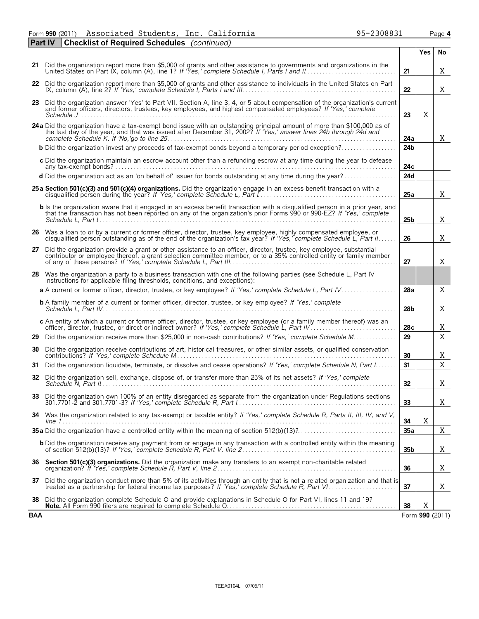Form **990** (2011) Associated Students, Inc. California 95-2308831 Page **4** Associated Students, Inc. California 95-2308831

|     | <b>Part IV</b> | <b>Checklist of Required Schedules</b> (continued)                                                                                                                                                                                                    |                 |     |                 |
|-----|----------------|-------------------------------------------------------------------------------------------------------------------------------------------------------------------------------------------------------------------------------------------------------|-----------------|-----|-----------------|
|     |                |                                                                                                                                                                                                                                                       |                 | Yes | No              |
|     |                | 21 Did the organization report more than \$5,000 of grants and other assistance to governments and organizations in the                                                                                                                               | 21              |     | X               |
|     |                | 22 Did the organization report more than \$5,000 of grants and other assistance to individuals in the United States on Part                                                                                                                           | 22              |     | X               |
|     |                | 23 Did the organization answer 'Yes' to Part VII, Section A, line 3, 4, or 5 about compensation of the organization's current<br>and former officers, directors, trustees, key employees, and highest compensated employees? If 'Yes,' complete       | 23              | Χ   |                 |
|     |                |                                                                                                                                                                                                                                                       |                 |     |                 |
|     |                | 24a Did the organization have a tax-exempt bond issue with an outstanding principal amount of more than \$100,000 as of the last day of the year, and that was issued after December 31, 2002? If 'Yes,' answer lines 24b throu                       | 24a             |     | X               |
|     |                | <b>b</b> Did the organization invest any proceeds of tax-exempt bonds beyond a temporary period exception?                                                                                                                                            | 24b             |     |                 |
|     |                | c Did the organization maintain an escrow account other than a refunding escrow at any time during the year to defease                                                                                                                                | 24с             |     |                 |
|     |                | d Did the organization act as an 'on behalf of' issuer for bonds outstanding at any time during the year?                                                                                                                                             | 24d             |     |                 |
|     |                | 25 a Section 501(c)(3) and 501(c)(4) organizations. Did the organization engage in an excess benefit transaction with a                                                                                                                               | 25a             |     | X               |
|     |                | b Is the organization aware that it engaged in an excess benefit transaction with a disqualified person in a prior year, and<br>that the transaction has not been reported on any of the organization's prior Forms 990 or 990-EZ? If 'Yes,' complete | 25 <sub>b</sub> |     | X               |
|     |                | 26 Was a loan to or by a current or former officer, director, trustee, key employee, highly compensated employee, or<br>disqualified person outstanding as of the end of the organization's tax year? If 'Yes,' complete Schedule L, Part II.         | 26              |     | Χ               |
| 27  |                | Did the organization provide a grant or other assistance to an officer, director, trustee, key employee, substantial<br>contributor or employee thereof, a grant selection committee member, or to a 35% controlled entity or family member           | 27              |     | Χ               |
|     |                | 28 Was the organization a party to a business transaction with one of the following parties (see Schedule L, Part IV<br>instructions for applicable filing thresholds, conditions, and exceptions):                                                   |                 |     |                 |
|     |                | a A current or former officer, director, trustee, or key employee? If 'Yes,' complete Schedule L, Part IV                                                                                                                                             | 28a             |     | Χ               |
|     |                | <b>b</b> A family member of a current or former officer, director, trustee, or key employee? If 'Yes,' complete                                                                                                                                       | 28b             |     | X               |
|     |                | c An entity of which a current or former officer, director, trustee, or key employee (or a family member thereof) was an                                                                                                                              | 28c             |     | Χ               |
| 29  |                | Did the organization receive more than \$25,000 in non-cash contributions? If 'Yes,' complete Schedule M                                                                                                                                              | 29              |     | $\mathbf X$     |
| 30  |                | Did the organization receive contributions of art, historical treasures, or other similar assets, or qualified conservation                                                                                                                           | 30              |     | Χ               |
| 31  |                | Did the organization liquidate, terminate, or dissolve and cease operations? If 'Yes,' complete Schedule N, Part I.                                                                                                                                   | 31              |     | $\mathbf X$     |
|     |                | 32 Did the organization sell, exchange, dispose of, or transfer more than 25% of its net assets? If 'Yes,' complete                                                                                                                                   | 32              |     | Χ               |
|     |                | 33 Did the organization own 100% of an entity disregarded as separate from the organization under Regulations sections                                                                                                                                | 33              |     | X.              |
|     |                | 34 Was the organization related to any tax-exempt or taxable entity? If 'Yes,' complete Schedule R, Parts II, III, IV, and V,                                                                                                                         | 34              | X   |                 |
|     |                |                                                                                                                                                                                                                                                       | 35a             |     | Χ               |
|     |                | <b>b</b> Did the organization receive any payment from or engage in any transaction with a controlled entity within the meaning                                                                                                                       | 35b             |     | Χ               |
|     |                | 36 Section 501(c)(3) organizations. Did the organization make any transfers to an exempt non-charitable related                                                                                                                                       | 36              |     | X               |
|     |                | 37 Did the organization conduct more than 5% of its activities through an entity that is not a related organization and that is<br>treated as a partnership for federal income tax purposes? If 'Yes,' complete Schedule R, Part VI.                  | 37              |     | X               |
| 38  |                | Did the organization complete Schedule O and provide explanations in Schedule O for Part VI, lines 11 and 19?                                                                                                                                         | 38              | Χ   |                 |
| BAA |                |                                                                                                                                                                                                                                                       |                 |     | Form 990 (2011) |

| 95-2308831 |  |  |
|------------|--|--|
|            |  |  |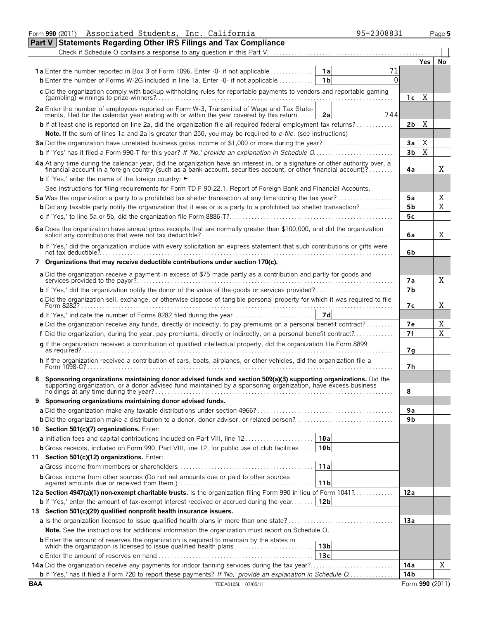|   | Form 990 (2011) Associated Students, Inc. California<br>95-2308831                                                                                                                                                             |                        |             | Page 5 |
|---|--------------------------------------------------------------------------------------------------------------------------------------------------------------------------------------------------------------------------------|------------------------|-------------|--------|
|   | <b>Part V Statements Regarding Other IRS Filings and Tax Compliance</b>                                                                                                                                                        |                        |             |        |
|   |                                                                                                                                                                                                                                |                        |             |        |
|   |                                                                                                                                                                                                                                |                        | Yes         | No     |
|   | <b>1a</b> Enter the number reported in Box 3 of Form 1096. Enter -0- if not applicable<br>71<br>- 1 a                                                                                                                          |                        |             |        |
|   | <b>b</b> Enter the number of Forms W-2G included in line 1a. Enter -0- if not applicable<br>1 <sub>b</sub><br>0                                                                                                                |                        |             |        |
|   | c Did the organization comply with backup withholding rules for reportable payments to vendors and reportable gaming                                                                                                           |                        |             |        |
|   |                                                                                                                                                                                                                                | 1c                     | X           |        |
|   | 2a Enter the number of employees reported on Form W-3, Transmittal of Wage and Tax State-<br>ments, filed for the calendar year ending with or within the year covered by this return                                          |                        |             |        |
|   | 744<br>2a                                                                                                                                                                                                                      |                        |             |        |
|   | <b>b</b> If at least one is reported on line 2a, did the organization file all required federal employment tax returns?                                                                                                        | 2bl                    | Χ           |        |
|   | Note. If the sum of lines 1a and 2a is greater than 250, you may be required to e-file. (see instructions)                                                                                                                     |                        |             |        |
|   | 3a Did the organization have unrelated business gross income of \$1,000 or more during the year?                                                                                                                               | 3a                     | Χ           |        |
|   |                                                                                                                                                                                                                                | 3 <sub>b</sub>         | $\mathbf X$ |        |
|   |                                                                                                                                                                                                                                |                        |             |        |
|   | 4a At any time during the calendar year, did the organization have an interest in, or a signature or other authority over, a financial account in a foreign country (such as a bank account, securities account, or other fina | 4a                     |             | X      |
|   | <b>b</b> If 'Yes,' enter the name of the foreign country: $\blacktriangleright$                                                                                                                                                |                        |             |        |
|   | See instructions for filing requirements for Form TD F 90-22.1, Report of Foreign Bank and Financial Accounts.                                                                                                                 |                        |             |        |
|   | 5a Was the organization a party to a prohibited tax shelter transaction at any time during the tax year?                                                                                                                       | 5a                     |             | Χ      |
|   | <b>b</b> Did any taxable party notify the organization that it was or is a party to a prohibited tax shelter transaction?                                                                                                      | 5 <sub>b</sub>         |             | X      |
|   |                                                                                                                                                                                                                                | 5c                     |             |        |
|   |                                                                                                                                                                                                                                |                        |             |        |
|   |                                                                                                                                                                                                                                | 6a                     |             | X      |
|   | b If 'Yes,' did the organization include with every solicitation an express statement that such contributions or gifts were                                                                                                    |                        |             |        |
|   |                                                                                                                                                                                                                                | 6b                     |             |        |
|   | 7 Organizations that may receive deductible contributions under section 170(c).                                                                                                                                                |                        |             |        |
|   | a Did the organization receive a payment in excess of \$75 made partly as a contribution and partly for goods and                                                                                                              |                        |             |        |
|   |                                                                                                                                                                                                                                | 7a                     |             | X      |
|   | <b>b</b> If 'Yes,' did the organization notify the donor of the value of the goods or services provided?                                                                                                                       | 7b                     |             |        |
|   | c Did the organization sell, exchange, or otherwise dispose of tangible personal property for which it was required to file                                                                                                    |                        |             |        |
|   |                                                                                                                                                                                                                                | 7с                     |             | Χ      |
|   | 7d                                                                                                                                                                                                                             |                        |             |        |
|   | e Did the organization receive any funds, directly or indirectly, to pay premiums on a personal benefit contract?                                                                                                              | 7e                     |             | Χ      |
|   | f Did the organization, during the year, pay premiums, directly or indirectly, on a personal benefit contract?                                                                                                                 | 7f                     |             | X      |
|   | g If the organization received a contribution of qualified intellectual property, did the organization file Form 8899                                                                                                          |                        |             |        |
|   |                                                                                                                                                                                                                                | 7g                     |             |        |
|   | h If the organization received a contribution of cars, boats, airplanes, or other vehicles, did the organization file a                                                                                                        | 7h                     |             |        |
|   |                                                                                                                                                                                                                                |                        |             |        |
|   | Sponsoring organizations maintaining donor advised funds and section 509(a)(3) supporting organizations. Did the                                                                                                               |                        |             |        |
|   | supporting organization, or a donor advised fund maintained by a sponsoring organization, have excess business<br>holdings at any time during the year?                                                                        | 8                      |             |        |
| 9 | Sponsoring organizations maintaining donor advised funds.                                                                                                                                                                      |                        |             |        |
|   |                                                                                                                                                                                                                                | 9a                     |             |        |
|   |                                                                                                                                                                                                                                | 9 <sub>b</sub>         |             |        |
|   | 10 Section 501(c)(7) organizations. Enter:                                                                                                                                                                                     |                        |             |        |
|   | 10a<br>a Initiation fees and capital contributions included on Part VIII, line 12                                                                                                                                              |                        |             |        |
|   | 10 <sub>b</sub><br><b>b</b> Gross receipts, included on Form 990, Part VIII, line 12, for public use of club facilities                                                                                                        |                        |             |        |
|   | 11 Section 501(c)(12) organizations. Enter:                                                                                                                                                                                    |                        |             |        |
|   | 11a                                                                                                                                                                                                                            |                        |             |        |
|   | <b>b</b> Gross income from other sources (Do not net amounts due or paid to other sources                                                                                                                                      |                        |             |        |
|   | 11 <sub>b</sub>                                                                                                                                                                                                                |                        |             |        |
|   | 12a Section 4947(a)(1) non-exempt charitable trusts. Is the organization filing Form 990 in lieu of Form 1041?                                                                                                                 | 12a                    |             |        |
|   | 12 <sub>b</sub><br><b>b</b> If 'Yes,' enter the amount of tax-exempt interest received or accrued during the year                                                                                                              |                        |             |        |
|   | 13 Section 501(c)(29) qualified nonprofit health insurance issuers.                                                                                                                                                            |                        |             |        |
|   |                                                                                                                                                                                                                                | 13a                    |             |        |
|   | Note. See the instructions for additional information the organization must report on Schedule O.                                                                                                                              |                        |             |        |
|   | <b>b</b> Enter the amount of reserves the organization is required to maintain by the states in                                                                                                                                |                        |             |        |
|   | 13 <sub>b</sub><br>13c                                                                                                                                                                                                         |                        |             |        |
|   |                                                                                                                                                                                                                                |                        |             | Χ      |
|   | 14a Did the organization receive any payments for indoor tanning services during the tax year?                                                                                                                                 | 14a<br>14 <sub>b</sub> |             |        |
|   | <b>b</b> If 'Yes,' has it filed a Form 720 to report these payments? If 'No,' provide an explanation in Schedule O                                                                                                             |                        |             |        |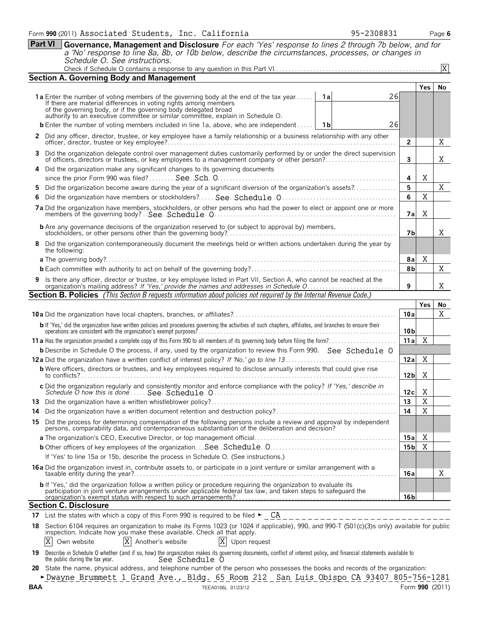**Part VI Governance, Management and Disclosure** *For each 'Yes' response to lines 2 through 7b below, and for a 'No' response to line 8a, 8b, or 10b below, describe the circumstances, processes, or changes in Schedule O. See instructions.*

|     | a tro response to mic oa, ob, or rob below, acsembe the circumstances, processes, or changes in<br>Schedule O. See instructions.                                                                                                                                                                                                 |                 |                |    |  |  |  |  |  |
|-----|----------------------------------------------------------------------------------------------------------------------------------------------------------------------------------------------------------------------------------------------------------------------------------------------------------------------------------|-----------------|----------------|----|--|--|--|--|--|
|     |                                                                                                                                                                                                                                                                                                                                  |                 |                | X  |  |  |  |  |  |
|     | <b>Section A. Governing Body and Management</b>                                                                                                                                                                                                                                                                                  |                 |                |    |  |  |  |  |  |
|     |                                                                                                                                                                                                                                                                                                                                  |                 | Yes            | No |  |  |  |  |  |
|     | 26<br>1a Enter the number of voting members of the governing body at the end of the tax year<br>If there are material differences in voting rights among members<br>่ 1al<br>of the governing body, or if the governing body delegated broad<br>authority to an executive committee or similar committee, explain in Schedule O. |                 |                |    |  |  |  |  |  |
|     | 26<br><b>b</b> Enter the number of voting members included in line 1a, above, who are independent    1b                                                                                                                                                                                                                          |                 |                |    |  |  |  |  |  |
|     |                                                                                                                                                                                                                                                                                                                                  |                 |                |    |  |  |  |  |  |
|     | 2 Did any officer, director, trustee, or key employee have a family relationship or a business relationship with any other                                                                                                                                                                                                       |                 |                |    |  |  |  |  |  |
| 3.  | Did the organization delegate control over management duties customarily performed by or under the direct supervision of officers, directors or trustees, or key employees to a management company or other person?                                                                                                              | 3               |                | Χ  |  |  |  |  |  |
|     | Did the organization make any significant changes to its governing documents                                                                                                                                                                                                                                                     |                 |                |    |  |  |  |  |  |
|     |                                                                                                                                                                                                                                                                                                                                  | 4               | X              |    |  |  |  |  |  |
| 5.  | Did the organization become aware during the year of a significant diversion of the organization's assets?                                                                                                                                                                                                                       | 5               |                | X  |  |  |  |  |  |
| 6   |                                                                                                                                                                                                                                                                                                                                  | 6               | X              |    |  |  |  |  |  |
|     |                                                                                                                                                                                                                                                                                                                                  |                 |                |    |  |  |  |  |  |
|     |                                                                                                                                                                                                                                                                                                                                  | 7а              | Χ              |    |  |  |  |  |  |
|     |                                                                                                                                                                                                                                                                                                                                  | 7b              |                | X  |  |  |  |  |  |
|     | 8 Did the organization contemporaneously document the meetings held or written actions undertaken during the year by<br>the following:                                                                                                                                                                                           |                 |                |    |  |  |  |  |  |
|     |                                                                                                                                                                                                                                                                                                                                  | 8a              | Χ              |    |  |  |  |  |  |
|     |                                                                                                                                                                                                                                                                                                                                  |                 |                |    |  |  |  |  |  |
| 9   |                                                                                                                                                                                                                                                                                                                                  | 8b              |                | X  |  |  |  |  |  |
|     | Is there any officer, director or trustee, or key employee listed in Part VII, Section A, who cannot be reached at the organization's mailing address? If 'Yes,' provide the names and addresses in Schedule O                                                                                                                   | 9               |                | X  |  |  |  |  |  |
|     | <b>Section B. Policies</b> (This Section B requests information about policies not required by the Internal Revenue Code.)                                                                                                                                                                                                       |                 |                |    |  |  |  |  |  |
|     |                                                                                                                                                                                                                                                                                                                                  |                 | Yes            | No |  |  |  |  |  |
|     |                                                                                                                                                                                                                                                                                                                                  | 10a             |                | Χ  |  |  |  |  |  |
|     | b If 'Yes,' did the organization have written policies and procedures governing the activities of such chapters, affiliates, and branches to ensure their                                                                                                                                                                        | 10 <sub>b</sub> |                |    |  |  |  |  |  |
|     |                                                                                                                                                                                                                                                                                                                                  | 11a             | X              |    |  |  |  |  |  |
|     | <b>b</b> Describe in Schedule O the process, if any, used by the organization to review this Form 990. See Schedule O                                                                                                                                                                                                            |                 |                |    |  |  |  |  |  |
|     |                                                                                                                                                                                                                                                                                                                                  | 12a             | Χ              |    |  |  |  |  |  |
|     | <b>b</b> Were officers, directors or trustees, and key employees required to disclose annually interests that could give rise                                                                                                                                                                                                    |                 |                |    |  |  |  |  |  |
|     |                                                                                                                                                                                                                                                                                                                                  | 12 <sub>b</sub> | Χ              |    |  |  |  |  |  |
|     |                                                                                                                                                                                                                                                                                                                                  | 12c             | Χ              |    |  |  |  |  |  |
|     |                                                                                                                                                                                                                                                                                                                                  | 13              | $\overline{X}$ |    |  |  |  |  |  |
| 14. | Did the organization have a written document retention and destruction policy?                                                                                                                                                                                                                                                   | 14              | Χ              |    |  |  |  |  |  |
|     | 15 Did the process for determining compensation of the following persons include a review and approval by independent persons, comparability data, and contemporaneous substantiation of the deliberation and decision?                                                                                                          |                 |                |    |  |  |  |  |  |
|     |                                                                                                                                                                                                                                                                                                                                  | 15a             | X              |    |  |  |  |  |  |
|     |                                                                                                                                                                                                                                                                                                                                  |                 |                |    |  |  |  |  |  |
|     | If 'Yes' to line 15a or 15b, describe the process in Schedule O. (See instructions.)                                                                                                                                                                                                                                             | 15 <sub>b</sub> | X              |    |  |  |  |  |  |
|     |                                                                                                                                                                                                                                                                                                                                  |                 |                |    |  |  |  |  |  |
|     | 16a Did the organization invest in, contribute assets to, or participate in a joint venture or similar arrangement with a                                                                                                                                                                                                        | 16a             |                | Χ  |  |  |  |  |  |
|     | b If 'Yes,' did the organization follow a written policy or procedure requiring the organization to evaluate its participation in joint venture arrangements under applicable federal tax law, and taken steps to safeguard th                                                                                                   | 16 <sub>b</sub> |                |    |  |  |  |  |  |
|     |                                                                                                                                                                                                                                                                                                                                  |                 |                |    |  |  |  |  |  |

### **Section C. Disclosure**

**17** List the states with which a copy of this Form 990 is required to be filed  $\blacktriangleright$   $\_\_$  CA

**18** Section 6104 requires an organization to make its Forms 1023 (or 1024 if applicable), 990, and 990-T (501(c)(3)s only) available for public inspection. Indicate how you make these available. Check all that apply.

 $X$  Own website  $|X|$  Another's website  $|X|$  Upon request

19 Describe in Schedule O whether (and if so, how) the organization makes its governing documents, conflict of interest policy, and financial statements available to the public during the tax year. See Schedule O

**20** State the name, physical address, and telephone number of the person who possesses the books and records of the organization: <u>Dwayne Brummett 1 Grand Ave., Bldg. 65 Room 212 San Luis Obispo CA 93407 805-756-1281</u>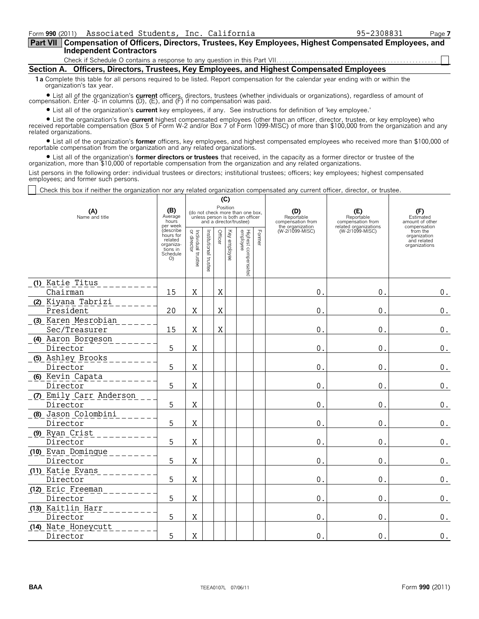**Compensation of Officers, Directors, Trustees, Key Employees, Highest Compensated Employees, and Part VII Independent Contractors**

Check if Schedule O contains a response to any question in this Part VII.

**Section A. Officers, Directors, Trustees, Key Employees, and Highest Compensated Employees**

**1a** Complete this table for all persons required to be listed. Report compensation for the calendar year ending with or within the organization's tax year.

? List all of the organization's **current** officers, directors, trustees (whether individuals or organizations), regardless of amount of compensation. Enter -0- in columns (D), (E), and (F) if no compensation was paid.

? List all of the organization's **current** key employees, if any. See instructions for definition of 'key employee.'

? List the organization's five **current** highest compensated employees (other than an officer, director, trustee, or key employee) who received reportable compensation (Box 5 of Form W-2 and/or Box 7 of Form 1099-MISC) of more than \$100,000 from the organization and any related organizations.

? List all of the organization's **former** officers, key employees, and highest compensated employees who received more than \$100,000 of reportable compensation from the organization and any related organizations.

? List all of the organization's **former directors or trustees** that received, in the capacity as a former director or trustee of the organization, more than \$10,000 of reportable compensation from the organization and any related organizations.

List persons in the following order: individual trustees or directors; institutional trustees; officers; key employees; highest compensated employees; and former such persons.

**(C)**

Check this box if neither the organization nor any related organization compensated any current officer, director, or trustee.

| (A)<br>Name and title                | (B)<br>Average<br>hours<br>per week<br><i><b>describe</b></i><br>hours for<br>related<br>organiza-<br>tions in<br>Schedule<br>O | Individual trustee<br>or director | (ખ)<br>Position<br>(do not check more than one box,<br>unless person is both an officer<br>and a director/trustee)<br>Highest compensated<br>employee<br>Former<br>Officer<br>Key employee<br>Institutional trustee |   | (D)<br>Reportable<br>compensation from<br>the organization<br>(W-2/1099-MISC) | (E)<br>Reportable<br>compensation from<br>related organizations<br>(W-2/1099-MISC) | (F)<br>Estimated<br>amount of other<br>compensation<br>from the<br>organization<br>and related<br>organizations |                |                    |
|--------------------------------------|---------------------------------------------------------------------------------------------------------------------------------|-----------------------------------|---------------------------------------------------------------------------------------------------------------------------------------------------------------------------------------------------------------------|---|-------------------------------------------------------------------------------|------------------------------------------------------------------------------------|-----------------------------------------------------------------------------------------------------------------|----------------|--------------------|
| (1) Katie Titus                      |                                                                                                                                 |                                   |                                                                                                                                                                                                                     |   |                                                                               |                                                                                    |                                                                                                                 |                |                    |
| Chairman                             | 15                                                                                                                              | X                                 |                                                                                                                                                                                                                     | Χ |                                                                               |                                                                                    | 0.                                                                                                              | $\mathbf 0$ .  | $0$ .              |
| (2) Kiyana Tabrizi<br>President      | 20                                                                                                                              | Χ                                 |                                                                                                                                                                                                                     | X |                                                                               |                                                                                    | 0.                                                                                                              | $\mathbf 0$ .  | $0$ .              |
| (3) Karen Mesrobian<br>Sec/Treasurer | 15                                                                                                                              | Χ                                 |                                                                                                                                                                                                                     | Χ |                                                                               |                                                                                    | 0.                                                                                                              | $\mathbf{0}$ . | 0.                 |
| (4) Aaron Borgeson<br>Director       | 5                                                                                                                               | X                                 |                                                                                                                                                                                                                     |   |                                                                               |                                                                                    | 0.                                                                                                              | $\mathbf{0}$ . | 0.                 |
| (5) Ashley Brooks                    |                                                                                                                                 |                                   |                                                                                                                                                                                                                     |   |                                                                               |                                                                                    |                                                                                                                 |                |                    |
| Director                             | 5                                                                                                                               | X                                 |                                                                                                                                                                                                                     |   |                                                                               |                                                                                    | 0.                                                                                                              | $\mathbf{0}$ . | $\boldsymbol{0}$ . |
| (6) Kevin Capata<br>Director         | 5                                                                                                                               | X                                 |                                                                                                                                                                                                                     |   |                                                                               |                                                                                    | 0.                                                                                                              | $\mathbf 0$ .  | $\boldsymbol{0}$ . |
| (7) Emily Carr Anderson<br>Director  | 5                                                                                                                               | X                                 |                                                                                                                                                                                                                     |   |                                                                               |                                                                                    | 0.                                                                                                              | $\mathbf{0}$ . | $\boldsymbol{0}$ . |
| (8) Jason Colombini<br>Director      | 5                                                                                                                               | X                                 |                                                                                                                                                                                                                     |   |                                                                               |                                                                                    | 0.                                                                                                              | $\mathbf 0$ .  | $\boldsymbol{0}$ . |
| (9) Ryan Crist<br>Director           | 5                                                                                                                               | X                                 |                                                                                                                                                                                                                     |   |                                                                               |                                                                                    | 0.                                                                                                              | $\mathbf 0$ .  | 0.                 |
| (10) Evan Domingue<br>Director       | 5                                                                                                                               | Χ                                 |                                                                                                                                                                                                                     |   |                                                                               |                                                                                    | 0.                                                                                                              | $\mathbf{0}$ . | $0$ .              |
| (11) Katie Evans<br>Director         | 5                                                                                                                               | Χ                                 |                                                                                                                                                                                                                     |   |                                                                               |                                                                                    | 0.                                                                                                              | $\mathbf 0$ .  | $\boldsymbol{0}$ . |
| (12) Eric Freeman<br>Director        | 5                                                                                                                               | X                                 |                                                                                                                                                                                                                     |   |                                                                               |                                                                                    | 0.                                                                                                              | 0.             | 0.                 |
| (13) Kaitlin Harr<br>Director        | 5                                                                                                                               | $\mathbf X$                       |                                                                                                                                                                                                                     |   |                                                                               |                                                                                    | 0.                                                                                                              | 0.             | $\boldsymbol{0}$ . |
| (14) Nate Honeycutt<br>Director      | 5                                                                                                                               | X                                 |                                                                                                                                                                                                                     |   |                                                                               |                                                                                    | 0.                                                                                                              | $\mathbf{0}$ . | $\boldsymbol{0}$ . |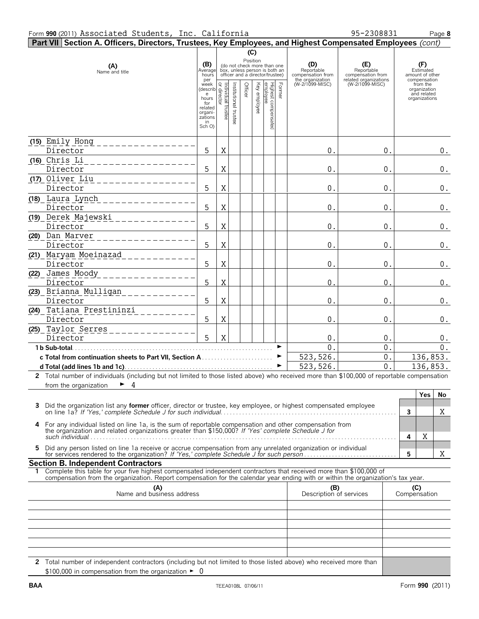| Part VII Section A. Officers, Directors, Trustees, Key Employees, and Highest Compensated Employees (cont)                                                                                                                                             |                                                                                                            |                                                                                                                                               |                     |         |              |                                 |                            |                                                                               |                                                                                    |                     |                                                                 |                    |
|--------------------------------------------------------------------------------------------------------------------------------------------------------------------------------------------------------------------------------------------------------|------------------------------------------------------------------------------------------------------------|-----------------------------------------------------------------------------------------------------------------------------------------------|---------------------|---------|--------------|---------------------------------|----------------------------|-------------------------------------------------------------------------------|------------------------------------------------------------------------------------|---------------------|-----------------------------------------------------------------|--------------------|
|                                                                                                                                                                                                                                                        |                                                                                                            |                                                                                                                                               |                     |         | (C)          |                                 |                            |                                                                               |                                                                                    |                     |                                                                 |                    |
| (A)<br>Name and title                                                                                                                                                                                                                                  |                                                                                                            | Position<br>(do not check more than one<br>(B)<br>Average<br>box, unless person is both an<br>officer and a director/trustee)<br>hours<br>per |                     |         |              |                                 |                            | (D)<br>Reportable<br>compensation from<br>the organization<br>(W-2/1099-MISC) | (E)<br>Reportable<br>compensation from<br>related organizations<br>(W-2/1099-MISC) |                     | (F)<br>Estimated<br>amount of other<br>compensation<br>from the |                    |
|                                                                                                                                                                                                                                                        | week<br>(describ<br>e hours<br>hours<br>for<br>for<br>for<br>the distribution<br>for<br>related<br>organi- | trustee                                                                                                                                       | Institutional trust | Officer | Key employee | Highest compensated<br>employee | Former                     |                                                                               |                                                                                    |                     | organization<br>and related<br>organizations                    |                    |
|                                                                                                                                                                                                                                                        | zations<br>in<br>Sch O)                                                                                    |                                                                                                                                               |                     |         |              |                                 |                            |                                                                               |                                                                                    |                     |                                                                 |                    |
| (15) Emily Hong<br>_ _ _ _ _ _ _ _ _ _ _ _ _ _<br>Director                                                                                                                                                                                             | 5                                                                                                          | Χ                                                                                                                                             |                     |         |              |                                 |                            | 0.                                                                            | $0$ .                                                                              |                     |                                                                 | $0$ .              |
| (16) Chris Li<br>Director                                                                                                                                                                                                                              | 5                                                                                                          | Χ                                                                                                                                             |                     |         |              |                                 |                            | 0.                                                                            | 0.                                                                                 |                     |                                                                 | 0.                 |
| (17) Oliver Liu<br>Director                                                                                                                                                                                                                            | 5                                                                                                          | $\mathbf X$                                                                                                                                   |                     |         |              |                                 |                            | 0.                                                                            | 0.                                                                                 |                     |                                                                 | $\boldsymbol{0}$ . |
| (18) Laura Lynch<br>Director                                                                                                                                                                                                                           | 5                                                                                                          | X                                                                                                                                             |                     |         |              |                                 |                            | $0$ .                                                                         | 0.                                                                                 |                     |                                                                 | 0.                 |
| (19) Derek Majewski<br>Director                                                                                                                                                                                                                        | 5                                                                                                          | X                                                                                                                                             |                     |         |              |                                 |                            | 0.                                                                            | 0.                                                                                 |                     |                                                                 | $\boldsymbol{0}$ . |
| (20) Dan Marver<br>Director                                                                                                                                                                                                                            | 5                                                                                                          | X                                                                                                                                             |                     |         |              |                                 |                            | 0.                                                                            | 0.                                                                                 |                     |                                                                 | $\boldsymbol{0}$ . |
| (21) Maryam Moeinazad<br>Director                                                                                                                                                                                                                      | 5                                                                                                          | X                                                                                                                                             |                     |         |              |                                 |                            | 0.                                                                            | 0.                                                                                 |                     |                                                                 | 0.                 |
| (22) James Moody<br>____________<br>Director                                                                                                                                                                                                           | 5                                                                                                          | X                                                                                                                                             |                     |         |              |                                 |                            | $\mathbf 0$                                                                   | 0.                                                                                 |                     |                                                                 | 0.                 |
| (23) Brianna Mulligan<br>Director<br>(24) Tatiana Prestininzi                                                                                                                                                                                          | 5                                                                                                          | X                                                                                                                                             |                     |         |              |                                 |                            | 0.                                                                            | 0.                                                                                 |                     |                                                                 | $\boldsymbol{0}$ . |
| Director                                                                                                                                                                                                                                               | 5                                                                                                          | X                                                                                                                                             |                     |         |              |                                 |                            | 0.                                                                            | 0.                                                                                 |                     |                                                                 | 0.                 |
| (25) Taylor Serres<br>Director<br>1 b Sub-total.                                                                                                                                                                                                       | 5                                                                                                          | $\rm X$                                                                                                                                       |                     |         |              |                                 |                            | $\mathbf 0$<br>$\overline{0}$                                                 | 0.<br>$\overline{0}$ .                                                             |                     |                                                                 | 0.<br>0.           |
|                                                                                                                                                                                                                                                        |                                                                                                            |                                                                                                                                               |                     |         |              |                                 | $\blacktriangleright$<br>► | 523,526.<br>523,526.                                                          | $0$ .<br>$\overline{0}$ .                                                          |                     | 136,853.<br>136,853.                                            |                    |
| 2 Total number of individuals (including but not limited to those listed above) who received more than \$100,000 of reportable compensation                                                                                                            |                                                                                                            |                                                                                                                                               |                     |         |              |                                 |                            |                                                                               |                                                                                    |                     |                                                                 |                    |
| from the organization<br>$\triangleright$ 4                                                                                                                                                                                                            |                                                                                                            |                                                                                                                                               |                     |         |              |                                 |                            |                                                                               |                                                                                    |                     | <b>Yes</b>                                                      | No                 |
| Did the organization list any <b>former</b> officer, director or trustee, key employee, or highest compensated employee<br>3.                                                                                                                          |                                                                                                            |                                                                                                                                               |                     |         |              |                                 |                            |                                                                               |                                                                                    | 3                   |                                                                 | X                  |
| For any individual listed on line 1a, is the sum of reportable compensation and other compensation from<br>4<br>the organization and related organizations greater than \$150,000? If 'Yes' complete Schedule J for                                    |                                                                                                            |                                                                                                                                               |                     |         |              |                                 |                            |                                                                               |                                                                                    |                     |                                                                 |                    |
| Did any person listed on line 1a receive or accrue compensation from any unrelated organization or individual<br>5.                                                                                                                                    |                                                                                                            |                                                                                                                                               |                     |         |              |                                 |                            |                                                                               |                                                                                    | 4<br>5              | Χ                                                               | Χ                  |
| <b>Section B. Independent Contractors</b>                                                                                                                                                                                                              |                                                                                                            |                                                                                                                                               |                     |         |              |                                 |                            |                                                                               |                                                                                    |                     |                                                                 |                    |
| Complete this table for your five highest compensated independent contractors that received more than \$100,000 of<br>compensation from the organization. Report compensation for the calendar year ending with or within the organization's tax year. |                                                                                                            |                                                                                                                                               |                     |         |              |                                 |                            |                                                                               |                                                                                    |                     |                                                                 |                    |
| (A)<br>Name and business address                                                                                                                                                                                                                       |                                                                                                            |                                                                                                                                               |                     |         |              |                                 |                            | (B)<br>Description of services                                                |                                                                                    | (C)<br>Compensation |                                                                 |                    |
|                                                                                                                                                                                                                                                        |                                                                                                            |                                                                                                                                               |                     |         |              |                                 |                            |                                                                               |                                                                                    |                     |                                                                 |                    |
|                                                                                                                                                                                                                                                        |                                                                                                            |                                                                                                                                               |                     |         |              |                                 |                            |                                                                               |                                                                                    |                     |                                                                 |                    |
|                                                                                                                                                                                                                                                        |                                                                                                            |                                                                                                                                               |                     |         |              |                                 |                            |                                                                               |                                                                                    |                     |                                                                 |                    |
|                                                                                                                                                                                                                                                        |                                                                                                            |                                                                                                                                               |                     |         |              |                                 |                            |                                                                               |                                                                                    |                     |                                                                 |                    |

**2** Total number of independent contractors (including but not limited to those listed above) who received more than  $$100,000$  in compensation from the organization  $\blacktriangleright$  0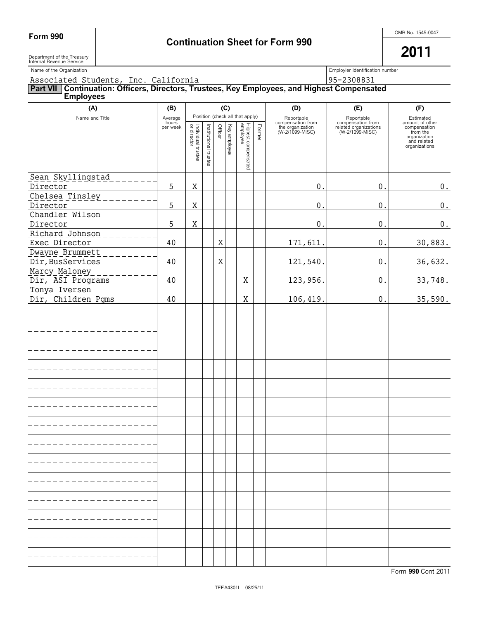**2011**

Department of the Treasury Internal Revenue Service

Name of the Organization number<br>
Employler Identification number

## Associated Students, Inc. California 195-2308831 **Part VII Continuation: Officers, Directors, Trustees, Key Employees, and Highest Compensated Employees (A) (B) (C) (D) (E) (F)** Name and Title **Average** Position (check all that apply) Estimated Reportable compensation from Reportable compensation from hours amount of other **Officer**  $\mathbf{Q}$ Individual employee Highest compensated Former per week Institutional Key the organization (W-2/1099-MISC) related organizations (W-2/1099-MISC) compensation from the organization director employee and related organizations trustee I trustee Sean Skyllingstad Director 5 X 0. 0. 0. Chelsea Tinsley Director 5 X 0. 0. 0. Chandler Wilson Director 5 X 0. 0. 0. Richard Johnson Exec Director 40 X 171,611. 0. 30,883. Dwayne Brummett Dir,BusServices 40 X 121,540. 0. 36,632. Marcy Maloney Dir, ASI Programs 40 X 123,956. 0. 33,748. Tonya Iversen Dir, Children Pgms 40 X 106,419. 0. 35,590.- - - - - - - - - - - ---------- $- - - - - - -$ --------------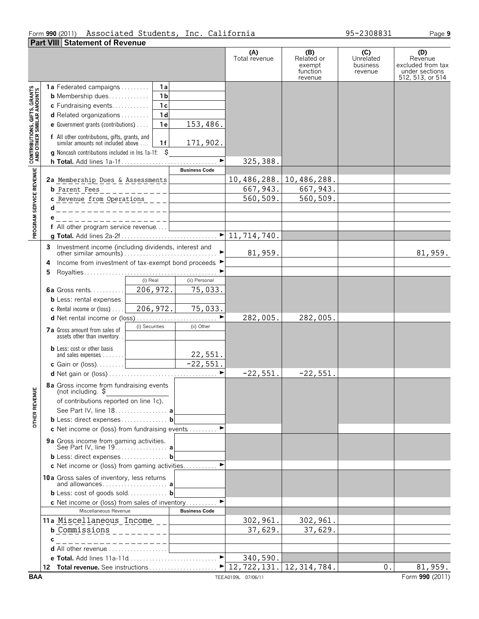### Form **990** (2011) Page **9** Associated Students, Inc. California 95-2308831

|                                                           | <b>Part VIII Statement of Revenue</b>                                                                                                                                                                                                                                                                                                               |                                      |                                                    |                                         |                                                                           |
|-----------------------------------------------------------|-----------------------------------------------------------------------------------------------------------------------------------------------------------------------------------------------------------------------------------------------------------------------------------------------------------------------------------------------------|--------------------------------------|----------------------------------------------------|-----------------------------------------|---------------------------------------------------------------------------|
|                                                           |                                                                                                                                                                                                                                                                                                                                                     | (A)<br>Total revenue                 | (B)<br>Related or<br>exempt<br>function<br>revenue | (C)<br>Unrelated<br>business<br>revenue | (D)<br>Revenue<br>excluded from tax<br>under sections<br>512, 513, or 514 |
| CONTRIBUTIONS, GIFTS, GRANTS<br>AND OTHER SIMILAR AMOUNTS | <b>1a</b> Federated campaigns<br>1a<br>1 <sub>b</sub><br><b>b</b> Membership dues<br>1c<br>c Fundraising events<br>1 <sub>d</sub><br><b>d</b> Related organizations $\ldots$<br>153,486.<br>e Government grants (contributions)<br>1 e<br><b>f</b> All other contributions, gifts, grants, and similar amounts not included above<br>171,902.<br>1f |                                      |                                                    |                                         |                                                                           |
|                                                           | \$<br>g Noncash contributions included in lns 1a-1f:                                                                                                                                                                                                                                                                                                |                                      |                                                    |                                         |                                                                           |
|                                                           | <b>Business Code</b>                                                                                                                                                                                                                                                                                                                                | 325,388.                             |                                                    |                                         |                                                                           |
| PROGRAM SERVICE REVENUE                                   | 2a Membership Dues & Assessments<br><b>b</b> Parent Fees<br>---------<br>c Revenue from Operations<br>d<br>- - - - - - - - - - - - - - - - - - - 1                                                                                                                                                                                                  | 10,486,288.<br>667, 943.<br>560,509. | 10,486,288.<br>667, 943.<br>560,509.               |                                         |                                                                           |
|                                                           | _ _ _ _ _ _ _ _ _ _ _ _ _ _ _ _ _ _ _                                                                                                                                                                                                                                                                                                               |                                      |                                                    |                                         |                                                                           |
|                                                           | f All other program service revenue                                                                                                                                                                                                                                                                                                                 |                                      |                                                    |                                         |                                                                           |
|                                                           |                                                                                                                                                                                                                                                                                                                                                     |                                      |                                                    |                                         |                                                                           |
|                                                           | Investment income (including dividends, interest and<br>3<br>Income from investment of tax-exempt bond proceeds ▶<br>4                                                                                                                                                                                                                              | 81,959.                              |                                                    |                                         | 81,959.                                                                   |
|                                                           | 5                                                                                                                                                                                                                                                                                                                                                   |                                      |                                                    |                                         |                                                                           |
|                                                           | (i) Real<br>(ii) Personal<br>206,972.<br>75,033.<br><b>6a</b> Gross rents<br><b>b</b> Less: rental expenses.<br>206, 972.<br>75,033.<br><b>c</b> Rental income or (loss) $\ldots$                                                                                                                                                                   |                                      |                                                    |                                         |                                                                           |
|                                                           | d Net rental income or (loss)                                                                                                                                                                                                                                                                                                                       | 282,005.                             | 282,005.                                           |                                         |                                                                           |
|                                                           | (i) Securities<br>(ii) Other<br>7a Gross amount from sales of<br>assets other than inventory<br><b>b</b> Less: cost or other basis<br>22,551.                                                                                                                                                                                                       |                                      |                                                    |                                         |                                                                           |
|                                                           | $-22,551.$<br>$\blacktriangleright$                                                                                                                                                                                                                                                                                                                 |                                      |                                                    |                                         |                                                                           |
| ш<br><b>OTHER REVENU</b>                                  | 8a Gross income from fundraising events<br>(not including. ๖<br>of contributions reported on line 1c).<br>See Part IV, line 18. a<br>b Less: direct expenses b<br>c Net income or (loss) from fundraising events ▶                                                                                                                                  | $-22,551.$                           | $-22,551.$                                         |                                         |                                                                           |
|                                                           | 9a Gross income from gaming activities.<br>b Less: direct expenses b                                                                                                                                                                                                                                                                                |                                      |                                                    |                                         |                                                                           |
|                                                           | c Net income or (loss) from gaming activities ▶                                                                                                                                                                                                                                                                                                     |                                      |                                                    |                                         |                                                                           |
|                                                           | 10a Gross sales of inventory, less returns<br>and allowances a                                                                                                                                                                                                                                                                                      |                                      |                                                    |                                         |                                                                           |
|                                                           | b Less: cost of goods sold b<br>$\blacktriangleright$                                                                                                                                                                                                                                                                                               |                                      |                                                    |                                         |                                                                           |
|                                                           | c Net income or (loss) from sales of inventory<br>Miscellaneous Revenue<br><b>Business Code</b>                                                                                                                                                                                                                                                     |                                      |                                                    |                                         |                                                                           |
|                                                           | 11a Miscellaneous Income<br>$\overline{\text{b}$ Commissions __________<br>___________________                                                                                                                                                                                                                                                      | 302,961.<br>37,629.                  | 302,961.<br>37,629.                                |                                         |                                                                           |
|                                                           | <b>d</b> All other revenue $\ldots$ , $\ldots$                                                                                                                                                                                                                                                                                                      |                                      |                                                    |                                         |                                                                           |
|                                                           |                                                                                                                                                                                                                                                                                                                                                     | 340,590.                             |                                                    |                                         |                                                                           |
|                                                           |                                                                                                                                                                                                                                                                                                                                                     |                                      |                                                    | 0.                                      | 81,959.                                                                   |
| <b>BAA</b>                                                |                                                                                                                                                                                                                                                                                                                                                     | TEEA0109L 07/06/11                   |                                                    |                                         | Form 990 (2011)                                                           |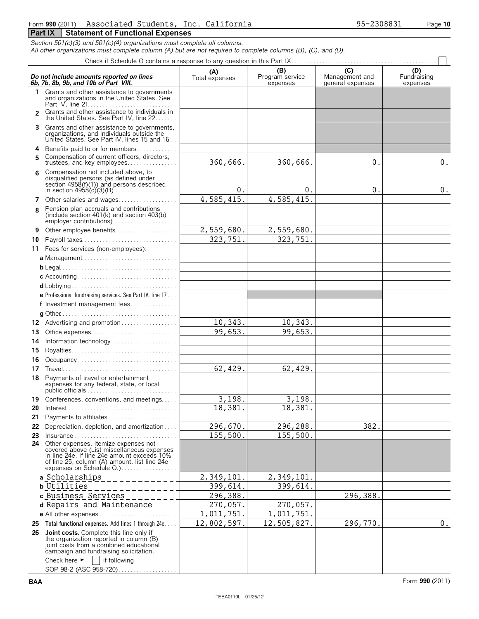### Form **990** (2011) Page **10** Associated Students, Inc. California 95-2308831 **Part IX | Statement of Functional Expenses**

*Section 501(c)(3) and 501(c)(4) organizations must complete all columns.*

*All other organizations must complete column (A) but are not required to complete columns (B), (C), and (D).*

|    | Do not include amounts reported on lines<br>6b, 7b, 8b, 9b, and 10b of Part VIII.                                                                                                                                      | (A)<br>Total expenses | (B)<br>Program service<br>expenses | (C)<br>Management and<br>general expenses | (D)<br>Fundraising<br>expenses |
|----|------------------------------------------------------------------------------------------------------------------------------------------------------------------------------------------------------------------------|-----------------------|------------------------------------|-------------------------------------------|--------------------------------|
| 1. | Grants and other assistance to governments<br>and organizations in the United States. See                                                                                                                              |                       |                                    |                                           |                                |
|    | Grants and other assistance to individuals in<br>the United States. See Part IV, line 22                                                                                                                               |                       |                                    |                                           |                                |
| 3  | Grants and other assistance to governments,<br>organizations, and individuals outside the<br>United States. See Part IV, lines 15 and 16                                                                               |                       |                                    |                                           |                                |
| 4  | Benefits paid to or for members                                                                                                                                                                                        |                       |                                    |                                           |                                |
| 5  | Compensation of current officers, directors,<br>trustees, and key employees                                                                                                                                            | 360,666.              | 360,666.                           | 0.                                        | 0.                             |
| 6  | Compensation not included above, to<br>disqualified persons (as defined under<br>section $4958(f)(1)$ and persons described                                                                                            | 0.                    | $\mathbf 0$ .                      | 0.                                        | 0.                             |
| 7  | Other salaries and wages                                                                                                                                                                                               | 4,585,415.            | 4,585,415                          |                                           |                                |
|    | Pension plan accruals and contributions<br>(include section $401(k)$ and section $403(b)$ )<br>employer contributions)                                                                                                 |                       |                                    |                                           |                                |
| 9  | Other employee benefits                                                                                                                                                                                                | 2,559,680.            | 2,559,680.                         |                                           |                                |
| 10 |                                                                                                                                                                                                                        | 323,751               | 323,751                            |                                           |                                |
|    | 11 Fees for services (non-employees):                                                                                                                                                                                  |                       |                                    |                                           |                                |
|    | a Management                                                                                                                                                                                                           |                       |                                    |                                           |                                |
|    |                                                                                                                                                                                                                        |                       |                                    |                                           |                                |
|    |                                                                                                                                                                                                                        |                       |                                    |                                           |                                |
|    |                                                                                                                                                                                                                        |                       |                                    |                                           |                                |
|    |                                                                                                                                                                                                                        |                       |                                    |                                           |                                |
|    | e Professional fundraising services. See Part IV, line 17                                                                                                                                                              |                       |                                    |                                           |                                |
|    | f Investment management fees                                                                                                                                                                                           |                       |                                    |                                           |                                |
|    |                                                                                                                                                                                                                        |                       |                                    |                                           |                                |
| 12 | Advertising and promotion                                                                                                                                                                                              | 10,343.               | 10,343.                            |                                           |                                |
| 13 | Office expenses                                                                                                                                                                                                        | 99,653.               | 99,653.                            |                                           |                                |
| 14 |                                                                                                                                                                                                                        |                       |                                    |                                           |                                |
| 15 |                                                                                                                                                                                                                        |                       |                                    |                                           |                                |
| 16 | Occupancy                                                                                                                                                                                                              |                       |                                    |                                           |                                |
| 17 |                                                                                                                                                                                                                        | 62,429.               | 62,429.                            |                                           |                                |
| 18 | Payments of travel or entertainment<br>expenses for any federal, state, or local                                                                                                                                       |                       |                                    |                                           |                                |
|    | <b>19</b> Conferences, conventions, and meetings                                                                                                                                                                       | 3,198.                | 3,198.                             |                                           |                                |
|    |                                                                                                                                                                                                                        | 18,381                | 18,381                             |                                           |                                |
| 21 | Payments to affiliates                                                                                                                                                                                                 |                       |                                    |                                           |                                |
| 22 | Depreciation, depletion, and amortization                                                                                                                                                                              | 296,670.              | 296,288.                           | 382.                                      |                                |
| 23 |                                                                                                                                                                                                                        | 155,500.              | 155,500.                           |                                           |                                |
|    | <b>24</b> Other expenses. Itemize expenses not<br>covered above (List miscellaneous expenses<br>in line 24e. If line 24e amount exceeds 10%<br>of line 25, column (A) amount, list line 24e<br>expenses on Schedule O. |                       |                                    |                                           |                                |
|    | a Scholarships                                                                                                                                                                                                         | 2,349,101.            | 2,349,101.                         |                                           |                                |
|    | <b>b</b> Utilities                                                                                                                                                                                                     | 399,614.              | 399,614.                           |                                           |                                |
|    | c Business Services                                                                                                                                                                                                    | 296,388.              |                                    | 296,388.                                  |                                |
|    | d Repairs and Maintenance                                                                                                                                                                                              | 270,057.              | 270,057.                           |                                           |                                |
|    | e All other expenses                                                                                                                                                                                                   | 1,011,751.            | 1,011,751.                         |                                           |                                |
|    | 25 Total functional expenses. Add lines 1 through 24e                                                                                                                                                                  | 12,802,597.           | 12,505,827.                        | 296,770.                                  | 0.                             |
|    | 26 Joint costs. Complete this line only if<br>the organization reported in column (B)<br>joint costs from a combined educational<br>campaign and fundraising solicitation.                                             |                       |                                    |                                           |                                |
|    | Check here $\blacktriangleright$<br>if following<br>SOP 98-2 (ASC 958-720)                                                                                                                                             |                       |                                    |                                           |                                |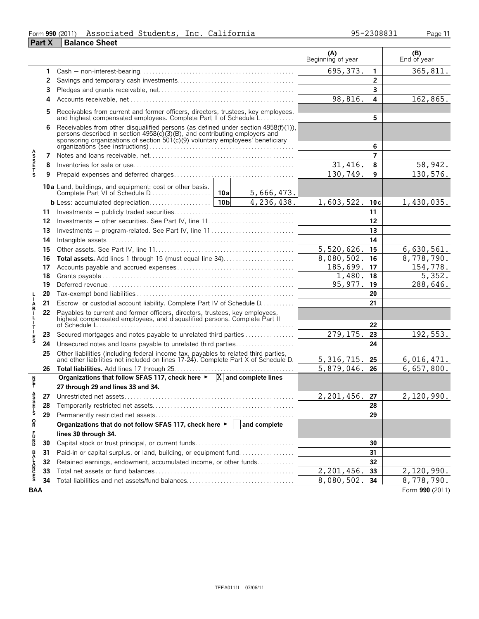### Form **990** (2011) Associated Students, Inc. California 95-2308831 Page 11 **Part X Balance Sheet**

|                       |    |                                                                                                                                                                                                                                                 |                 |            | (A)<br>Beginning of year |                | (B)<br>End of year |
|-----------------------|----|-------------------------------------------------------------------------------------------------------------------------------------------------------------------------------------------------------------------------------------------------|-----------------|------------|--------------------------|----------------|--------------------|
|                       | 1. |                                                                                                                                                                                                                                                 |                 |            | 695, 373.                | 1              | 365,811.           |
|                       | 2  |                                                                                                                                                                                                                                                 |                 |            |                          | $\overline{2}$ |                    |
|                       | 3  |                                                                                                                                                                                                                                                 |                 |            |                          | 3              |                    |
|                       | 4  |                                                                                                                                                                                                                                                 |                 |            | 98,816.                  | 4              | 162,865.           |
|                       | 5  | Receivables from current and former officers, directors, trustees, key employees, and highest compensated employees. Complete Part II of Schedule L                                                                                             |                 |            |                          | 5              |                    |
|                       | 6  |                                                                                                                                                                                                                                                 |                 |            |                          |                |                    |
|                       |    | Receivables from other disqualified persons (as defined under section 4958(f)(1)), persons described in section 4958(c)(3)(B), and contributing employers and<br>sponsoring organizations of section 501(c)(9) voluntary employees' beneficiary |                 |            | 6                        |                |                    |
|                       | 7  |                                                                                                                                                                                                                                                 |                 |            | $\overline{7}$           |                |                    |
| <b>ASSETS</b>         | 8  |                                                                                                                                                                                                                                                 |                 |            | 31,416.                  | 8              | 58,942.            |
|                       | 9  |                                                                                                                                                                                                                                                 |                 |            | 130,749.                 | 9              | 130,576.           |
|                       |    | 10a Land, buildings, and equipment: cost or other basis.<br>Complete Part VI of Schedule D                                                                                                                                                      | 10a             | 5,666,473. |                          |                |                    |
|                       |    | b Less: accumulated depreciation                                                                                                                                                                                                                | 10 <sub>b</sub> | 4,236,438. | 1,603,522.               | 10c            | 1,430,035.         |
|                       | 11 |                                                                                                                                                                                                                                                 |                 |            |                          | 11             |                    |
|                       | 12 |                                                                                                                                                                                                                                                 |                 |            |                          | 12             |                    |
|                       | 13 |                                                                                                                                                                                                                                                 |                 | 13         |                          |                |                    |
|                       | 14 |                                                                                                                                                                                                                                                 |                 |            |                          | 14             |                    |
|                       | 15 |                                                                                                                                                                                                                                                 |                 |            | 5,520,626.               | 15             | 6,630,561.         |
|                       | 16 |                                                                                                                                                                                                                                                 |                 |            | 8,080,502.               | 16             | 8,778,790.         |
|                       | 17 |                                                                                                                                                                                                                                                 |                 |            | 185,699.                 | 17             | 154,778.           |
|                       | 18 |                                                                                                                                                                                                                                                 |                 |            | 1,480                    | 18             | 5,352.             |
|                       | 19 |                                                                                                                                                                                                                                                 | 95, 977.        | 19         | 288,646.                 |                |                    |
|                       | 20 |                                                                                                                                                                                                                                                 |                 | 20         |                          |                |                    |
| A<br>B                | 21 | Escrow or custodial account liability. Complete Part IV of Schedule D.                                                                                                                                                                          |                 | 21         |                          |                |                    |
|                       | 22 | Payables to current and former officers, directors, trustees, key employees, highest compensated employees, and disqualified persons. Complete Part II                                                                                          |                 |            |                          | 22             |                    |
|                       | 23 | Secured mortgages and notes payable to unrelated third parties                                                                                                                                                                                  |                 |            | 279, 175.                | 23             | 192,553.           |
| $\frac{E}{S}$         | 24 | Unsecured notes and loans payable to unrelated third parties                                                                                                                                                                                    |                 |            |                          | 24             |                    |
|                       | 25 | Other liabilities (including federal income tax, payables to related third parties, and other liabilities not included on lines 17-24). Complete Part X of Schedule D.                                                                          |                 |            | 5, 316, 715.             | 25             | 6,016,471.         |
|                       | 26 |                                                                                                                                                                                                                                                 |                 |            | 5,879,046.               | 26             | 6,657,800.         |
| n<br>F                |    | Organizations that follow SFAS 117, check here $\blacktriangleright$ $ X $ and complete lines                                                                                                                                                   |                 |            |                          |                |                    |
|                       |    | 27 through 29 and lines 33 and 34.                                                                                                                                                                                                              |                 |            |                          |                |                    |
| A<br>S<br>S<br>T<br>S |    |                                                                                                                                                                                                                                                 |                 |            | 2,201,456.               | $27\,$         | 2,120,990.         |
|                       | 28 |                                                                                                                                                                                                                                                 |                 |            |                          | 28             |                    |
|                       | 29 |                                                                                                                                                                                                                                                 |                 |            |                          | 29             |                    |
| R                     |    | Organizations that do not follow SFAS 117, check here $\blacktriangleright$   and complete                                                                                                                                                      |                 |            |                          |                |                    |
| <b>PD20</b>           |    | lines 30 through 34.                                                                                                                                                                                                                            |                 |            |                          |                |                    |
|                       | 30 | Capital stock or trust principal, or current funds                                                                                                                                                                                              |                 |            |                          | 30             |                    |
|                       | 31 | Paid-in or capital surplus, or land, building, or equipment fund                                                                                                                                                                                |                 |            |                          | 31             |                    |
|                       | 32 | Retained earnings, endowment, accumulated income, or other funds                                                                                                                                                                                |                 |            |                          | 32             |                    |
| <b>BALANCES</b>       | 33 |                                                                                                                                                                                                                                                 |                 |            | 2,201,456.               | 33             | 2,120,990.         |
|                       | 34 | Total liabilities and net assets/fund balances                                                                                                                                                                                                  |                 |            | 8,080,502.               | 34             | 8,778,790.         |
| <b>BAA</b>            |    |                                                                                                                                                                                                                                                 |                 |            |                          |                | Form 990 (2011)    |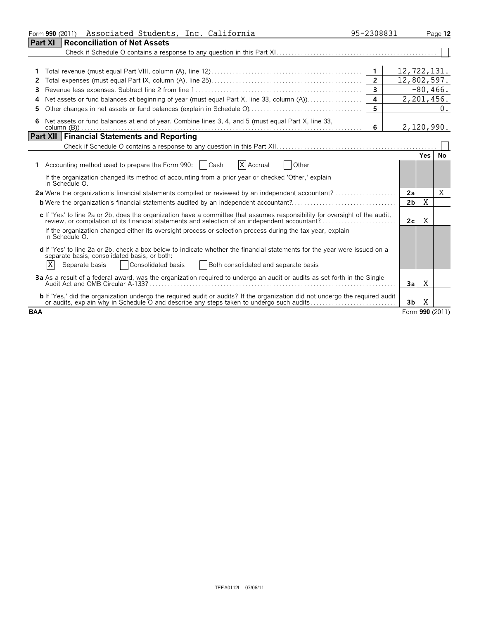| Associated Students, Inc. California<br>Form 990 (2011)                                                                                                                                                                       | 95-2308831     |                 |             | Page 12         |  |
|-------------------------------------------------------------------------------------------------------------------------------------------------------------------------------------------------------------------------------|----------------|-----------------|-------------|-----------------|--|
| <b>Reconciliation of Net Assets</b><br>Part XI                                                                                                                                                                                |                |                 |             |                 |  |
|                                                                                                                                                                                                                               |                |                 |             |                 |  |
|                                                                                                                                                                                                                               |                |                 |             |                 |  |
|                                                                                                                                                                                                                               |                | 12,722,131.     |             |                 |  |
| 2                                                                                                                                                                                                                             | $\overline{2}$ | 12,802,597.     |             |                 |  |
| 3                                                                                                                                                                                                                             | $\overline{3}$ |                 | $-80, 466.$ |                 |  |
| 4                                                                                                                                                                                                                             | 4              | 2,201,456.      |             |                 |  |
| 5                                                                                                                                                                                                                             | 5              |                 |             | 0.              |  |
| Net assets or fund balances at end of year. Combine lines 3, 4, and 5 (must equal Part X, line 33,<br>6                                                                                                                       | 6              | 2,120,990.      |             |                 |  |
| <b>Part XII Financial Statements and Reporting</b>                                                                                                                                                                            |                |                 |             |                 |  |
|                                                                                                                                                                                                                               |                |                 |             |                 |  |
|                                                                                                                                                                                                                               |                |                 | Yes I       | No              |  |
| X Accrual<br>Accounting method used to prepare the Form 990:   Cash<br><b>Other</b>                                                                                                                                           |                |                 |             |                 |  |
| If the organization changed its method of accounting from a prior year or checked 'Other,' explain<br>in Schedule O.                                                                                                          |                |                 |             |                 |  |
| 2a Were the organization's financial statements compiled or reviewed by an independent accountant?                                                                                                                            |                | 2a              |             | X               |  |
|                                                                                                                                                                                                                               |                | 2 <sub>b</sub>  | X           |                 |  |
| c If 'Yes' to line 2a or 2b, does the organization have a committee that assumes responsibility for oversight of the audit,<br>review, or compilation of its financial statements and selection of an independent accountant? |                | 2c <sub>1</sub> | Χ           |                 |  |
| If the organization changed either its oversight process or selection process during the tax year, explain<br>in Schedule O.                                                                                                  |                |                 |             |                 |  |
| d If 'Yes' to line 2a or 2b, check a box below to indicate whether the financial statements for the year were issued on a<br>separate basis, consolidated basis, or both:                                                     |                |                 |             |                 |  |
| ΙX<br>Consolidated basis<br>Both consolidated and separate basis<br>Separate basis                                                                                                                                            |                |                 |             |                 |  |
| 3a As a result of a federal award, was the organization required to undergo an audit or audits as set forth in the Single                                                                                                     |                | 3a              | Χ           |                 |  |
| b If 'Yes,' did the organization undergo the required audit or audits? If the organization did not undergo the required audit<br>or audits, explain why in Schedule O and describe any steps taken to undergo such audits     |                | 3 <sub>b</sub>  | X           |                 |  |
| <b>BAA</b>                                                                                                                                                                                                                    |                |                 |             | Form 990 (2011) |  |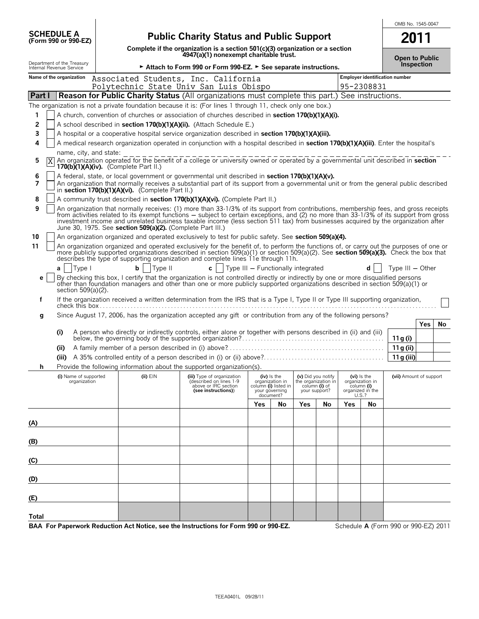|                                                        |  |                                                  |                                                                                                                                                                                                                                                                                                                                                                   |                                    |                                        |                     |                    |     |                                  | OMB No. 1545-0047                     |
|--------------------------------------------------------|--|--------------------------------------------------|-------------------------------------------------------------------------------------------------------------------------------------------------------------------------------------------------------------------------------------------------------------------------------------------------------------------------------------------------------------------|------------------------------------|----------------------------------------|---------------------|--------------------|-----|----------------------------------|---------------------------------------|
| <b>SCHEDULE A</b><br>(Form 990 or 990-EZ)              |  |                                                  | <b>Public Charity Status and Public Support</b>                                                                                                                                                                                                                                                                                                                   |                                    |                                        |                     |                    |     |                                  | 2011                                  |
|                                                        |  |                                                  | Complete if the organization is a section $501(c)(3)$ organization or a section<br>4947(a)(1) nonexempt charitable trust.                                                                                                                                                                                                                                         |                                    |                                        |                     |                    |     |                                  | <b>Open to Public</b>                 |
| Department of the Treasury<br>Internal Revenue Service |  |                                                  | ► Attach to Form 990 or Form 990-EZ. ► See separate instructions.                                                                                                                                                                                                                                                                                                 |                                    |                                        |                     |                    |     |                                  | Inspection                            |
| Name of the organization                               |  |                                                  | Associated Students, Inc. California<br>Polytechnic State Univ San Luis Obispo                                                                                                                                                                                                                                                                                    |                                    |                                        |                     |                    |     | 95-2308831                       | <b>Employer identification number</b> |
| <b>Part I</b>                                          |  |                                                  | <b>Reason for Public Charity Status (All organizations must complete this part.) See instructions.</b>                                                                                                                                                                                                                                                            |                                    |                                        |                     |                    |     |                                  |                                       |
|                                                        |  |                                                  | The organization is not a private foundation because it is: (For lines 1 through 11, check only one box.)                                                                                                                                                                                                                                                         |                                    |                                        |                     |                    |     |                                  |                                       |
| 1                                                      |  |                                                  | A church, convention of churches or association of churches described in <b>section 170(b)(1)(A)(i).</b>                                                                                                                                                                                                                                                          |                                    |                                        |                     |                    |     |                                  |                                       |
| 2                                                      |  |                                                  | A school described in section 170(b)(1)(A)(ii). (Attach Schedule E.)                                                                                                                                                                                                                                                                                              |                                    |                                        |                     |                    |     |                                  |                                       |
| 3                                                      |  |                                                  | A hospital or a cooperative hospital service organization described in section 170(b)(1)(A)(iii).                                                                                                                                                                                                                                                                 |                                    |                                        |                     |                    |     |                                  |                                       |
| 4                                                      |  |                                                  | A medical research organization operated in conjunction with a hospital described in section 170(b)(1)(A)(iii). Enter the hospital's                                                                                                                                                                                                                              |                                    |                                        |                     |                    |     |                                  |                                       |
| name, city, and state:                                 |  |                                                  |                                                                                                                                                                                                                                                                                                                                                                   |                                    |                                        |                     |                    |     |                                  |                                       |
| 5<br>Χ<br>170(b) $(1)(A)(iv)$ . (Complete Part II.)    |  |                                                  | An organization operated for the benefit of a college or university owned or operated by a governmental unit described in section                                                                                                                                                                                                                                 |                                    |                                        |                     |                    |     |                                  |                                       |
| 6                                                      |  |                                                  | A federal, state, or local government or governmental unit described in section 170(b)(1)(A)(v).                                                                                                                                                                                                                                                                  |                                    |                                        |                     |                    |     |                                  |                                       |
| 7                                                      |  | in section 170(b)(1)(A)(vi). (Complete Part II.) | An organization that normally receives a substantial part of its support from a governmental unit or from the general public described                                                                                                                                                                                                                            |                                    |                                        |                     |                    |     |                                  |                                       |
| 8                                                      |  |                                                  | A community trust described in section 170(b)(1)(A)(vi). (Complete Part II.)                                                                                                                                                                                                                                                                                      |                                    |                                        |                     |                    |     |                                  |                                       |
| 9                                                      |  |                                                  | An organization that normally receives: (1) more than 33-1/3% of its support from contributions, membership fees, and gross receipts<br>from activities related to its exempt functions – subject to certain exceptions, and (2) no more than 33-1/3% of its support from gross                                                                                   |                                    |                                        |                     |                    |     |                                  |                                       |
|                                                        |  |                                                  | investment income and unrelated business taxable income (less section 511 tax) from businesses acquired by the organization after<br>June 30, 1975. See section 509(a)(2). (Complete Part III.)                                                                                                                                                                   |                                    |                                        |                     |                    |     |                                  |                                       |
| 10                                                     |  |                                                  | An organization organized and operated exclusively to test for public safety. See section 509(a)(4).                                                                                                                                                                                                                                                              |                                    |                                        |                     |                    |     |                                  |                                       |
| 11                                                     |  |                                                  | An organization organized and operated exclusively for the benefit of, to perform the functions of, or carry out the purposes of one or<br>more publicly supported organizations described in section 509(a)(1) or section 509(a)(2). See section 509(a)(3). Check the box that describes the type of supporting organization and complete lines 11e through 11h. |                                    |                                        |                     |                    |     |                                  |                                       |
| Type I<br>a                                            |  | Type II<br>bl                                    | $c \mid \cdot$                                                                                                                                                                                                                                                                                                                                                    | Type III - Functionally integrated |                                        |                     |                    |     | d                                | Type $III - Other$                    |
| е<br>section 509(a)(2).                                |  |                                                  | By checking this box, I certify that the organization is not controlled directly or indirectly by one or more disqualified persons<br>other than foundation managers and other than one or more publicly supported organizations described in section 509(a)(1) or                                                                                                |                                    |                                        |                     |                    |     |                                  |                                       |
| f                                                      |  |                                                  | If the organization received a written determination from the IRS that is a Type I, Type II or Type III supporting organization,                                                                                                                                                                                                                                  |                                    |                                        |                     |                    |     |                                  |                                       |
| g                                                      |  |                                                  | Since August 17, 2006, has the organization accepted any gift or contribution from any of the following persons?                                                                                                                                                                                                                                                  |                                    |                                        |                     |                    |     |                                  |                                       |
|                                                        |  |                                                  |                                                                                                                                                                                                                                                                                                                                                                   |                                    |                                        |                     |                    |     |                                  | <b>Yes</b><br>No                      |
| (i)                                                    |  |                                                  | A person who directly or indirectly controls, either alone or together with persons described in (ii) and (iii)                                                                                                                                                                                                                                                   |                                    |                                        |                     |                    |     |                                  | 11 g (i)                              |
| (ii)                                                   |  |                                                  |                                                                                                                                                                                                                                                                                                                                                                   |                                    |                                        |                     |                    |     |                                  | 11g (ii)                              |
| (iii)                                                  |  |                                                  |                                                                                                                                                                                                                                                                                                                                                                   |                                    |                                        |                     |                    |     |                                  | 11g (iii)                             |
|                                                        |  |                                                  | Provide the following information about the supported organization(s).                                                                                                                                                                                                                                                                                            |                                    |                                        |                     |                    |     |                                  |                                       |
| (i) Name of supported<br>organization                  |  | $(ii)$ $EIN$                                     | (iii) Type of organization<br>(described on lines 1-9                                                                                                                                                                                                                                                                                                             |                                    | $(iv)$ is the<br>organization in       | the organization in | (v) Did you notify |     | $(vi)$ is the<br>organization in | (vii) Amount of support               |
|                                                        |  |                                                  | above or IRC section<br>(see instructions))                                                                                                                                                                                                                                                                                                                       |                                    | column (i) listed in<br>your governing | your support?       | column (i) of      |     | column (i)<br>organized in the   |                                       |
|                                                        |  |                                                  |                                                                                                                                                                                                                                                                                                                                                                   |                                    | document?                              | Yes                 |                    |     | U.S.?                            |                                       |
|                                                        |  |                                                  |                                                                                                                                                                                                                                                                                                                                                                   | Yes                                | No                                     |                     | No                 | Yes | No                               |                                       |
| (A)                                                    |  |                                                  |                                                                                                                                                                                                                                                                                                                                                                   |                                    |                                        |                     |                    |     |                                  |                                       |
|                                                        |  |                                                  |                                                                                                                                                                                                                                                                                                                                                                   |                                    |                                        |                     |                    |     |                                  |                                       |
| (B)                                                    |  |                                                  |                                                                                                                                                                                                                                                                                                                                                                   |                                    |                                        |                     |                    |     |                                  |                                       |
|                                                        |  |                                                  |                                                                                                                                                                                                                                                                                                                                                                   |                                    |                                        |                     |                    |     |                                  |                                       |
| (C)                                                    |  |                                                  |                                                                                                                                                                                                                                                                                                                                                                   |                                    |                                        |                     |                    |     |                                  |                                       |
| (D)                                                    |  |                                                  |                                                                                                                                                                                                                                                                                                                                                                   |                                    |                                        |                     |                    |     |                                  |                                       |
| (E)                                                    |  |                                                  |                                                                                                                                                                                                                                                                                                                                                                   |                                    |                                        |                     |                    |     |                                  |                                       |
| Total                                                  |  |                                                  |                                                                                                                                                                                                                                                                                                                                                                   |                                    |                                        |                     |                    |     |                                  |                                       |
|                                                        |  |                                                  | BAA For Paperwork Reduction Act Notice, see the Instructions for Form 990 or 990-EZ.                                                                                                                                                                                                                                                                              |                                    |                                        |                     |                    |     |                                  | Schedule A (Form 990 or 990-EZ) 2011  |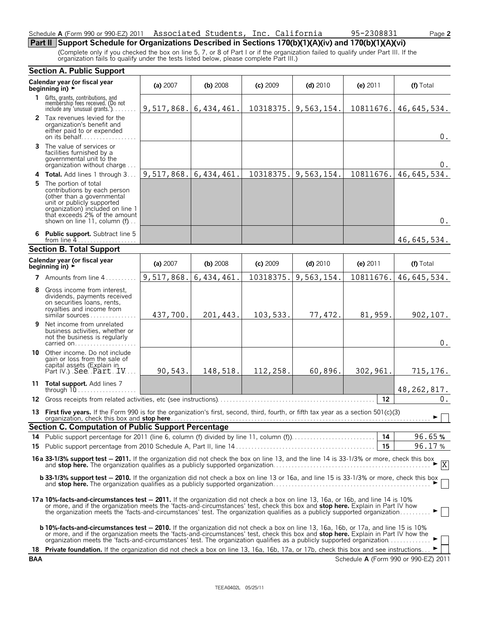### Schedule **A** (Form 990 or 990-EZ) 2011 Associated Students, Inc. California 95-2308831 Page 2

**Part II Support Schedule for Organizations Described in Sections 170(b)(1)(A)(iv) and 170(b)(1)(A)(vi)**

(Complete only if you checked the box on line 5, 7, or 8 of Part I or if the organization failed to qualify under Part III. If the organization fails to qualify under the tests listed below, please complete Part III.)

|            | <b>Section A. Public Support</b>                                                                                                                                                                                                                                                                                                                                                                            |            |              |            |            |            |                                      |
|------------|-------------------------------------------------------------------------------------------------------------------------------------------------------------------------------------------------------------------------------------------------------------------------------------------------------------------------------------------------------------------------------------------------------------|------------|--------------|------------|------------|------------|--------------------------------------|
|            | Calendar year (or fiscal year<br>beginning in) $\rightarrow$                                                                                                                                                                                                                                                                                                                                                | (a) 2007   | $(b)$ 2008   | $(c)$ 2009 | $(d)$ 2010 | (e) $2011$ | (f) Total                            |
|            | 1 Gifts, grants, contributions, and<br>membership fees received. (Do not<br>include any 'unusual grants.'). $\dots$ .                                                                                                                                                                                                                                                                                       | 9,517,868. | 6, 434, 461. | 10318375.  | 9,563,154. | 10811676.  | 46,645,534.                          |
|            | 2 Tax revenues levied for the<br>organization's benefit and<br>either paid to or expended<br>on its behalf                                                                                                                                                                                                                                                                                                  |            |              |            |            |            | $0$ .                                |
|            | <b>3</b> The value of services or<br>facilities furnished by a<br>governmental unit to the<br>organization without charge                                                                                                                                                                                                                                                                                   |            |              |            |            |            | 0.                                   |
|            | 4 Total. Add lines 1 through 3                                                                                                                                                                                                                                                                                                                                                                              | 9,517,868. | 6, 434, 461. | 10318375.  | 9,563,154. | 10811676.  | 46,645,534.                          |
|            | <b>5</b> The portion of total<br>contributions by each person<br>(other than a governmental<br>unit or publicly supported<br>organization) included on line 1<br>that exceeds 2% of the amount<br>shown on line 11, column (f)                                                                                                                                                                              |            |              |            |            |            | $0$ .                                |
|            | 6 Public support. Subtract line 5<br>from line $4$                                                                                                                                                                                                                                                                                                                                                          |            |              |            |            |            | 46,645,534.                          |
|            | <b>Section B. Total Support</b>                                                                                                                                                                                                                                                                                                                                                                             |            |              |            |            |            |                                      |
|            | Calendar year (or fiscal year<br>beginning in) $\overline{\phantom{a}}$                                                                                                                                                                                                                                                                                                                                     | (a) 2007   | $(b)$ 2008   | (c) 2009   | $(d)$ 2010 | (e) $2011$ | (f) Total                            |
|            | 7 Amounts from line 4                                                                                                                                                                                                                                                                                                                                                                                       | 9,517,868. | 6,434,461.   | 10318375.  | 9,563,154. | 10811676.  | 46,645,534.                          |
| 8          | Gross income from interest.<br>dividends, payments received<br>on securities loans, rents,<br>royalties and income from<br>similar sources                                                                                                                                                                                                                                                                  | 437,700.   | 201,443.     | 103,533.   | 77,472.    | 81,959.    | 902, 107.                            |
| 9          | Net income from unrelated<br>business activities, whether or<br>not the business is regularly<br>carried on                                                                                                                                                                                                                                                                                                 |            |              |            |            |            | $0$ .                                |
|            | <b>10</b> Other income. Do not include<br>gain or loss from the sale of<br>capital assets (Explain in<br>Part IV.) See Part IV                                                                                                                                                                                                                                                                              | 90,543.    | 148,518.     | 112,258.   | 60,896.    | 302,961.   | 715, 176.                            |
|            | 11 Total support. Add lines 7<br>through $10$                                                                                                                                                                                                                                                                                                                                                               |            |              |            |            |            | 48, 262, 817.                        |
|            |                                                                                                                                                                                                                                                                                                                                                                                                             |            |              |            |            | 12         | $0$ .                                |
|            | 13 First five years. If the Form 990 is for the organization's first, second, third, fourth, or fifth tax year as a section 501(c)(3)                                                                                                                                                                                                                                                                       |            |              |            |            |            | $\blacktriangleright$ $\vdash$       |
|            | Section C. Computation of Public Support Percentage                                                                                                                                                                                                                                                                                                                                                         |            |              |            |            |            |                                      |
|            |                                                                                                                                                                                                                                                                                                                                                                                                             |            |              |            |            | 14         | 96.65%                               |
|            |                                                                                                                                                                                                                                                                                                                                                                                                             |            |              |            |            | 15         | 96.17%                               |
|            | <b>16a 33-1/3% support test - 2011.</b> If the organization did not check the box on line 13, and the line 14 is 33-1/3% or more, check this box and <b>stop here.</b> The organization qualifies as a publicly supported organization.                                                                                                                                                                     |            |              |            |            |            |                                      |
|            | <b>b 33-1/3% support test - 2010.</b> If the organization did not check a box on line 13 or 16a, and line 15 is 33-1/3% or more, check this box                                                                                                                                                                                                                                                             |            |              |            |            |            |                                      |
|            | 17a 10%-facts-and-circumstances test – 2011. If the organization did not check a box on line 13, 16a, or 16b, and line 14 is 10%<br>or more, and if the organization meets the 'facts-and-circumstances' test, check this box and stop here. Explain in Part IV how<br>the organization meets the 'facts-and-circumstances' test. The organization qualifies as a publicly supported organization           |            |              |            |            |            |                                      |
|            | <b>b 10%-facts-and-circumstances test – 2010.</b> If the organization did not check a box on line 13, 16a, 16b, or 17a, and line 15 is 10%<br>or more, and if the organization meets the 'facts-and-circumstances' test, check this box and stop here. Explain in Part IV how the<br>organization meets the 'facts-and-circumstances' test. The organization qualifies as a publicly supported organization |            |              |            |            |            |                                      |
|            | 18 Private foundation. If the organization did not check a box on line 13, 16a, 16b, 17a, or 17b, check this box and see instructions                                                                                                                                                                                                                                                                       |            |              |            |            |            |                                      |
| <b>BAA</b> |                                                                                                                                                                                                                                                                                                                                                                                                             |            |              |            |            |            | Schedule A (Form 990 or 990-EZ) 2011 |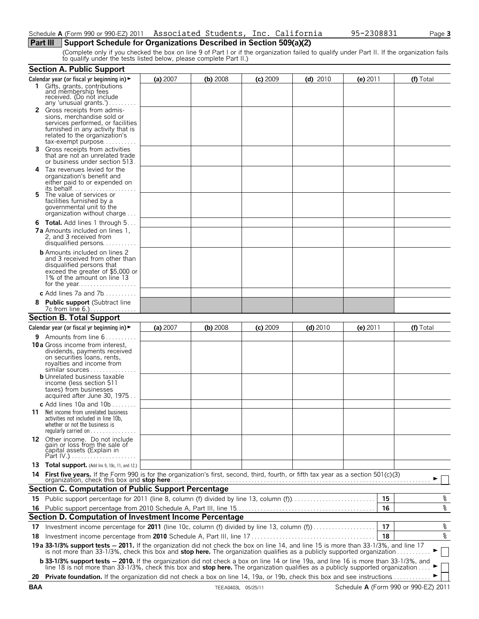(Complete only if you checked the box on line 9 of Part I or if the organization failed to qualify under Part II. If the organization fails to qualify under the tests listed below, please complete Part II.)

|    | <b>Section A. Public Support</b>                                                                                                                                                                                                         |          |          |            |            |            |           |
|----|------------------------------------------------------------------------------------------------------------------------------------------------------------------------------------------------------------------------------------------|----------|----------|------------|------------|------------|-----------|
|    | Calendar year (or fiscal yr beginning in) $\blacktriangleright$                                                                                                                                                                          | (a) 2007 | (b) 2008 | $(c)$ 2009 | $(d)$ 2010 | (e) $2011$ | (f) Total |
|    | 1 Gifts, grants, contributions<br>and membership fees<br>received. (Do not include                                                                                                                                                       |          |          |            |            |            |           |
|    | any 'unusual grants.')<br><b>2</b> Gross receipts from admis-                                                                                                                                                                            |          |          |            |            |            |           |
|    | sions, merchandise sold or                                                                                                                                                                                                               |          |          |            |            |            |           |
|    | services performed, or facilities<br>furnished in any activity that is                                                                                                                                                                   |          |          |            |            |            |           |
|    | related to the organization's                                                                                                                                                                                                            |          |          |            |            |            |           |
|    | tax-exempt purpose                                                                                                                                                                                                                       |          |          |            |            |            |           |
| З. | Gross receipts from activities<br>that are not an unrelated trade<br>or business under section 513.                                                                                                                                      |          |          |            |            |            |           |
|    | 4 Tax revenues levied for the                                                                                                                                                                                                            |          |          |            |            |            |           |
|    | organization's benefit and<br>either paid to or expended on                                                                                                                                                                              |          |          |            |            |            |           |
|    |                                                                                                                                                                                                                                          |          |          |            |            |            |           |
| 5. | The value of services or<br>facilities furnished by a                                                                                                                                                                                    |          |          |            |            |            |           |
|    | governmental unit to the                                                                                                                                                                                                                 |          |          |            |            |            |           |
|    | organization without charge                                                                                                                                                                                                              |          |          |            |            |            |           |
|    | <b>6 Total.</b> Add lines 1 through 5                                                                                                                                                                                                    |          |          |            |            |            |           |
|    | <b>7a</b> Amounts included on lines 1.<br>2, and 3 received from                                                                                                                                                                         |          |          |            |            |            |           |
|    |                                                                                                                                                                                                                                          |          |          |            |            |            |           |
|    | <b>b</b> Amounts included on lines 2                                                                                                                                                                                                     |          |          |            |            |            |           |
|    | and 3 received from other than<br>disqualified persons that                                                                                                                                                                              |          |          |            |            |            |           |
|    | exceed the greater of \$5,000 or                                                                                                                                                                                                         |          |          |            |            |            |           |
|    | 1% of the amount on line 13                                                                                                                                                                                                              |          |          |            |            |            |           |
|    | c Add lines 7a and 7b.                                                                                                                                                                                                                   |          |          |            |            |            |           |
|    | 8 Public support (Subtract line                                                                                                                                                                                                          |          |          |            |            |            |           |
|    | 7c from line 6.)                                                                                                                                                                                                                         |          |          |            |            |            |           |
|    | <b>Section B. Total Support</b>                                                                                                                                                                                                          |          |          |            |            |            |           |
|    | Calendar year (or fiscal yr beginning in) $\blacktriangleright$                                                                                                                                                                          | (a) 2007 | (b) 2008 | $(c)$ 2009 | $(d)$ 2010 | (e) $2011$ | (f) Total |
|    | <b>9</b> Amounts from line $6$                                                                                                                                                                                                           |          |          |            |            |            |           |
|    | <b>10a</b> Gross income from interest,                                                                                                                                                                                                   |          |          |            |            |            |           |
|    | dividends, payments received<br>on securities loans, rents,                                                                                                                                                                              |          |          |            |            |            |           |
|    | royalties and income from                                                                                                                                                                                                                |          |          |            |            |            |           |
|    | similar sources<br><b>b</b> Unrelated business taxable                                                                                                                                                                                   |          |          |            |            |            |           |
|    | income (less section 511                                                                                                                                                                                                                 |          |          |            |            |            |           |
|    | taxes) from businesses                                                                                                                                                                                                                   |          |          |            |            |            |           |
|    | acquired after June 30, 1975<br>c Add lines 10a and $10b$                                                                                                                                                                                |          |          |            |            |            |           |
|    | <b>11</b> Net income from unrelated business                                                                                                                                                                                             |          |          |            |            |            |           |
|    | activities not included in line 10b,                                                                                                                                                                                                     |          |          |            |            |            |           |
|    | whether or not the business is<br>regularly carried on                                                                                                                                                                                   |          |          |            |            |            |           |
|    |                                                                                                                                                                                                                                          |          |          |            |            |            |           |
|    | <b>12</b> Other income. Do not include gain or loss from the sale of                                                                                                                                                                     |          |          |            |            |            |           |
|    | čapital assets (Explain in                                                                                                                                                                                                               |          |          |            |            |            |           |
|    | 13 Total support. (Add Ins 9, 10c, 11, and 12.)                                                                                                                                                                                          |          |          |            |            |            |           |
| 14 |                                                                                                                                                                                                                                          |          |          |            |            |            |           |
|    | <b>Section C. Computation of Public Support Percentage</b>                                                                                                                                                                               |          |          |            |            |            |           |
|    |                                                                                                                                                                                                                                          |          |          |            |            | 15         | %         |
|    |                                                                                                                                                                                                                                          |          |          |            |            | 16         | %         |
| 16 | Section D. Computation of Investment Income Percentage                                                                                                                                                                                   |          |          |            |            |            |           |
|    | 17 Investment income percentage for 2011 (line 10c, column (f) divided by line 13, column (f)                                                                                                                                            |          |          |            |            | 17         | %         |
| 18 |                                                                                                                                                                                                                                          |          |          |            |            | 18         | %         |
|    | 19 a 33-1/3% support tests - 2011. If the organization did not check the box on line 14, and line 15 is more than 33-1/3%, and line 17                                                                                                   |          |          |            |            |            |           |
|    | is not more than 33-1/3%, check this box and stop here. The organization qualifies as a publicly supported organization                                                                                                                  |          |          |            |            |            |           |
|    | <b>b 33-1/3% support tests - 2010.</b> If the organization did not check a box on line 14 or line 19a, and line 16 is more than 33-1/3%, and line 18 is not more than 33-1/3%, check this box and <b>stop here.</b> The organization qua |          |          |            |            |            |           |
|    | 20 Private foundation. If the organization did not check a box on line 14, 19a, or 19b, check this box and see instructions                                                                                                              |          |          |            |            |            |           |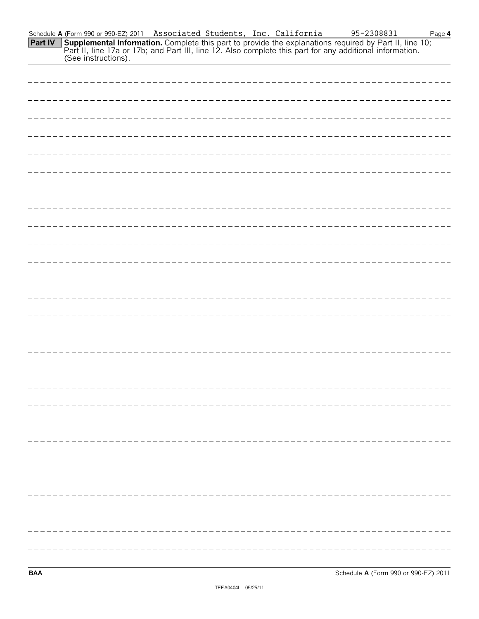Schedule **A** (Form 990 or 990-EZ) 2011 Page **4 Supplemental Information.** Complete this part to provide the explanations required by Part II, line 10; Part II, line 17a or 17b; and Part III, line 12. Also complete this part for any additional information. (See instructions). **Part IV** Associated Students, Inc. California 95-2308831

**BAA** Schedule **A** (Form 990 or 990-EZ) 2011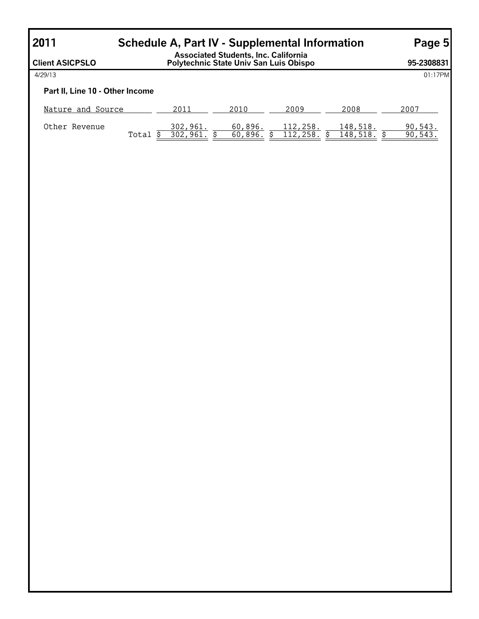# **2011 Schedule A, Part IV - Supplemental Information Page 5**

| <b>Client ASICPSLO</b>          |       | <b>Associated Students, Inc. California</b><br>Polytechnic State Univ San Luis Obispo |                    | 95-2308831           |                      |                    |
|---------------------------------|-------|---------------------------------------------------------------------------------------|--------------------|----------------------|----------------------|--------------------|
| 4/29/13                         |       |                                                                                       |                    |                      |                      | 01:17PM            |
| Part II, Line 10 - Other Income |       |                                                                                       |                    |                      |                      |                    |
| Nature and Source               |       | 2011                                                                                  | 2010               | 2009                 | 2008                 | 2007               |
| Other Revenue                   | Total | 302,961.<br>302,961                                                                   | 60,896.<br>60,896. | 112,258.<br>112,258. | 148,518.<br>148,518. | 90,543.<br>90,543. |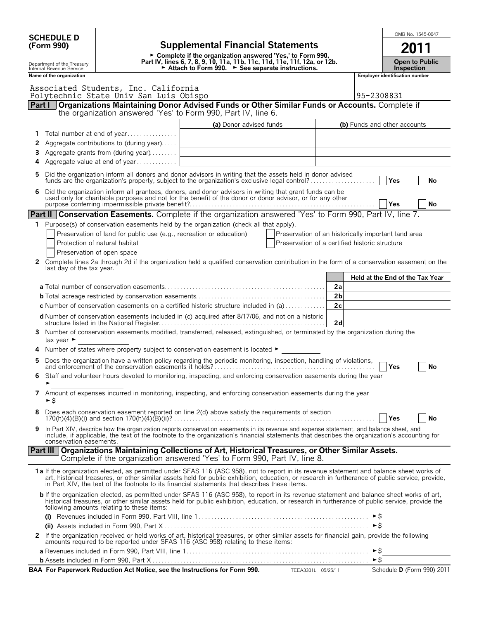|        | <b>SCHEDULE D</b><br>(Form 990)                        |                                                                                 | <b>Supplemental Financial Statements</b>                                                                                                                                                                                                                                                                                                                                                      |                      |                                 |                                            | OMB No. 1545-0047 |           |
|--------|--------------------------------------------------------|---------------------------------------------------------------------------------|-----------------------------------------------------------------------------------------------------------------------------------------------------------------------------------------------------------------------------------------------------------------------------------------------------------------------------------------------------------------------------------------------|----------------------|---------------------------------|--------------------------------------------|-------------------|-----------|
|        |                                                        |                                                                                 | ► Complete if the organization answered 'Yes,' to Form 990,                                                                                                                                                                                                                                                                                                                                   |                      |                                 |                                            |                   |           |
|        | Department of the Treasury<br>Internal Revenue Service |                                                                                 | Part IV, lines 6, 7, 8, 9, 10, 11a, 11b, 11c, 11d, 11e, 11f, 12a, or 12b.<br>► Attach to Form 990. ► See separate instructions.                                                                                                                                                                                                                                                               |                      |                                 | <b>Open to Public</b><br><b>Inspection</b> |                   |           |
|        | Name of the organization                               |                                                                                 |                                                                                                                                                                                                                                                                                                                                                                                               |                      | Employer identification number  |                                            |                   |           |
|        |                                                        | Associated Students, Inc. California<br>Polytechnic State Univ San Luis Obispo  |                                                                                                                                                                                                                                                                                                                                                                                               |                      | 95-2308831                      |                                            |                   |           |
|        | Part I                                                 |                                                                                 | Organizations Maintaining Donor Advised Funds or Other Similar Funds or Accounts. Complete if<br>the organization answered 'Yes' to Form 990, Part IV, line 6.                                                                                                                                                                                                                                |                      |                                 |                                            |                   |           |
|        |                                                        |                                                                                 | (a) Donor advised funds                                                                                                                                                                                                                                                                                                                                                                       |                      | (b) Funds and other accounts    |                                            |                   |           |
| 1      |                                                        | Total number at end of year                                                     |                                                                                                                                                                                                                                                                                                                                                                                               |                      |                                 |                                            |                   |           |
| 2<br>3 |                                                        | Aggregate contributions to (during year)<br>Aggregate grants from (during year) | <u> 1989 - Johann Barbara, martxa alemaniar amerikan a</u>                                                                                                                                                                                                                                                                                                                                    |                      |                                 |                                            |                   |           |
| 4      |                                                        | Aggregate value at end of year                                                  |                                                                                                                                                                                                                                                                                                                                                                                               |                      |                                 |                                            |                   |           |
| 5      |                                                        |                                                                                 | Did the organization inform all donors and donor advisors in writing that the assets held in donor advised<br>funds are the organization's property, subject to the organization's exclusive legal control?                                                                                                                                                                                   |                      |                                 | Yes                                        |                   | No        |
| 6      |                                                        |                                                                                 | Did the organization inform all grantees, donors, and donor advisors in writing that grant funds can be used only for charitable purposes and not for the benefit of the donor or donor advisor, or for any other                                                                                                                                                                             |                      |                                 |                                            |                   |           |
|        |                                                        |                                                                                 |                                                                                                                                                                                                                                                                                                                                                                                               |                      |                                 | <b>Yes</b>                                 |                   | No        |
|        |                                                        |                                                                                 | <b>Part II Conservation Easements.</b> Complete if the organization answered 'Yes' to Form 990, Part IV, line 7.                                                                                                                                                                                                                                                                              |                      |                                 |                                            |                   |           |
| 1.     |                                                        | Preservation of land for public use (e.g., recreation or education)             | Purpose(s) of conservation easements held by the organization (check all that apply).<br>Preservation of an historically important land area                                                                                                                                                                                                                                                  |                      |                                 |                                            |                   |           |
|        |                                                        | Protection of natural habitat                                                   | Preservation of a certified historic structure                                                                                                                                                                                                                                                                                                                                                |                      |                                 |                                            |                   |           |
|        |                                                        | Preservation of open space                                                      |                                                                                                                                                                                                                                                                                                                                                                                               |                      |                                 |                                            |                   |           |
| 2      | last day of the tax year.                              |                                                                                 | Complete lines 2a through 2d if the organization held a qualified conservation contribution in the form of a conservation easement on the                                                                                                                                                                                                                                                     |                      |                                 |                                            |                   |           |
|        |                                                        |                                                                                 |                                                                                                                                                                                                                                                                                                                                                                                               |                      | Held at the End of the Tax Year |                                            |                   |           |
|        |                                                        |                                                                                 |                                                                                                                                                                                                                                                                                                                                                                                               | 2a                   |                                 |                                            |                   |           |
|        |                                                        |                                                                                 | <b>c</b> Number of conservation easements on a certified historic structure included in (a)                                                                                                                                                                                                                                                                                                   | 2 <sub>b</sub><br>2c |                                 |                                            |                   |           |
|        |                                                        |                                                                                 | d Number of conservation easements included in (c) acquired after 8/17/06, and not on a historic                                                                                                                                                                                                                                                                                              | 2d                   |                                 |                                            |                   |           |
| 3      | tax year $\blacktriangleright$                         |                                                                                 | Number of conservation easements modified, transferred, released, extinguished, or terminated by the organization during the                                                                                                                                                                                                                                                                  |                      |                                 |                                            |                   |           |
|        |                                                        |                                                                                 | Number of states where property subject to conservation easement is located ►                                                                                                                                                                                                                                                                                                                 |                      |                                 |                                            |                   |           |
| 5      |                                                        |                                                                                 |                                                                                                                                                                                                                                                                                                                                                                                               |                      |                                 | Yes                                        |                   | No        |
|        | ►                                                      |                                                                                 | Staff and volunteer hours devoted to monitoring, inspecting, and enforcing conservation easements during the year                                                                                                                                                                                                                                                                             |                      |                                 |                                            |                   |           |
| 7      | ► \$                                                   |                                                                                 | Amount of expenses incurred in monitoring, inspecting, and enforcing conservation easements during the year                                                                                                                                                                                                                                                                                   |                      |                                 |                                            |                   |           |
| 8      |                                                        |                                                                                 | Does each conservation easement reported on line 2(d) above satisfy the requirements of section                                                                                                                                                                                                                                                                                               |                      |                                 | <b>PYes</b>                                |                   | <b>No</b> |
| 9      | conservation easements.                                |                                                                                 | In Part XIV, describe how the organization reports conservation easements in its revenue and expense statement, and balance sheet, and<br>include, if applicable, the text of the footnote to the organization's financial statements that describes the organization's accounting for                                                                                                        |                      |                                 |                                            |                   |           |
|        |                                                        |                                                                                 | Part III   Organizations Maintaining Collections of Art, Historical Treasures, or Other Similar Assets.<br>Complete if the organization answered 'Yes' to Form 990, Part IV, line 8.                                                                                                                                                                                                          |                      |                                 |                                            |                   |           |
|        |                                                        |                                                                                 | 1a If the organization elected, as permitted under SFAS 116 (ASC 958), not to report in its revenue statement and balance sheet works of<br>art, historical treasures, or other similar assets held for public exhibition, education, or research in furtherance of public service, provide,<br>in Part XIV, the text of the footnote to its financial statements that describes these items. |                      |                                 |                                            |                   |           |
|        |                                                        | following amounts relating to these items:                                      | <b>b</b> If the organization elected, as permitted under SFAS 116 (ASC 958), to report in its revenue statement and balance sheet works of art,<br>historical treasures, or other similar assets held for public exhibition, education, or research in furtherance of public service, provide the                                                                                             |                      |                                 |                                            |                   |           |
|        |                                                        |                                                                                 |                                                                                                                                                                                                                                                                                                                                                                                               |                      | $\blacktriangleright$ \$        |                                            |                   |           |
|        |                                                        |                                                                                 | 2 If the organization received or held works of art, historical treasures, or other similar assets for financial gain, provide the following amounts required to be reported under SFAS 116 (ASC 958) relating to these items:                                                                                                                                                                |                      |                                 |                                            |                   |           |
|        |                                                        |                                                                                 |                                                                                                                                                                                                                                                                                                                                                                                               |                      |                                 |                                            |                   |           |
|        |                                                        |                                                                                 | b Assets included in Form 990, Part X……………………………………………………………………………… ► \$<br>BAA For Paperwork Reduction Act Notice, see the Instructions for Form 990. TEEA3301L 05/25/11                                                                                                                                                                                                                     |                      |                                 | Schedule <b>D</b> (Form 990) 2011          |                   |           |
|        |                                                        |                                                                                 |                                                                                                                                                                                                                                                                                                                                                                                               |                      |                                 |                                            |                   |           |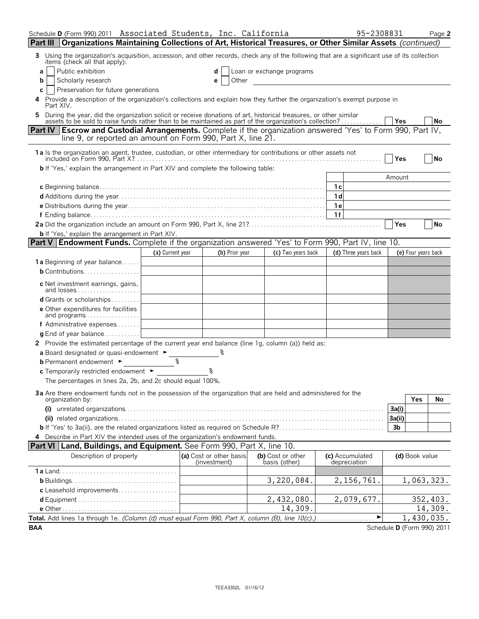| Schedule D (Form 990) 2011 Associated Students, Inc. California                                                                                                                                                                |                  |  |                                         |  |                                    |                                 | 95-2308831           |                |                     | Page 2                     |
|--------------------------------------------------------------------------------------------------------------------------------------------------------------------------------------------------------------------------------|------------------|--|-----------------------------------------|--|------------------------------------|---------------------------------|----------------------|----------------|---------------------|----------------------------|
| Organizations Maintaining Collections of Art, Historical Treasures, or Other Similar Assets (continued)<br>Part III                                                                                                            |                  |  |                                         |  |                                    |                                 |                      |                |                     |                            |
| Using the organization's acquisition, accession, and other records, check any of the following that are a significant use of its collection<br>3.<br>items (check all that apply):                                             |                  |  |                                         |  |                                    |                                 |                      |                |                     |                            |
| Public exhibition<br>a                                                                                                                                                                                                         |                  |  |                                         |  | Loan or exchange programs          |                                 |                      |                |                     |                            |
| Scholarly research<br>Other<br>b<br>e                                                                                                                                                                                          |                  |  |                                         |  |                                    |                                 |                      |                |                     |                            |
| Preservation for future generations<br>С<br>Provide a description of the organization's collections and explain how they further the organization's exempt purpose in<br>4<br>Part XIV.                                        |                  |  |                                         |  |                                    |                                 |                      |                |                     |                            |
| 5 During the year, did the organization solicit or receive donations of art, historical treasures, or other similar<br>assets to be sold to raise funds rather than to be maintained as part of the organization's collection? |                  |  |                                         |  |                                    |                                 |                      | <b>Yes</b>     |                     | No                         |
| <b>Escrow and Custodial Arrangements.</b> Complete if the organization answered 'Yes' to Form 990, Part IV,<br><b>Part IV</b><br>line 9, or reported an amount on Form 990, Part X, line 21.                                   |                  |  |                                         |  |                                    |                                 |                      |                |                     |                            |
| 1a Is the organization an agent, trustee, custodian, or other intermediary for contributions or other assets not                                                                                                               |                  |  |                                         |  |                                    |                                 |                      | Yes            |                     | No                         |
| <b>b</b> If 'Yes,' explain the arrangement in Part XIV and complete the following table:                                                                                                                                       |                  |  |                                         |  |                                    |                                 |                      | Amount         |                     |                            |
|                                                                                                                                                                                                                                |                  |  |                                         |  |                                    | 1c                              |                      |                |                     |                            |
|                                                                                                                                                                                                                                |                  |  |                                         |  |                                    | 1 <sub>d</sub>                  |                      |                |                     |                            |
|                                                                                                                                                                                                                                |                  |  |                                         |  |                                    | 1 e                             |                      |                |                     |                            |
|                                                                                                                                                                                                                                |                  |  |                                         |  |                                    |                                 |                      |                |                     |                            |
| <b>b</b> If 'Yes,' explain the arrangement in Part XIV.                                                                                                                                                                        |                  |  |                                         |  |                                    |                                 |                      | Yes            |                     | <b>No</b>                  |
| <b>Part V Endowment Funds.</b> Complete if the organization answered 'Yes' to Form 990, Part IV, line 10.                                                                                                                      |                  |  |                                         |  |                                    |                                 |                      |                |                     |                            |
|                                                                                                                                                                                                                                | (a) Current year |  | (b) Prior year                          |  | (c) Two years back                 |                                 | (d) Three years back |                | (e) Four years back |                            |
| 1a Beginning of year balance                                                                                                                                                                                                   |                  |  |                                         |  |                                    |                                 |                      |                |                     |                            |
| <b>b</b> Contributions                                                                                                                                                                                                         |                  |  |                                         |  |                                    |                                 |                      |                |                     |                            |
| c Net investment earnings, gains,                                                                                                                                                                                              |                  |  |                                         |  |                                    |                                 |                      |                |                     |                            |
| d Grants or scholarships                                                                                                                                                                                                       |                  |  |                                         |  |                                    |                                 |                      |                |                     |                            |
| <b>e</b> Other expenditures for facilities<br>and programs                                                                                                                                                                     |                  |  |                                         |  |                                    |                                 |                      |                |                     |                            |
| <b>f</b> Administrative expenses $\dots$                                                                                                                                                                                       |                  |  |                                         |  |                                    |                                 |                      |                |                     |                            |
| <b>g</b> End of year balance $\ldots \ldots \ldots$                                                                                                                                                                            |                  |  |                                         |  |                                    |                                 |                      |                |                     |                            |
| 2 Provide the estimated percentage of the current year end balance (line 1g, column (a)) held as:                                                                                                                              |                  |  |                                         |  |                                    |                                 |                      |                |                     |                            |
| a Board designated or quasi-endowment ►                                                                                                                                                                                        | ୡ                |  |                                         |  |                                    |                                 |                      |                |                     |                            |
| <b>b</b> Permanent endowment ►<br>c Temporarily restricted endowment ►                                                                                                                                                         |                  |  |                                         |  |                                    |                                 |                      |                |                     |                            |
| The percentages in lines 2a, 2b, and 2c should equal 100%.                                                                                                                                                                     |                  |  |                                         |  |                                    |                                 |                      |                |                     |                            |
| 3a Are there endowment funds not in the possession of the organization that are held and administered for the<br>organization by:                                                                                              |                  |  |                                         |  |                                    |                                 |                      |                | Yes                 | No.                        |
|                                                                                                                                                                                                                                |                  |  |                                         |  |                                    |                                 |                      | 3a(i)          |                     |                            |
|                                                                                                                                                                                                                                |                  |  |                                         |  |                                    |                                 |                      | 3a(ii)         |                     |                            |
| 4 Describe in Part XIV the intended uses of the organization's endowment funds.                                                                                                                                                |                  |  |                                         |  |                                    |                                 |                      | 3 <sub>b</sub> |                     |                            |
| <b>Part VI Land, Buildings, and Equipment.</b> See Form 990, Part X, line 10.                                                                                                                                                  |                  |  |                                         |  |                                    |                                 |                      |                |                     |                            |
| Description of property                                                                                                                                                                                                        |                  |  | (a) Cost or other basis<br>(investment) |  | (b) Cost or other<br>basis (other) | (c) Accumulated<br>depreciation |                      |                | (d) Book value      |                            |
|                                                                                                                                                                                                                                |                  |  |                                         |  |                                    |                                 |                      |                |                     |                            |
| c Leasehold improvements                                                                                                                                                                                                       |                  |  |                                         |  | 3,220,084.                         |                                 | 2, 156, 761.         |                |                     | 1,063,323.                 |
|                                                                                                                                                                                                                                |                  |  |                                         |  | 2,432,080.                         |                                 | 2,079,677.           |                |                     | 352,403.                   |
|                                                                                                                                                                                                                                |                  |  |                                         |  | 14,309.                            |                                 |                      |                |                     | 14,309.                    |
| Total. Add lines 1a through 1e. (Column (d) must equal Form 990, Part X, column (B), line 10(c).)                                                                                                                              |                  |  |                                         |  |                                    |                                 | ▶                    |                |                     | 1,430,035.                 |
| <b>BAA</b>                                                                                                                                                                                                                     |                  |  |                                         |  |                                    |                                 |                      |                |                     | Schedule D (Form 990) 2011 |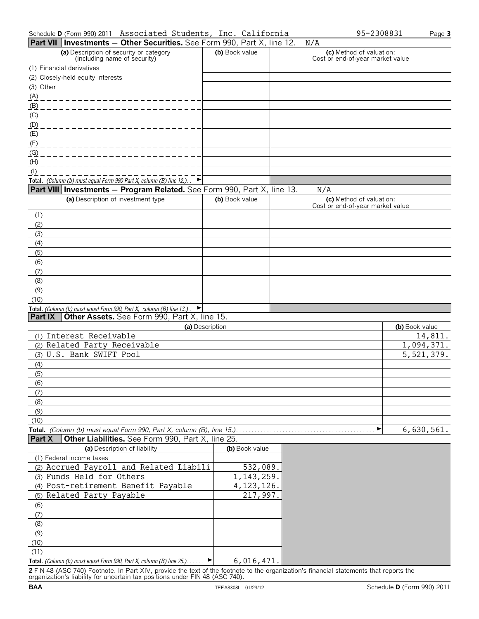|                |                                   | Part VII Investments - Other Securities. See Form 990, Part X, line 12.                                              |                 | N/A                                                          |                |
|----------------|-----------------------------------|----------------------------------------------------------------------------------------------------------------------|-----------------|--------------------------------------------------------------|----------------|
|                |                                   | (a) Description of security or category<br>(including name of security)                                              | (b) Book value  | (c) Method of valuation:<br>Cost or end-of-year market value |                |
|                | (1) Financial derivatives         |                                                                                                                      |                 |                                                              |                |
|                | (2) Closely-held equity interests |                                                                                                                      |                 |                                                              |                |
| (3) Other      |                                   | ________________________                                                                                             |                 |                                                              |                |
| (A)            |                                   | ___________________________                                                                                          |                 |                                                              |                |
|                |                                   |                                                                                                                      |                 |                                                              |                |
| <u>(C)</u>     |                                   | __________________________                                                                                           |                 |                                                              |                |
|                |                                   |                                                                                                                      |                 |                                                              |                |
|                |                                   |                                                                                                                      |                 |                                                              |                |
| (F)            |                                   | _________________________                                                                                            |                 |                                                              |                |
| (G)            |                                   | _________________________                                                                                            |                 |                                                              |                |
| (H)            |                                   |                                                                                                                      |                 |                                                              |                |
| $($ l $)$      |                                   |                                                                                                                      |                 |                                                              |                |
|                |                                   | Total. (Column (b) must equal Form 990 Part X, column (B) line 12.). $\blacktriangleright$                           |                 |                                                              |                |
|                |                                   | <b>Part VIII Investments - Program Related.</b> See Form 990, Part X, line 13.                                       |                 | N/A                                                          |                |
|                |                                   | (a) Description of investment type                                                                                   | (b) Book value  | (c) Method of valuation:<br>Cost or end-of-year market value |                |
| (1)            |                                   |                                                                                                                      |                 |                                                              |                |
| (2)            |                                   |                                                                                                                      |                 |                                                              |                |
| (3)            |                                   |                                                                                                                      |                 |                                                              |                |
| (4)            |                                   |                                                                                                                      |                 |                                                              |                |
| (5)            |                                   |                                                                                                                      |                 |                                                              |                |
| (6)            |                                   |                                                                                                                      |                 |                                                              |                |
| (7)            |                                   |                                                                                                                      |                 |                                                              |                |
| (8)            |                                   |                                                                                                                      |                 |                                                              |                |
| (9)            |                                   |                                                                                                                      |                 |                                                              |                |
| (10)           |                                   |                                                                                                                      |                 |                                                              |                |
| <b>Part IX</b> |                                   | Total. (Column (b) must equal Form 990, Part X, column (B) line 13.)<br>Other Assets. See Form 990, Part X, line 15. |                 |                                                              |                |
|                |                                   |                                                                                                                      | (a) Description |                                                              | (b) Book value |
|                | (1) Interest Receivable           |                                                                                                                      |                 |                                                              | 14,811.        |
|                | (2) Related Party Receivable      |                                                                                                                      |                 |                                                              | 1,094,371.     |
|                | (3) U.S. Bank SWIFT Pool          |                                                                                                                      |                 |                                                              | 5,521,379.     |
| (4)            |                                   |                                                                                                                      |                 |                                                              |                |
| (5)            |                                   |                                                                                                                      |                 |                                                              |                |
| (6)            |                                   |                                                                                                                      |                 |                                                              |                |
| (7)            |                                   |                                                                                                                      |                 |                                                              |                |
| (8)            |                                   |                                                                                                                      |                 |                                                              |                |
| (9)            |                                   |                                                                                                                      |                 |                                                              |                |
| (10)           |                                   |                                                                                                                      |                 |                                                              |                |
|                |                                   | Total. (Column (b) must equal Form 990, Part X, column (B), line 15.)                                                |                 | ▶                                                            | 6,630,561.     |
| <b>Part X</b>  |                                   | Other Liabilities. See Form 990, Part X, line 25.                                                                    |                 |                                                              |                |
|                |                                   | (a) Description of liability                                                                                         | (b) Book value  |                                                              |                |
|                | (1) Federal income taxes          |                                                                                                                      |                 |                                                              |                |
|                |                                   | (2) Accrued Payroll and Related Liabili                                                                              | 532,089.        |                                                              |                |
|                | (3) Funds Held for Others         |                                                                                                                      | 1, 143, 259.    |                                                              |                |
|                |                                   | (4) Post-retirement Benefit Payable                                                                                  | 4, 123, 126.    |                                                              |                |
|                | (5) Related Party Payable         |                                                                                                                      | 217,997.        |                                                              |                |
| (6)            |                                   |                                                                                                                      |                 |                                                              |                |
| (7)            |                                   |                                                                                                                      |                 |                                                              |                |
| (8)            |                                   |                                                                                                                      |                 |                                                              |                |
| (9)            |                                   |                                                                                                                      |                 |                                                              |                |
| (10)           |                                   |                                                                                                                      |                 |                                                              |                |
| (11)           |                                   |                                                                                                                      |                 |                                                              |                |
|                |                                   | Total. (Column (b) must equal Form 990, Part X, column (B) line 25.).                                                | 6,016,471.<br>▶ |                                                              |                |

**2** FIN 48 (ASC 740) Footnote. In Part XIV, provide the text of the footnote to the organization's financial statements that reports the organization's liability for uncertain tax positions under FIN 48 (ASC 740).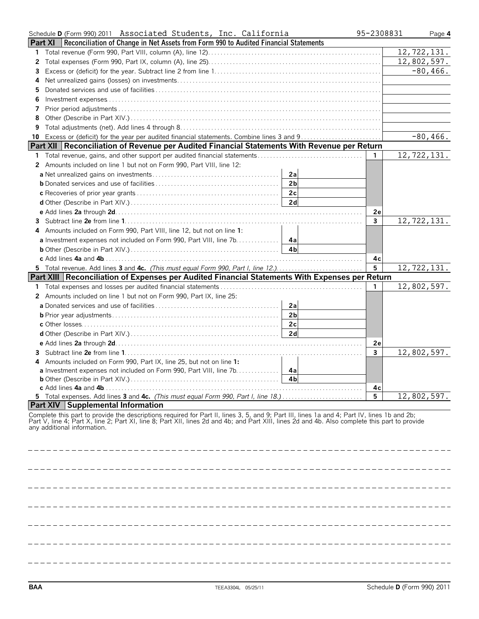|    | Schedule D (Form 990) 2011 Associated Students, Inc. California                                                                                                                                                                                                                                                              | 95-2308831 | Page 4      |
|----|------------------------------------------------------------------------------------------------------------------------------------------------------------------------------------------------------------------------------------------------------------------------------------------------------------------------------|------------|-------------|
|    | <b>Part XI</b>   Reconciliation of Change in Net Assets from Form 990 to Audited Financial Statements                                                                                                                                                                                                                        |            |             |
| 1. |                                                                                                                                                                                                                                                                                                                              |            | 12,722,131. |
| 2  |                                                                                                                                                                                                                                                                                                                              |            | 12,802,597. |
| З  |                                                                                                                                                                                                                                                                                                                              |            | $-80, 466.$ |
| 4  |                                                                                                                                                                                                                                                                                                                              |            |             |
| 5  |                                                                                                                                                                                                                                                                                                                              |            |             |
| 6  |                                                                                                                                                                                                                                                                                                                              |            |             |
|    |                                                                                                                                                                                                                                                                                                                              |            |             |
| 8  |                                                                                                                                                                                                                                                                                                                              |            |             |
| 9  |                                                                                                                                                                                                                                                                                                                              |            |             |
|    | 10 Excess or (deficit) for the year per audited financial statements. Combine lines 3 and 9                                                                                                                                                                                                                                  |            | $-80,466.$  |
|    | Part XII   Reconciliation of Revenue per Audited Financial Statements With Revenue per Return                                                                                                                                                                                                                                |            |             |
| 1. |                                                                                                                                                                                                                                                                                                                              | -1         | 12,722,131. |
| 2  | Amounts included on line 1 but not on Form 990, Part VIII, line 12:                                                                                                                                                                                                                                                          |            |             |
|    | 2a                                                                                                                                                                                                                                                                                                                           |            |             |
|    | 2 <sub>b</sub>                                                                                                                                                                                                                                                                                                               |            |             |
|    | 2c                                                                                                                                                                                                                                                                                                                           |            |             |
|    | 2d                                                                                                                                                                                                                                                                                                                           |            |             |
|    |                                                                                                                                                                                                                                                                                                                              | 2е         |             |
| 3. |                                                                                                                                                                                                                                                                                                                              | 3          | 12,722,131. |
|    | Amounts included on Form 990, Part VIII, line 12, but not on line 1:                                                                                                                                                                                                                                                         |            |             |
|    | <b>a</b> Investment expenses not included on Form 990, Part VIII, line 7b. 4a                                                                                                                                                                                                                                                |            |             |
|    |                                                                                                                                                                                                                                                                                                                              |            |             |
|    |                                                                                                                                                                                                                                                                                                                              | 4с         |             |
|    | 5 Total revenue. Add lines 3 and 4c. (This must equal Form 990, Part I, line 12.)                                                                                                                                                                                                                                            | 5          | 12,722,131. |
|    | Part XIII   Reconciliation of Expenses per Audited Financial Statements With Expenses per Return                                                                                                                                                                                                                             |            |             |
| 1. |                                                                                                                                                                                                                                                                                                                              | 1.         | 12,802,597. |
| 2  | Amounts included on line 1 but not on Form 990, Part IX, line 25:                                                                                                                                                                                                                                                            |            |             |
|    | 2a                                                                                                                                                                                                                                                                                                                           |            |             |
|    | 2 <sub>b</sub>                                                                                                                                                                                                                                                                                                               |            |             |
|    | 2c                                                                                                                                                                                                                                                                                                                           |            |             |
|    | 2d                                                                                                                                                                                                                                                                                                                           |            |             |
|    |                                                                                                                                                                                                                                                                                                                              | 2e         |             |
| 3  |                                                                                                                                                                                                                                                                                                                              | 3          | 12,802,597. |
|    | Amounts included on Form 990, Part IX, line 25, but not on line 1:                                                                                                                                                                                                                                                           |            |             |
|    | a Investment expenses not included on Form 990, Part VIII, line 7b.<br>4а                                                                                                                                                                                                                                                    |            |             |
|    | 4 <sub>b</sub>                                                                                                                                                                                                                                                                                                               |            |             |
|    | c Add lines 4a and 4b.<br>5 Total expenses. Add lines 3 and 4c. (This must equal Form 990, Part I, line 18.)                                                                                                                                                                                                                 | 4с<br>5    | 12,802,597. |
|    | <b>Part XIV Supplemental Information</b>                                                                                                                                                                                                                                                                                     |            |             |
|    | Complete this part to provide the descriptions required for Part II, lines 3, 5, and 9; Part III, lines 1a and 4; Part IV, lines 1b and 2b;<br>Part V, line 4; Part X, line 2; Part XI, line 8; Part XII, lines 2d and 4b; and Part XIII, lines 2d and 4b. Also complete this part to provide<br>any additional information. |            |             |
|    |                                                                                                                                                                                                                                                                                                                              |            |             |
|    |                                                                                                                                                                                                                                                                                                                              |            |             |
|    |                                                                                                                                                                                                                                                                                                                              |            |             |

 $- - -$ \_\_\_\_\_\_\_\_\_\_\_\_\_\_\_\_\_\_\_\_\_\_\_\_\_\_  $- - -$ \_\_\_\_\_\_\_\_\_\_\_\_\_\_\_\_\_\_\_\_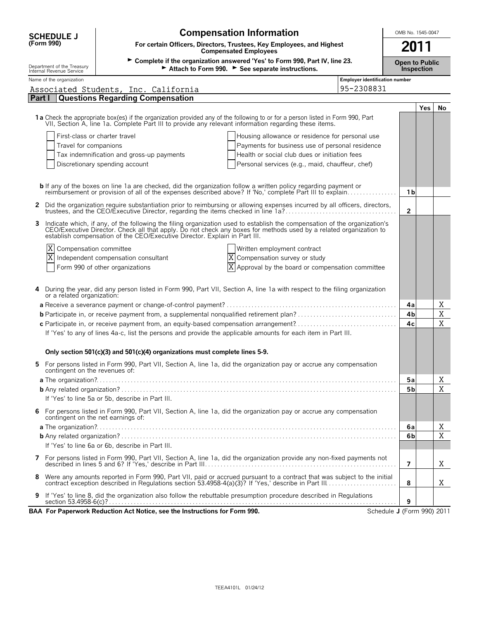| <b>SCHEDULE J</b>                                      | <b>Compensation Information</b>                                                                                                                                                                                                                                                                              |                                |                |     | OMB No. 1545-0047 |  |  |  |  |
|--------------------------------------------------------|--------------------------------------------------------------------------------------------------------------------------------------------------------------------------------------------------------------------------------------------------------------------------------------------------------------|--------------------------------|----------------|-----|-------------------|--|--|--|--|
| (Form 990)                                             | For certain Officers, Directors, Trustees, Key Employees, and Highest<br>2011<br><b>Compensated Employees</b>                                                                                                                                                                                                |                                |                |     |                   |  |  |  |  |
| Department of the Treasury<br>Internal Revenue Service | > Complete if the organization answered 'Yes' to Form 990, Part IV, line 23.<br><b>Open to Public</b><br>Attach to Form 990. See separate instructions.<br>Inspection                                                                                                                                        |                                |                |     |                   |  |  |  |  |
| Name of the organization                               |                                                                                                                                                                                                                                                                                                              | Employer identification number |                |     |                   |  |  |  |  |
|                                                        | Associated Students, Inc. California                                                                                                                                                                                                                                                                         | 95-2308831                     |                |     |                   |  |  |  |  |
| Part I                                                 | <b>Questions Regarding Compensation</b>                                                                                                                                                                                                                                                                      |                                |                |     |                   |  |  |  |  |
|                                                        | 1a Check the appropriate box(es) if the organization provided any of the following to or for a person listed in Form 990, Part<br>VII, Section A, line 1a. Complete Part III to provide any relevant information regarding these items.                                                                      |                                |                | Yes | No                |  |  |  |  |
|                                                        | First-class or charter travel<br>Housing allowance or residence for personal use                                                                                                                                                                                                                             |                                |                |     |                   |  |  |  |  |
| Travel for companions                                  | Payments for business use of personal residence                                                                                                                                                                                                                                                              |                                |                |     |                   |  |  |  |  |
|                                                        | Tax indemnification and gross-up payments<br>Health or social club dues or initiation fees                                                                                                                                                                                                                   |                                |                |     |                   |  |  |  |  |
|                                                        | Discretionary spending account<br>Personal services (e.g., maid, chauffeur, chef)                                                                                                                                                                                                                            |                                |                |     |                   |  |  |  |  |
|                                                        | <b>b</b> If any of the boxes on line 1a are checked, did the organization follow a written policy regarding payment or reimbursement or provision of all of the expenses described above? If 'No,' complete Part III to explain                                                                              |                                | 1 b            |     |                   |  |  |  |  |
|                                                        | 2 Did the organization require substantiation prior to reimbursing or allowing expenses incurred by all officers, directors,<br>trustees, and the CEO/Executive Director, regarding the items checked in line 1a?                                                                                            |                                | $\overline{2}$ |     |                   |  |  |  |  |
|                                                        | Indicate which, if any, of the following the filing organization used to establish the compensation of the organization's CEO/Executive Director. Check all that apply. Do not check any boxes for methods used by a related o<br>establish compensation of the CEO/Executive Director. Explain in Part III. |                                |                |     |                   |  |  |  |  |
| <b>X</b> Compensation committee                        | Written employment contract                                                                                                                                                                                                                                                                                  |                                |                |     |                   |  |  |  |  |
|                                                        | Independent compensation consultant<br>X Compensation survey or study                                                                                                                                                                                                                                        |                                |                |     |                   |  |  |  |  |
|                                                        | $X$ Approval by the board or compensation committee<br>Form 990 of other organizations                                                                                                                                                                                                                       |                                |                |     |                   |  |  |  |  |
| or a related organization:                             | During the year, did any person listed in Form 990, Part VII, Section A, line 1a with respect to the filing organization                                                                                                                                                                                     |                                | 4a             |     | Χ                 |  |  |  |  |
|                                                        | <b>b</b> Participate in, or receive payment from, a supplemental nonqualified retirement plan?                                                                                                                                                                                                               |                                | 4b             |     | X                 |  |  |  |  |
|                                                        | c Participate in, or receive payment from, an equity-based compensation arrangement?                                                                                                                                                                                                                         |                                | 4c             |     | X                 |  |  |  |  |
|                                                        | If 'Yes' to any of lines 4a-c, list the persons and provide the applicable amounts for each item in Part III.                                                                                                                                                                                                |                                |                |     |                   |  |  |  |  |
|                                                        | Only section 501(c)(3) and 501(c)(4) organizations must complete lines 5-9.                                                                                                                                                                                                                                  |                                |                |     |                   |  |  |  |  |
| contingent on the revenues of:                         | 5 For persons listed in Form 990, Part VII, Section A, line 1a, did the organization pay or accrue any compensation                                                                                                                                                                                          |                                |                |     |                   |  |  |  |  |
|                                                        |                                                                                                                                                                                                                                                                                                              |                                | 5a             |     | Χ                 |  |  |  |  |
|                                                        |                                                                                                                                                                                                                                                                                                              |                                | 5b             |     | X                 |  |  |  |  |
|                                                        | If 'Yes' to line 5a or 5b, describe in Part III.<br>6 For persons listed in Form 990, Part VII, Section A, line 1a, did the organization pay or accrue any compensation<br>contingent on the net earnings of:                                                                                                |                                |                |     |                   |  |  |  |  |
|                                                        |                                                                                                                                                                                                                                                                                                              |                                | 6a             |     | Χ                 |  |  |  |  |
|                                                        |                                                                                                                                                                                                                                                                                                              |                                | 6b             |     | X                 |  |  |  |  |
|                                                        | If 'Yes' to line 6a or 6b, describe in Part III.                                                                                                                                                                                                                                                             |                                |                |     |                   |  |  |  |  |
|                                                        | 7 For persons listed in Form 990, Part VII, Section A, line 1a, did the organization provide any non-fixed payments not                                                                                                                                                                                      |                                | $\overline{7}$ |     | Χ                 |  |  |  |  |
| 8                                                      | Were any amounts reported in Form 990, Part VII, paid or accrued pursuant to a contract that was subject to the initial contract exception described in Regulations section 53.4958-4(a)(3)? If 'Yes,' describe in Part III                                                                                  |                                | 8              |     | Χ                 |  |  |  |  |
| 9                                                      | If 'Yes' to line 8, did the organization also follow the rebuttable presumption procedure described in Regulations                                                                                                                                                                                           |                                | 9              |     |                   |  |  |  |  |
|                                                        | BAA For Paperwork Reduction Act Notice, see the Instructions for Form 990.                                                                                                                                                                                                                                   | Schedule J (Form 990) 2011     |                |     |                   |  |  |  |  |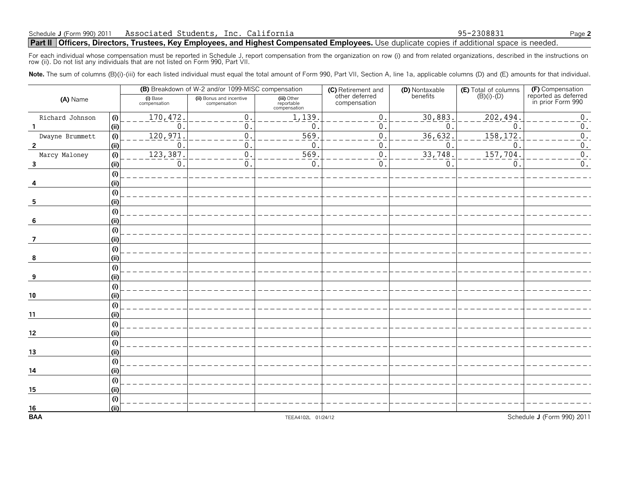### **Part II Officers, Directors, Trustees, Key Employees, and Highest Compensated Employees.** Use duplicate copies if additional space is needed.

For each individual whose compensation must be reported in Schedule J, report compensation from the organization on row (i) and from related organizations, described in the instructions on<br>row (ii). Do not list any individ

Note. The sum of columns (B)(i)-(iii) for each listed individual must equal the total amount of Form 990, Part VII, Section A, line 1a, applicable columns (D) and (E) amounts for that individual.

|                         |     |                          | (B) Breakdown of W-2 and/or 1099-MISC compensation |                                           | (C) Retirement and<br>other deferred | (D) Nontaxable<br>benefits | <b>(E)</b> Total of columns $(B)(i) \cdot (D)$ | (F) Compensation                          |
|-------------------------|-----|--------------------------|----------------------------------------------------|-------------------------------------------|--------------------------------------|----------------------------|------------------------------------------------|-------------------------------------------|
| (A) Name                |     | (i) Base<br>compensation | (ii) Bonus and incentive<br>compensation           | (iii) Other<br>reportable<br>compensation | compensation                         |                            |                                                | reported as deferred<br>in prior Form 990 |
| Richard Johnson         | (i) | 170,472                  | 0.                                                 | 1,139.                                    | 0.                                   | 30,883                     | 202,494                                        | $\boldsymbol{0}$ .                        |
|                         | (i) | 0                        | $\mathbf{0}$                                       | $\mathbf 0$                               | 0.                                   | $\Omega$                   | $\mathbf{0}$                                   | $\boldsymbol{0}$ .                        |
| Dwayne Brummett         | (i) | 120, 971                 | $\boldsymbol{0}$                                   | 569                                       | 0.                                   | 36,632                     | 158, 172                                       | $\overline{0}$ .                          |
| $\overline{2}$          | (i) | $\mathbf{0}$             | 0                                                  | $\mathbf{0}$                              | 0.                                   | 0                          | $\mathbf 0$                                    | $\boldsymbol{0}$ .                        |
| Marcy Maloney           | (i) | 123,387                  | $\mathbf 0$                                        | 569                                       | 0.                                   | 33,748                     | 157,704                                        | $\overline{0}$ .                          |
| $\overline{\mathbf{3}}$ | (i) | $\mathbf{0}$             | $\mathbf 0$                                        | 0.                                        | 0.                                   | $\Omega$                   | 0                                              | $\boldsymbol{0}$ .                        |
|                         | (i) |                          |                                                    |                                           |                                      |                            |                                                |                                           |
|                         | (i) |                          |                                                    |                                           |                                      |                            |                                                |                                           |
|                         | (i) |                          |                                                    |                                           |                                      |                            |                                                |                                           |
| 5                       | (i) |                          |                                                    |                                           |                                      |                            |                                                |                                           |
|                         | (i) |                          |                                                    |                                           |                                      |                            |                                                |                                           |
| -6                      | (i) |                          |                                                    |                                           |                                      |                            |                                                |                                           |
|                         | (i) |                          |                                                    |                                           |                                      |                            |                                                |                                           |
| 7                       | (i) |                          |                                                    |                                           |                                      |                            |                                                |                                           |
|                         | (i) |                          |                                                    |                                           |                                      |                            |                                                |                                           |
| 8                       | (i) |                          |                                                    |                                           |                                      |                            |                                                |                                           |
|                         | (i) |                          |                                                    |                                           |                                      |                            |                                                |                                           |
| 9                       | (i) |                          |                                                    |                                           |                                      |                            |                                                |                                           |
|                         | (i) |                          |                                                    |                                           |                                      |                            |                                                |                                           |
| 10                      | (i) |                          |                                                    |                                           |                                      |                            |                                                |                                           |
|                         | (i) |                          |                                                    |                                           |                                      |                            |                                                |                                           |
| 11                      | (i) |                          |                                                    |                                           |                                      |                            |                                                |                                           |
|                         | (i) |                          |                                                    |                                           |                                      |                            |                                                |                                           |
| 12                      | (i) |                          |                                                    |                                           |                                      |                            |                                                |                                           |
|                         | (i) |                          |                                                    |                                           |                                      |                            |                                                |                                           |
| 13                      | (i) |                          |                                                    |                                           |                                      |                            |                                                |                                           |
|                         | (i) |                          |                                                    |                                           |                                      |                            |                                                |                                           |
| 14                      | (i) |                          |                                                    |                                           |                                      |                            |                                                |                                           |
|                         | (i) |                          |                                                    |                                           |                                      |                            |                                                |                                           |
| 15                      | (i) |                          |                                                    |                                           |                                      |                            |                                                |                                           |
|                         | (i) |                          |                                                    |                                           |                                      |                            |                                                |                                           |
| $\frac{16}{BAA}$        | (i) |                          |                                                    |                                           |                                      |                            |                                                |                                           |
|                         |     |                          |                                                    | TEEA4102L 01/24/12                        |                                      |                            |                                                | Schedule J (Form 990) 2011                |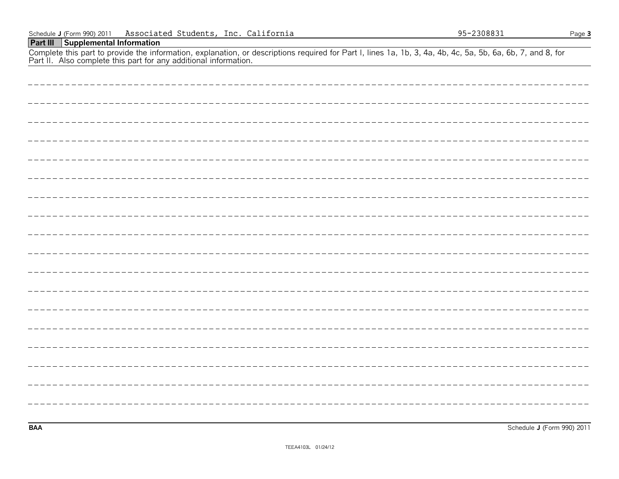## **Part III Supplemental Information**

Complete this part to provide the information, explanation, or descriptions required for Part I, lines 1a, 1b, 3, 4a, 4b, 4c, 5a, 5b, 6a, 6b, 7, and 8, for Part II. Also complete this part for any additional information.

**BAA** Schedule **J** (Form 990) 2011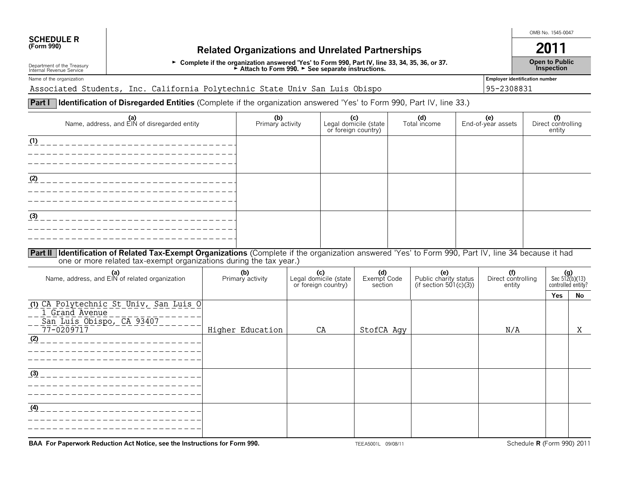# **SCHEDULE R**<br>(Form 990)

## **(Form 990) Related Organizations and Unrelated Partnerships 2011**

G **Complete if the organization answered 'Yes' to Form 990, Part IV, line 33, 34, 35, 36, or 37.** G **Attach to Form 990.** G **See separate instructions.**

OMB No. 1545-0047

**Open to Public Inspection**

Department of the Treasury Internal Revenue Service Name of the organization **Employer identification number** 

Associated Students, Inc. California Polytechnic State Univ San Luis Obispo 95-2308831

### **Part I | Identification of Disregarded Entities** (Complete if the organization answered 'Yes' to Form 990, Part IV, line 33.)

| (a)<br>Name, address, and EIN of disregarded entity                                                                                                                                                                          | (b)<br>Primary activity | (c)<br>Legal domicile (state<br>or foreign country) | (d)<br>Total income | (e)<br>End-of-year assets | (f)<br>Direct controlling<br>entity |
|------------------------------------------------------------------------------------------------------------------------------------------------------------------------------------------------------------------------------|-------------------------|-----------------------------------------------------|---------------------|---------------------------|-------------------------------------|
| (1)                                                                                                                                                                                                                          |                         |                                                     |                     |                           |                                     |
|                                                                                                                                                                                                                              |                         |                                                     |                     |                           |                                     |
| (2)                                                                                                                                                                                                                          |                         |                                                     |                     |                           |                                     |
|                                                                                                                                                                                                                              |                         |                                                     |                     |                           |                                     |
| (3)                                                                                                                                                                                                                          |                         |                                                     |                     |                           |                                     |
|                                                                                                                                                                                                                              |                         |                                                     |                     |                           |                                     |
| Part II   Identification of Related Tax-Exempt Organizations (Complete if the organization answered 'Yes' to Form 990, Part IV, line 34 because it had<br>one or more related tax-exempt organizations during the tax year.) |                         |                                                     |                     |                           |                                     |

| (a)<br>Name, address, and EIN of related organization                                               | (b)<br>Primary activity | (c)<br>Legal domicile (state<br>or foreign country) | (d)<br>Exempt Code<br>section | (e)<br>Public charity status<br>(if section 501(c)(3)) | (f)<br>Direct controlling<br>entity |     | $(g)$<br>Sec 512(b)(13)<br>controlled entity? |
|-----------------------------------------------------------------------------------------------------|-------------------------|-----------------------------------------------------|-------------------------------|--------------------------------------------------------|-------------------------------------|-----|-----------------------------------------------|
|                                                                                                     |                         |                                                     |                               |                                                        |                                     | Yes | No                                            |
| (1) CA Polytechnic St Univ, San Luis O<br>1 Grand Avenue<br>San Luis Obispo, CA 93407<br>77-0209717 | Higher Education        | CA                                                  | StofCA Agy                    |                                                        | N/A                                 |     | Χ                                             |
| (2)                                                                                                 |                         |                                                     |                               |                                                        |                                     |     |                                               |
|                                                                                                     |                         |                                                     |                               |                                                        |                                     |     |                                               |
|                                                                                                     |                         |                                                     |                               |                                                        |                                     |     |                                               |
| (3)                                                                                                 |                         |                                                     |                               |                                                        |                                     |     |                                               |
|                                                                                                     |                         |                                                     |                               |                                                        |                                     |     |                                               |
|                                                                                                     |                         |                                                     |                               |                                                        |                                     |     |                                               |
| (4)                                                                                                 |                         |                                                     |                               |                                                        |                                     |     |                                               |
|                                                                                                     |                         |                                                     |                               |                                                        |                                     |     |                                               |
|                                                                                                     |                         |                                                     |                               |                                                        |                                     |     |                                               |

**BAA For Paperwork Reduction Act Notice, see the Instructions for Form 990.** TEEA5001L 09/08/11 Schedule **R** (Form 990) 2011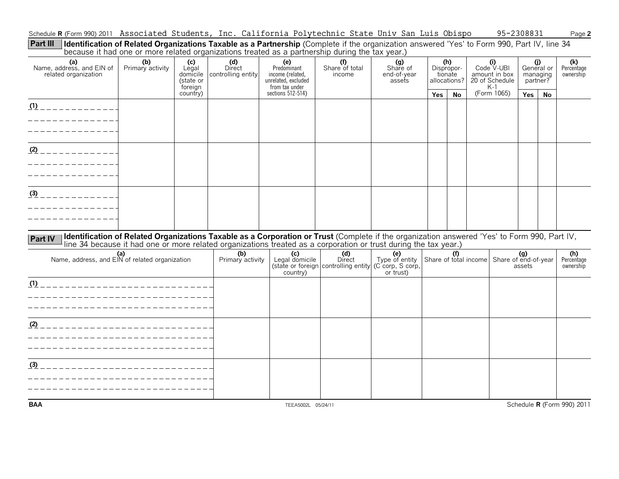Schedule **R** (Form 990) 2011 Associated Students, Inc. California Polytechnic State Univ San Luis Obispo 95-2308831 Page **2** 

**Identification of Related Organizations Taxable as a Partnership** (Complete if the organization answered 'Yes' to Form 990, Part IV, line 34 because it had one or more related organizations treated as a partnership during the tax year.) **Part III**

|                                                          | pecause it had one of more related organizations treated as a partnership during the tax year.)                                                                                                                                                                  |                                                  |                                     |                                                                                 |                                                       |                                                        |            |                                              |                                                               |                                           |           |                                |
|----------------------------------------------------------|------------------------------------------------------------------------------------------------------------------------------------------------------------------------------------------------------------------------------------------------------------------|--------------------------------------------------|-------------------------------------|---------------------------------------------------------------------------------|-------------------------------------------------------|--------------------------------------------------------|------------|----------------------------------------------|---------------------------------------------------------------|-------------------------------------------|-----------|--------------------------------|
| (a)<br>Name, address, and EIN of<br>related organization | (b)<br>Primary activity                                                                                                                                                                                                                                          | (c)<br>Legal<br>domicile<br>(state or<br>foreign | (d)<br>Direct<br>controlling entity | (e)<br>Predominant<br>income (related,<br>unrelated, excluded<br>from tax under | (f)<br>Share of total<br>income                       | (g)<br>Share of<br>end-of-year<br>assets               |            | (h)<br>Dispropor-<br>tionate<br>allocations? | (i)<br>Code V-UBI<br>amount in box<br>20 of Schedule<br>$K-1$ | (j)<br>General or<br>managing<br>partner? |           | (k)<br>Percentage<br>ownership |
|                                                          |                                                                                                                                                                                                                                                                  | country)                                         |                                     | sections 512-514)                                                               |                                                       |                                                        | <b>Yes</b> | <b>No</b>                                    | (Form 1065)                                                   | Yes                                       | <b>No</b> |                                |
| $(1)$ _ _ _ _ _ _ _ _ _ _ _ _ _                          |                                                                                                                                                                                                                                                                  |                                                  |                                     |                                                                                 |                                                       |                                                        |            |                                              |                                                               |                                           |           |                                |
|                                                          |                                                                                                                                                                                                                                                                  |                                                  |                                     |                                                                                 |                                                       |                                                        |            |                                              |                                                               |                                           |           |                                |
| $(2)$ _ _ _ _ _ _ _ _ _ _ _ _                            |                                                                                                                                                                                                                                                                  |                                                  |                                     |                                                                                 |                                                       |                                                        |            |                                              |                                                               |                                           |           |                                |
|                                                          |                                                                                                                                                                                                                                                                  |                                                  |                                     |                                                                                 |                                                       |                                                        |            |                                              |                                                               |                                           |           |                                |
| $\frac{(3)}{(2)}$ - - - - - - - - - - - -                |                                                                                                                                                                                                                                                                  |                                                  |                                     |                                                                                 |                                                       |                                                        |            |                                              |                                                               |                                           |           |                                |
|                                                          |                                                                                                                                                                                                                                                                  |                                                  |                                     |                                                                                 |                                                       |                                                        |            |                                              |                                                               |                                           |           |                                |
| <b>Part IV</b>                                           | Identification of Related Organizations Taxable as a Corporation or Trust (Complete if the organization answered 'Yes' to Form 990, Part IV,<br>line 34 because it had one or more related organizations treated as a corporation or trust during the tax year.) |                                                  |                                     |                                                                                 |                                                       |                                                        |            |                                              |                                                               |                                           |           |                                |
| (a)<br>Name, address, and EIN of related organization    |                                                                                                                                                                                                                                                                  |                                                  | (b)<br>Primary activity             | (c)<br>Legal domicile<br>country)                                               | (d)<br>Direct<br>(state or foreign controlling entity | (e)<br>Type of entity<br>(C corp, S corp,<br>or trust) |            | (f)                                          | Share of total income Share of end-of-year                    | (g)<br>assets                             |           | (h)<br>Percentage<br>ownership |
| (1) ________________________________                     |                                                                                                                                                                                                                                                                  |                                                  |                                     |                                                                                 |                                                       |                                                        |            |                                              |                                                               |                                           |           |                                |
|                                                          |                                                                                                                                                                                                                                                                  |                                                  |                                     |                                                                                 |                                                       |                                                        |            |                                              |                                                               |                                           |           |                                |
|                                                          |                                                                                                                                                                                                                                                                  |                                                  |                                     |                                                                                 |                                                       |                                                        |            |                                              |                                                               |                                           |           |                                |
|                                                          |                                                                                                                                                                                                                                                                  |                                                  |                                     |                                                                                 |                                                       |                                                        |            |                                              |                                                               |                                           |           |                                |
|                                                          |                                                                                                                                                                                                                                                                  |                                                  |                                     |                                                                                 |                                                       |                                                        |            |                                              |                                                               |                                           |           |                                |
|                                                          |                                                                                                                                                                                                                                                                  |                                                  |                                     |                                                                                 |                                                       |                                                        |            |                                              |                                                               |                                           |           |                                |
|                                                          |                                                                                                                                                                                                                                                                  |                                                  |                                     |                                                                                 |                                                       |                                                        |            |                                              |                                                               |                                           |           |                                |
|                                                          |                                                                                                                                                                                                                                                                  |                                                  |                                     |                                                                                 |                                                       |                                                        |            |                                              |                                                               |                                           |           |                                |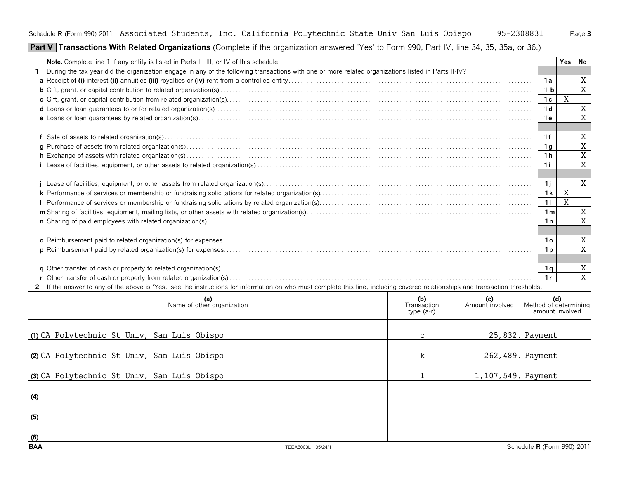## **Part V | Transactions With Related Organizations** (Complete if the organization answered 'Yes' to Form 990, Part IV, line 34, 35, 35a, or 36.)

| <b>Note.</b> Complete line 1 if any entity is listed in Parts II, III, or IV of this schedule.                                                                                 |     |     |                | <b>Yes</b> | No               |
|--------------------------------------------------------------------------------------------------------------------------------------------------------------------------------|-----|-----|----------------|------------|------------------|
| During the tax year did the organization engage in any of the following transactions with one or more related organizations listed in Parts II-IV?                             |     |     |                |            |                  |
|                                                                                                                                                                                |     |     | - 1 a          |            | X                |
|                                                                                                                                                                                |     |     | 1 <sub>b</sub> |            | X                |
|                                                                                                                                                                                |     |     | 1c             | X          |                  |
|                                                                                                                                                                                |     |     | 1d             |            | X                |
|                                                                                                                                                                                |     |     | 1 e            |            | X                |
|                                                                                                                                                                                |     |     |                |            |                  |
|                                                                                                                                                                                |     |     | 1f             |            | X                |
|                                                                                                                                                                                |     |     | 1 a            |            | X                |
|                                                                                                                                                                                |     |     | 1h             |            | X                |
|                                                                                                                                                                                |     |     |                |            | X                |
|                                                                                                                                                                                |     |     |                |            |                  |
|                                                                                                                                                                                |     |     | -1 i           |            | X                |
|                                                                                                                                                                                |     |     | 1k             | X          |                  |
|                                                                                                                                                                                |     |     | 11             | X          |                  |
|                                                                                                                                                                                |     |     | 1 <sub>m</sub> |            | X                |
|                                                                                                                                                                                |     |     | 1n             |            | X                |
|                                                                                                                                                                                |     |     |                |            |                  |
|                                                                                                                                                                                |     |     |                |            |                  |
|                                                                                                                                                                                |     |     |                |            | $\boldsymbol{X}$ |
|                                                                                                                                                                                |     |     |                |            |                  |
|                                                                                                                                                                                |     |     | 1q             |            | Χ                |
|                                                                                                                                                                                |     |     | 1r             |            | X                |
| 2 If the answer to any of the above is 'Yes,' see the instructions for information on who must complete this line, including covered relationships and transaction thresholds. |     |     |                |            |                  |
| (a)                                                                                                                                                                            | (b) | (c) |                | (d)        |                  |

| (a)<br>Name of other organization           |                    | (b)<br>Transaction<br>type $(a-r)$ | (c)<br>Amount involved | Method of determining<br>amount involved |
|---------------------------------------------|--------------------|------------------------------------|------------------------|------------------------------------------|
| (1) CA Polytechnic St Univ, San Luis Obispo |                    | $\mathbf{C}$                       |                        | 25,832. Payment                          |
| (2) CA Polytechnic St Univ, San Luis Obispo |                    | k.                                 | 262,489. Payment       |                                          |
| (3) CA Polytechnic St Univ, San Luis Obispo |                    |                                    | 1, 107, 549. Payment   |                                          |
| (4)                                         |                    |                                    |                        |                                          |
| (5)                                         |                    |                                    |                        |                                          |
| (6)<br><b>BAA</b>                           | TEEA5003L 05/24/11 |                                    |                        | Schedule R (Form 990) 2011               |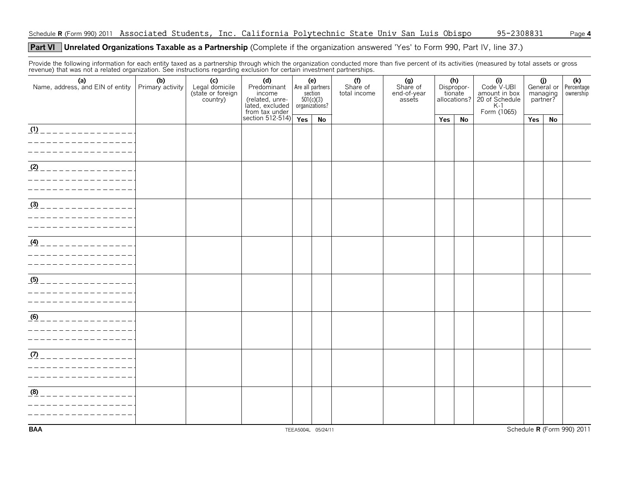### **Unrelated Organizations Taxable as a Partnership** (Complete if the organization answered 'Yes' to Form 990, Part IV, line 37.) **Part VI**

Provide the following information for each entity taxed as a partnership through which the organization conducted more than five percent of its activities (measured by total assets or gross revenue) that was not a related organization. See instructions regarding exclusion for certain investment partnerships.

|                                                                                                                      |                         | $\tilde{\phantom{a}}$                                  |                                                                                                               |                               |                                    |                                 |                                          |            |                                |                                                                                    |                      |                   |                                |
|----------------------------------------------------------------------------------------------------------------------|-------------------------|--------------------------------------------------------|---------------------------------------------------------------------------------------------------------------|-------------------------------|------------------------------------|---------------------------------|------------------------------------------|------------|--------------------------------|------------------------------------------------------------------------------------|----------------------|-------------------|--------------------------------|
| (a)<br>Name, address, and EIN of entity                                                                              | (b)<br>Primary activity | (c)<br>Legal domicile<br>(state or foreign<br>country) | (d)<br>Predominant<br>income<br>The Collection<br>The Collection<br>Trom tax under<br>Section 512-514)<br>Yes | $501(c)(3)$<br>organizations? | (e)<br>Are all partners<br>section | (f)<br>Share of<br>total income | (g)<br>Share of<br>end-of-year<br>assets | Dispropor- | (h)<br>tionate<br>allocations? | $(i)$<br>Code $\vee$ -UBI<br>amount in box<br>20 of Schedule<br>K-1<br>Form (1065) | managing<br>partner? | (j)<br>General or | (k)<br>Percentage<br>ownership |
|                                                                                                                      |                         |                                                        |                                                                                                               |                               | No                                 |                                 |                                          | Yes        | No                             |                                                                                    | Yes                  | No                |                                |
|                                                                                                                      |                         |                                                        |                                                                                                               |                               |                                    |                                 |                                          |            |                                |                                                                                    |                      |                   |                                |
| <u>(1) _ _ _ _ _ _ _ _ _ _ _ _ _ _</u> _                                                                             |                         |                                                        |                                                                                                               |                               |                                    |                                 |                                          |            |                                |                                                                                    |                      |                   |                                |
|                                                                                                                      |                         |                                                        |                                                                                                               |                               |                                    |                                 |                                          |            |                                |                                                                                    |                      |                   |                                |
| $(2)$ _ _ _ _ _ _ _ _ _ _ _ _ _ _ _ _ _                                                                              |                         |                                                        |                                                                                                               |                               |                                    |                                 |                                          |            |                                |                                                                                    |                      |                   |                                |
| <u> 1989 - Johann Barn, amerikan bestean ing dikenali di pada 1989 - Pada Barn, anggota pada 1989 - Pada Barn, a</u> |                         |                                                        |                                                                                                               |                               |                                    |                                 |                                          |            |                                |                                                                                    |                      |                   |                                |
| _ _ _ _ _ _ _ _ _ _ _ _ _ _ _ _ _                                                                                    |                         |                                                        |                                                                                                               |                               |                                    |                                 |                                          |            |                                |                                                                                    |                      |                   |                                |
|                                                                                                                      |                         |                                                        |                                                                                                               |                               |                                    |                                 |                                          |            |                                |                                                                                    |                      |                   |                                |
| $(4)$ _ _ _ _ _ _ _ _ _ _ _ _ _ _ _ _                                                                                |                         |                                                        |                                                                                                               |                               |                                    |                                 |                                          |            |                                |                                                                                    |                      |                   |                                |
| <u>(5) _ _ _ _ _ _ _ _ _ _ _ _ _ _ _</u>                                                                             |                         |                                                        |                                                                                                               |                               |                                    |                                 |                                          |            |                                |                                                                                    |                      |                   |                                |
| $\underline{(6)}$ _ _ _ _ _ _ _ _ _ _ _ _ _ _ _ _<br>_ _ _ _ _ _ _ _ _ _ _ _ _ _                                     |                         |                                                        |                                                                                                               |                               |                                    |                                 |                                          |            |                                |                                                                                    |                      |                   |                                |
| <u>m________________</u>                                                                                             |                         |                                                        |                                                                                                               |                               |                                    |                                 |                                          |            |                                |                                                                                    |                      |                   |                                |
| (8)<br>_____________                                                                                                 |                         |                                                        |                                                                                                               |                               |                                    |                                 |                                          |            |                                |                                                                                    |                      |                   |                                |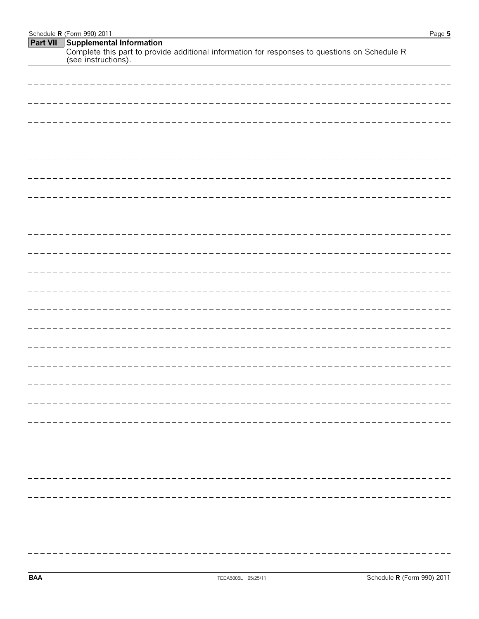| Schedule <b>R</b> (Form 990) 2011                                                                                    | Page 5 |
|----------------------------------------------------------------------------------------------------------------------|--------|
| <b>Part VII</b> Supplemental Information                                                                             |        |
| Complete this part to provide additional information for responses to questions on Schedule R<br>(see instructions). |        |

| ----- |
|-------|
|       |
|       |
|       |
|       |
|       |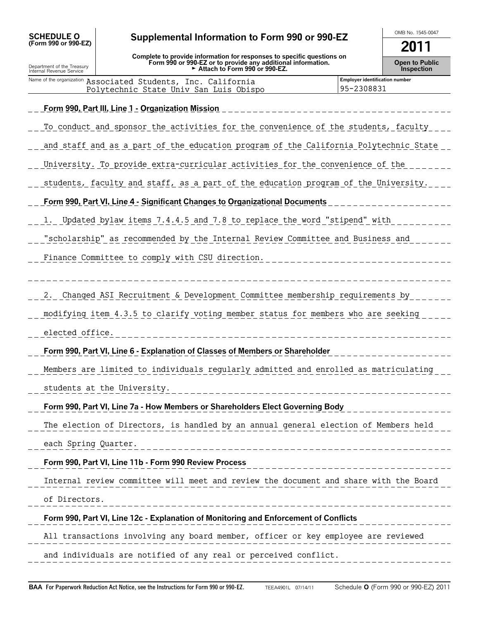| <b>SCHEDULE O</b> |                      |
|-------------------|----------------------|
|                   | (Form 990 or 990-EZ) |

Department of the Treasury Internal Revenue Service

## OMB No. 1545-0047 **SCHEDULE O (Form 990 or 990-EZ) Supplemental Information to Form 990 or 990-EZ**

**Complete to provide information for responses to specific questions on Form 990 or 990-EZ or to provide any additional information.** G **Attach to Form 990 or 990-EZ.**

**2011**

**Open to Public Inspection**

| Name of the organization Associated Students, Inc. California | <b>Employer identification number</b> |
|---------------------------------------------------------------|---------------------------------------|
| Polytechnic State Univ San Luis Obispo                        | 95-2308831                            |

| Form 990, Part III, Line 1 - Organization Mission                                    |
|--------------------------------------------------------------------------------------|
| To conduct and sponsor the activities for the convenience of the students, faculty   |
| and staff and as a part of the education program of the California Polytechnic State |
| University. To provide extra-curricular activities for the convenience of the        |
| students, faculty and staff, as a part of the education program of the University.   |
| Form 990, Part VI, Line 4 - Significant Changes to Organizational Documents          |
| 1. Updated bylaw items 7.4.4.5 and 7.8 to replace the word "stipend" with            |
| "scholarship" as recommended by the Internal Review Committee and Business and       |
| Finance Committee to comply with CSU direction.                                      |
|                                                                                      |
| Changed ASI Recruitment & Development Committee membership requirements by<br>2.     |
| modifying item 4.3.5 to clarify voting member status for members who are seeking     |
| elected office.                                                                      |
| Form 990, Part VI, Line 6 - Explanation of Classes of Members or Shareholder         |
| Members are limited to individuals regularly admitted and enrolled as matriculating  |
| students at the University.                                                          |
| Form 990, Part VI, Line 7a - How Members or Shareholders Elect Governing Body        |
| The election of Directors, is handled by an annual general election of Members held  |
| each Spring Quarter.                                                                 |
| Form 990, Part VI, Line 11b - Form 990 Review Process                                |
|                                                                                      |
| Internal review committee will meet and review the document and share with the Board |
| of Directors.                                                                        |
| Form 990, Part VI, Line 12c - Explanation of Monitoring and Enforcement of Conflicts |
| All transactions involving any board member, officer or key employee are reviewed    |
| and individuals are notified of any real or perceived conflict.                      |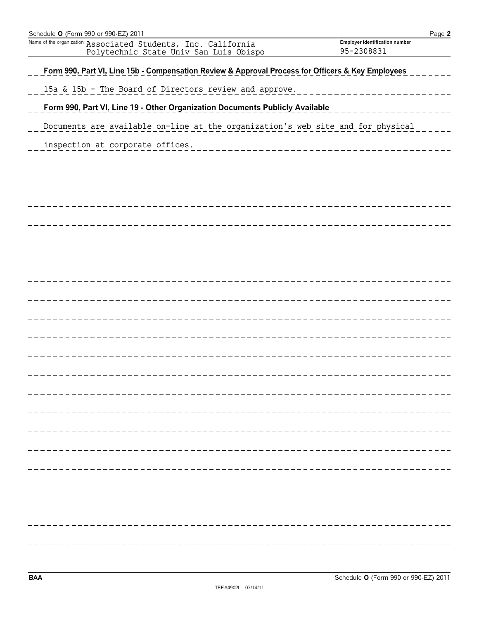| Schedule O (Form 990 or 990-EZ) 2011                                                                    | Page 2                                       |
|---------------------------------------------------------------------------------------------------------|----------------------------------------------|
| Name of the organization Associated Students, Inc. California<br>Polytechnic State Univ San Luis Obispo | Employer identification number<br>95-2308831 |
| Form 990, Part VI, Line 15b - Compensation Review & Approval Process for Officers & Key Employees       |                                              |
| 15a & 15b - The Board of Directors review and approve.                                                  |                                              |
| Form 990, Part VI, Line 19 - Other Organization Documents Publicly Available                            |                                              |
| Documents are available on-line at the organization's web site and for physical                         |                                              |
| inspection at corporate offices.                                                                        |                                              |
|                                                                                                         |                                              |
|                                                                                                         |                                              |
|                                                                                                         |                                              |
|                                                                                                         |                                              |
|                                                                                                         |                                              |
|                                                                                                         |                                              |
|                                                                                                         |                                              |
|                                                                                                         |                                              |
|                                                                                                         |                                              |
|                                                                                                         |                                              |
|                                                                                                         |                                              |
|                                                                                                         |                                              |
|                                                                                                         |                                              |
|                                                                                                         |                                              |
|                                                                                                         |                                              |
|                                                                                                         |                                              |
|                                                                                                         |                                              |
|                                                                                                         |                                              |
|                                                                                                         |                                              |
|                                                                                                         |                                              |
|                                                                                                         |                                              |
|                                                                                                         |                                              |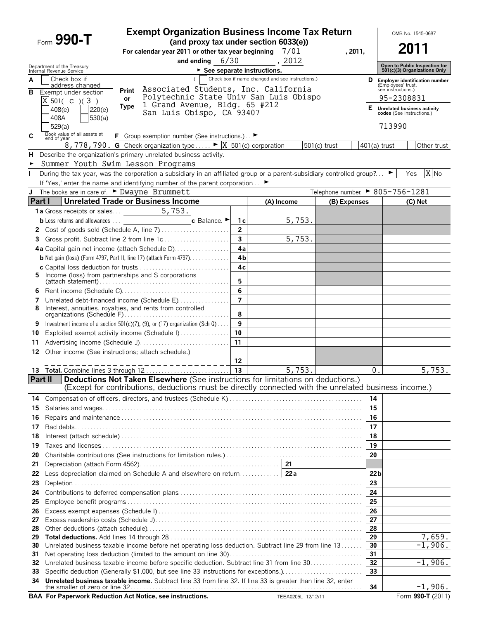|              |                                                    |                   | <b>Exempt Organization Business Income Tax Return</b>                                                                                             |                |                                                  |                    |                                  |                |                 |                           | OMB No. 1545-0687                                             |
|--------------|----------------------------------------------------|-------------------|---------------------------------------------------------------------------------------------------------------------------------------------------|----------------|--------------------------------------------------|--------------------|----------------------------------|----------------|-----------------|---------------------------|---------------------------------------------------------------|
|              | Form $990 - T$                                     |                   | (and proxy tax under section 6033(e))<br>For calendar year 2011 or other tax year beginning $7/01$                                                |                |                                                  |                    | , 2011,                          |                |                 |                           | 2011                                                          |
|              | Department of the Treasury                         |                   | and ending $6/30$                                                                                                                                 |                | , 2012                                           |                    |                                  |                |                 |                           |                                                               |
|              | Internal Revenue Service                           |                   |                                                                                                                                                   |                | $\blacktriangleright$ See separate instructions. |                    |                                  |                |                 |                           | Open to Public Inspection for<br>501(c)(3) Organizations Only |
| Α            | Check box if<br>address changed                    |                   | $\left($                                                                                                                                          |                | Check box if name changed and see instructions.) |                    |                                  | D              |                 | (Employees' trust,        | <b>Employer identification number</b>                         |
| в            | Exempt under section                               | Print             | Associated Students, Inc. California<br>Polytechnic State Univ San Luis Obispo                                                                    |                |                                                  |                    |                                  |                |                 | see instructions.)        |                                                               |
|              | $X$ 501( c )(3)                                    | or<br><b>Type</b> | 1 Grand Avenue, Bldg. 65 #212                                                                                                                     |                |                                                  |                    |                                  |                |                 | 95-2308831                |                                                               |
|              | 220(e)<br>408(e)                                   |                   | San Luis Obispo, CA 93407                                                                                                                         |                |                                                  |                    |                                  | Е.             |                 | codes (See instructions.) | <b>Unrelated business activity</b>                            |
|              | 408A<br>530(a)<br>529(a)                           |                   |                                                                                                                                                   |                |                                                  |                    |                                  |                |                 | 713990                    |                                                               |
| C            | Book value of all assets at<br>end of year         |                   | F Group exemption number (See instructions.) ▶                                                                                                    |                |                                                  |                    |                                  |                |                 |                           |                                                               |
|              |                                                    |                   | 8, 778, 790. G Check organization type $\blacktriangleright \boxed{X}$ 501(c) corporation                                                         |                |                                                  |                    | $501(c)$ trust                   | $401(a)$ trust |                 |                           | Other trust                                                   |
| н            |                                                    |                   | Describe the organization's primary unrelated business activity.                                                                                  |                |                                                  |                    |                                  |                |                 |                           |                                                               |
|              | Summer Youth Swim Lesson Programs                  |                   |                                                                                                                                                   |                |                                                  |                    |                                  |                |                 |                           |                                                               |
| $\mathbf{L}$ |                                                    |                   | During the tax year, was the corporation a subsidiary in an affiliated group or a parent-subsidiary controlled group? $\blacktriangleright$   Yes |                |                                                  |                    |                                  |                |                 |                           | X No                                                          |
|              |                                                    |                   | If 'Yes,' enter the name and identifying number of the parent corporation ►                                                                       |                |                                                  |                    |                                  |                |                 |                           |                                                               |
| J            | The books are in care of. ► Dwayne Brummett        |                   |                                                                                                                                                   |                |                                                  |                    | Telephone number. ▶ 805-756-1281 |                |                 |                           |                                                               |
| Part I       |                                                    |                   | <b>Unrelated Trade or Business Income</b>                                                                                                         |                | (A) Income                                       |                    |                                  | (B) Expenses   |                 |                           | (C) Net                                                       |
|              | 1a Gross receipts or sales 5, 753.                 |                   |                                                                                                                                                   |                |                                                  |                    |                                  |                |                 |                           |                                                               |
|              |                                                    |                   |                                                                                                                                                   | 1с             |                                                  | 5,753.             |                                  |                |                 |                           |                                                               |
|              |                                                    |                   |                                                                                                                                                   | $\overline{2}$ |                                                  |                    |                                  |                |                 |                           |                                                               |
| 3            |                                                    |                   | Gross profit. Subtract line 2 from line 1c                                                                                                        | 3              |                                                  | 5,753.             |                                  |                |                 |                           |                                                               |
|              |                                                    |                   | 4a Capital gain net income (attach Schedule D)                                                                                                    | 4a             |                                                  |                    |                                  |                |                 |                           |                                                               |
|              |                                                    |                   | <b>b</b> Net gain (loss) (Form 4797, Part II, line 17) (attach Form 4797). $\ldots$                                                               | 4 <sub>b</sub> |                                                  |                    |                                  |                |                 |                           |                                                               |
| 5.           | Income (loss) from partnerships and S corporations |                   |                                                                                                                                                   | 4 <sub>c</sub> |                                                  |                    |                                  |                |                 |                           |                                                               |
|              |                                                    |                   |                                                                                                                                                   | 5              |                                                  |                    |                                  |                |                 |                           |                                                               |
| 6            |                                                    |                   |                                                                                                                                                   | 6              |                                                  |                    |                                  |                |                 |                           |                                                               |
| 7            |                                                    |                   | Unrelated debt-financed income (Schedule E)                                                                                                       | $\overline{7}$ |                                                  |                    |                                  |                |                 |                           |                                                               |
| 8            |                                                    |                   | Interest, annuities, royalties, and rents from controlled                                                                                         | 8              |                                                  |                    |                                  |                |                 |                           |                                                               |
| 9            |                                                    |                   | Investment income of a section $501(c)(7)$ , (9), or (17) organization (Sch G)                                                                    | 9              |                                                  |                    |                                  |                |                 |                           |                                                               |
| 10           |                                                    |                   | Exploited exempt activity income (Schedule I)                                                                                                     | 10             |                                                  |                    |                                  |                |                 |                           |                                                               |
| 11           |                                                    |                   |                                                                                                                                                   | 11             |                                                  |                    |                                  |                |                 |                           |                                                               |
| 12           | Other income (See instructions; attach schedule.)  |                   |                                                                                                                                                   |                |                                                  |                    |                                  |                |                 |                           |                                                               |
|              |                                                    |                   |                                                                                                                                                   | 12             |                                                  |                    |                                  |                |                 |                           |                                                               |
|              |                                                    |                   |                                                                                                                                                   | 13             |                                                  | 5,753.             |                                  |                | 0.              |                           | 5,753.                                                        |
| Part II      |                                                    |                   | <b>Deductions Not Taken Elsewhere</b> (See instructions for limitations on deductions.)                                                           |                |                                                  |                    |                                  |                |                 |                           |                                                               |
|              |                                                    |                   | (Except for contributions, deductions must be directly connected with the unrelated business income.)                                             |                |                                                  |                    |                                  |                |                 |                           |                                                               |
| 14           |                                                    |                   |                                                                                                                                                   |                |                                                  |                    |                                  |                | 14              |                           |                                                               |
| 15           |                                                    |                   |                                                                                                                                                   |                |                                                  |                    |                                  |                | 15              |                           |                                                               |
| 16           |                                                    |                   |                                                                                                                                                   |                |                                                  |                    |                                  |                | 16              |                           |                                                               |
| 17           |                                                    |                   |                                                                                                                                                   |                |                                                  |                    |                                  |                | 17              |                           |                                                               |
| 18<br>19     |                                                    |                   |                                                                                                                                                   |                |                                                  |                    |                                  |                | 18<br>19        |                           |                                                               |
| 20           |                                                    |                   |                                                                                                                                                   |                |                                                  |                    |                                  |                | 20              |                           |                                                               |
| 21           |                                                    |                   |                                                                                                                                                   |                |                                                  |                    |                                  |                |                 |                           |                                                               |
| 22           |                                                    |                   |                                                                                                                                                   |                |                                                  |                    |                                  |                | 22 <sub>b</sub> |                           |                                                               |
| 23           |                                                    |                   |                                                                                                                                                   |                |                                                  |                    |                                  |                | 23              |                           |                                                               |
| 24           |                                                    |                   |                                                                                                                                                   |                |                                                  |                    |                                  |                | 24              |                           |                                                               |
| 25           |                                                    |                   |                                                                                                                                                   |                |                                                  |                    |                                  |                | 25              |                           |                                                               |
| 26           |                                                    |                   |                                                                                                                                                   |                |                                                  |                    |                                  |                | 26              |                           |                                                               |
| 27           |                                                    |                   |                                                                                                                                                   |                |                                                  |                    |                                  |                | 27              |                           |                                                               |
| 28           |                                                    |                   |                                                                                                                                                   |                |                                                  |                    |                                  |                | 28              |                           |                                                               |
| 29           |                                                    |                   |                                                                                                                                                   |                |                                                  |                    |                                  |                | 29              |                           | 7,659.<br>$-1,906.$                                           |
| 30<br>31     |                                                    |                   | Unrelated business taxable income before net operating loss deduction. Subtract line 29 from line 13                                              |                |                                                  |                    |                                  |                | 30<br>31        |                           |                                                               |
| 32           |                                                    |                   | Unrelated business taxable income before specific deduction. Subtract line 31 from line 30                                                        |                |                                                  |                    |                                  |                | 32              |                           | $-1,906.$                                                     |
| 33           |                                                    |                   | Specific deduction (Generally \$1,000, but see line 33 instructions for exceptions.)                                                              |                |                                                  |                    |                                  |                | 33              |                           |                                                               |
| 34           |                                                    |                   | Unrelated business taxable income. Subtract line 33 from line 32. If line 33 is greater than line 32, enter                                       |                |                                                  |                    |                                  |                |                 |                           |                                                               |
|              |                                                    |                   |                                                                                                                                                   |                |                                                  |                    |                                  |                | 34              |                           | $-1,906.$                                                     |
|              |                                                    |                   | BAA For Paperwork Reduction Act Notice, see instructions.                                                                                         |                |                                                  | TEEA0205L 12/12/11 |                                  |                |                 |                           | Form 990-T (2011)                                             |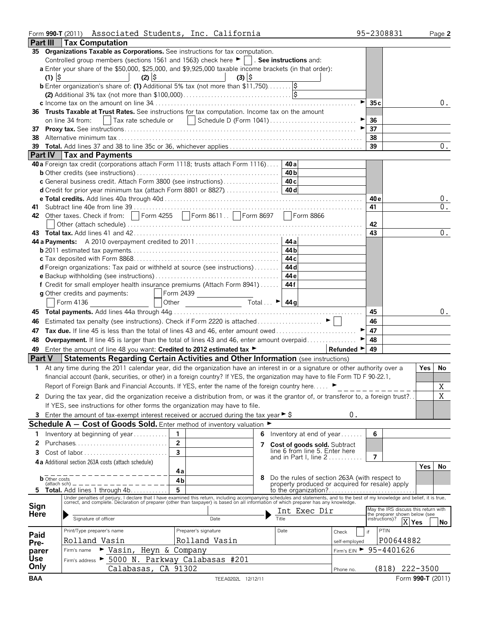|              | Form 990-T (2011) Associated Students, Inc. California                                                                                                                                                                         |                                                                                              |       |                                                 |                                |                | 95-2308831                                                            | Page 2            |       |
|--------------|--------------------------------------------------------------------------------------------------------------------------------------------------------------------------------------------------------------------------------|----------------------------------------------------------------------------------------------|-------|-------------------------------------------------|--------------------------------|----------------|-----------------------------------------------------------------------|-------------------|-------|
|              | <b>Part III   Tax Computation</b>                                                                                                                                                                                              |                                                                                              |       |                                                 |                                |                |                                                                       |                   |       |
|              | 35 Organizations Taxable as Corporations. See instructions for tax computation.                                                                                                                                                |                                                                                              |       |                                                 |                                |                |                                                                       |                   |       |
|              | Controlled group members (sections 1561 and 1563) check here ▶    . See instructions and:                                                                                                                                      |                                                                                              |       |                                                 |                                |                |                                                                       |                   |       |
|              |                                                                                                                                                                                                                                |                                                                                              |       |                                                 |                                |                |                                                                       |                   |       |
|              | a Enter your share of the \$50,000, \$25,000, and \$9,925,000 taxable income brackets (in that order):<br>$(1)$ $\frac{1}{2}$<br>$(2)$ $\frac{1}{2}$                                                                           | $(3)$ $\frac{1}{2}$                                                                          |       |                                                 |                                |                |                                                                       |                   |       |
|              | <b>b</b> Enter organization's share of: (1) Additional 5% tax (not more than $$11,750$ )                                                                                                                                       |                                                                                              |       |                                                 |                                |                |                                                                       |                   |       |
|              |                                                                                                                                                                                                                                |                                                                                              |       |                                                 |                                |                |                                                                       |                   |       |
|              |                                                                                                                                                                                                                                |                                                                                              |       |                                                 |                                |                |                                                                       |                   |       |
|              |                                                                                                                                                                                                                                |                                                                                              |       |                                                 |                                | 35c            |                                                                       |                   | 0.    |
|              | 36 Trusts Taxable at Trust Rates. See instructions for tax computation. Income tax on the amount                                                                                                                               |                                                                                              |       |                                                 |                                |                |                                                                       |                   |       |
|              | on line 34 from:                                                                                                                                                                                                               |                                                                                              |       |                                                 |                                | 36             |                                                                       |                   |       |
|              |                                                                                                                                                                                                                                |                                                                                              |       |                                                 | ►∣                             | 37             |                                                                       |                   |       |
| 38           |                                                                                                                                                                                                                                |                                                                                              |       |                                                 |                                | 38             |                                                                       |                   |       |
|              |                                                                                                                                                                                                                                |                                                                                              |       |                                                 |                                | 39             |                                                                       |                   | 0.    |
|              | Part IV   Tax and Payments                                                                                                                                                                                                     |                                                                                              |       |                                                 |                                |                |                                                                       |                   |       |
|              | 40 a Foreign tax credit (corporations attach Form 1118; trusts attach Form 1116)                                                                                                                                               |                                                                                              |       | 40 al                                           |                                |                |                                                                       |                   |       |
|              |                                                                                                                                                                                                                                |                                                                                              |       | 40 b                                            |                                |                |                                                                       |                   |       |
|              | c General business credit. Attach Form 3800 (see instructions)                                                                                                                                                                 |                                                                                              |       | 40 <sub>c</sub>                                 |                                |                |                                                                       |                   |       |
|              | d Credit for prior year minimum tax (attach Form 8801 or 8827)                                                                                                                                                                 |                                                                                              |       | 40 d                                            |                                |                |                                                                       |                   |       |
|              |                                                                                                                                                                                                                                |                                                                                              |       |                                                 |                                | 40 e           |                                                                       |                   | $0$ . |
|              |                                                                                                                                                                                                                                |                                                                                              |       |                                                 |                                | 41             |                                                                       |                   | $0$ . |
|              | 42 Other taxes. Check if from:   Form 4255 Form 8611   Form 8697 Form 8866                                                                                                                                                     |                                                                                              |       |                                                 |                                |                |                                                                       |                   |       |
|              |                                                                                                                                                                                                                                |                                                                                              |       |                                                 |                                | 42             |                                                                       |                   |       |
|              |                                                                                                                                                                                                                                |                                                                                              |       |                                                 |                                | 43             |                                                                       |                   | 0.    |
|              | 44 a Payments: A 2010 overpayment credited to 2011                                                                                                                                                                             |                                                                                              |       | 44 a                                            |                                |                |                                                                       |                   |       |
|              |                                                                                                                                                                                                                                |                                                                                              |       | 44 bl                                           |                                |                |                                                                       |                   |       |
|              |                                                                                                                                                                                                                                |                                                                                              |       | 44 c                                            |                                |                |                                                                       |                   |       |
|              | d Foreign organizations: Tax paid or withheld at source (see instructions)                                                                                                                                                     |                                                                                              |       | 44 dl                                           |                                |                |                                                                       |                   |       |
|              |                                                                                                                                                                                                                                |                                                                                              |       | 44 e                                            |                                |                |                                                                       |                   |       |
|              | f Credit for small employer health insurance premiums (Attach Form 8941)                                                                                                                                                       |                                                                                              |       | 44 f                                            |                                |                |                                                                       |                   |       |
|              | g Other credits and payments:                                                                                                                                                                                                  |                                                                                              |       |                                                 |                                |                |                                                                       |                   |       |
|              | Form 4136                                                                                                                                                                                                                      | Other $\overline{\phantom{a}}$ Total $\overline{\phantom{a}}$ P $\overline{\phantom{a}}$ 44g |       |                                                 |                                |                |                                                                       |                   |       |
|              |                                                                                                                                                                                                                                |                                                                                              |       |                                                 |                                | 45             |                                                                       |                   | 0.    |
| 46           | Estimated tax penalty (see instructions). Check if Form 2220 is attached                                                                                                                                                       |                                                                                              |       |                                                 |                                | 46             |                                                                       |                   |       |
| 47           | Tax due. If line 45 is less than the total of lines 43 and 46, enter amount owed                                                                                                                                               |                                                                                              |       |                                                 |                                | 47             |                                                                       |                   |       |
| 48           | Overpayment. If line 45 is larger than the total of lines 43 and 46, enter amount overpaid                                                                                                                                     |                                                                                              |       |                                                 |                                | 48             |                                                                       |                   |       |
| 49           | Enter the amount of line 48 you want: Credited to 2012 estimated tax $\blacktriangleright$                                                                                                                                     |                                                                                              |       |                                                 | Refunded $\blacktriangleright$ | 49             |                                                                       |                   |       |
|              | <b>Part V</b> Statements Regarding Certain Activities and Other Information (see instructions)                                                                                                                                 |                                                                                              |       |                                                 |                                |                |                                                                       |                   |       |
|              | At any time during the 2011 calendar year, did the organization have an interest in or a signature or other authority over a                                                                                                   |                                                                                              |       |                                                 |                                |                |                                                                       | Yes<br>No.        |       |
|              | financial account (bank, securities, or other) in a foreign country? If YES, the organization may have to file Form TD F 90-22.1                                                                                               |                                                                                              |       |                                                 |                                |                |                                                                       |                   |       |
|              | Report of Foreign Bank and Financial Accounts. If YES, enter the name of the foreign country here ▶                                                                                                                            |                                                                                              |       |                                                 |                                |                |                                                                       | Χ                 |       |
|              |                                                                                                                                                                                                                                |                                                                                              |       |                                                 |                                |                |                                                                       | X                 |       |
|              | 2 During the tax year, did the organization receive a distribution from, or was it the grantor of, or transferor to, a foreign trust?.                                                                                         |                                                                                              |       |                                                 |                                |                |                                                                       |                   |       |
|              | If YES, see instructions for other forms the organization may have to file.                                                                                                                                                    |                                                                                              |       |                                                 |                                |                |                                                                       |                   |       |
|              | 3 Enter the amount of tax-exempt interest received or accrued during the tax year $\triangleright$ \$                                                                                                                          |                                                                                              |       |                                                 | 0.                             |                |                                                                       |                   |       |
|              | Schedule A - Cost of Goods Sold. Enter method of inventory valuation $\blacktriangleright$                                                                                                                                     |                                                                                              |       |                                                 |                                |                |                                                                       |                   |       |
| 1            | Inventory at beginning of year                                                                                                                                                                                                 | 1                                                                                            | 6     | Inventory at end of year $\dots$                |                                | 6              |                                                                       |                   |       |
| 2            | Purchases                                                                                                                                                                                                                      | $\overline{\mathbf{c}}$                                                                      | 7     | Cost of goods sold. Subtract                    |                                |                |                                                                       |                   |       |
| 3.           | Cost of labor                                                                                                                                                                                                                  | 3                                                                                            |       | line 6 from line 5. Enter here                  |                                |                |                                                                       |                   |       |
|              | 4a Additional section 263A costs (attach schedule)                                                                                                                                                                             |                                                                                              |       | and in Part I, line $2$                         |                                | $\overline{7}$ |                                                                       |                   |       |
|              |                                                                                                                                                                                                                                | 4a                                                                                           |       |                                                 |                                |                |                                                                       | Yes.<br><b>No</b> |       |
|              | <b>b</b> Other costs                                                                                                                                                                                                           | 4b                                                                                           | 8     | Do the rules of section 263A (with respect to   |                                |                |                                                                       |                   |       |
| 5            | (attach sch)<br><b>Total.</b> Add lines 1 through 4b                                                                                                                                                                           | 5                                                                                            |       | property produced or acquired for resale) apply |                                |                |                                                                       |                   |       |
|              |                                                                                                                                                                                                                                |                                                                                              |       |                                                 |                                |                |                                                                       |                   |       |
| Sign         | Under penalties of perjury, I declare that I have examined this return, including accompanying schedules and statements, and to the best of my knowledge and belief, it is true, correct, and complete. Declaration of prepare |                                                                                              |       |                                                 |                                |                |                                                                       |                   |       |
| <b>Here</b>  |                                                                                                                                                                                                                                |                                                                                              |       | Int Exec Dir                                    |                                |                | May the IRS discuss this return with<br>the preparer shown below (see |                   |       |
|              | Signature of officer                                                                                                                                                                                                           | Date                                                                                         | Title |                                                 |                                | instructions)? |                                                                       | Yes               | No l  |
|              | Print/Type preparer's name                                                                                                                                                                                                     | Preparer's signature                                                                         |       | Date                                            | Check                          | if             | PTIN                                                                  |                   |       |
| Paid<br>Pre- | Rolland Vasin                                                                                                                                                                                                                  | Rolland Vasin                                                                                |       |                                                 | self-employed                  |                | P00644882                                                             |                   |       |
| parer        | Vasin, Heyn & Company<br>Firm's name                                                                                                                                                                                           |                                                                                              |       |                                                 | Firm's EIN > 95-4401626        |                |                                                                       |                   |       |
| Use          | Firm's address > 5000 N. Parkway Calabasas #201                                                                                                                                                                                |                                                                                              |       |                                                 |                                |                |                                                                       |                   |       |
| Only         | Calabasas, CA 91302                                                                                                                                                                                                            |                                                                                              |       |                                                 |                                |                | $(818)$ 222-3500                                                      |                   |       |
|              |                                                                                                                                                                                                                                |                                                                                              |       |                                                 | Phone no.                      |                |                                                                       |                   |       |
| <b>BAA</b>   |                                                                                                                                                                                                                                | TEEA0202L 12/12/11                                                                           |       |                                                 |                                |                |                                                                       | Form 990-T (2011) |       |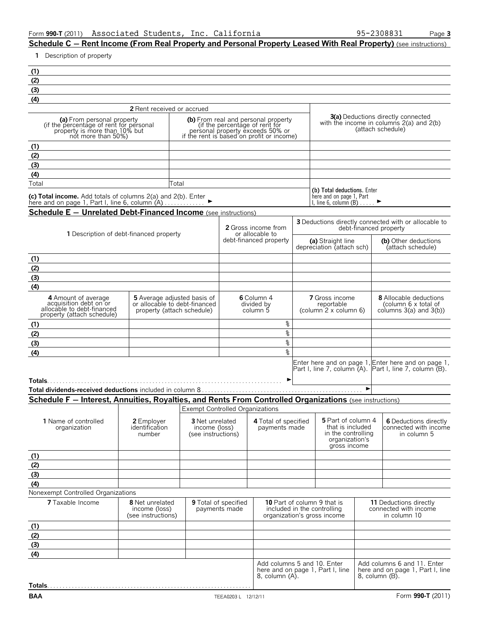**Schedule C** – **Rent Income (From Real Property and Personal Property Leased With Real Property)** (see instructions)

**1** Description of property

| (2) |                            |  |
|-----|----------------------------|--|
| (3) |                            |  |
| (4) |                            |  |
|     | 2 Dont rocojued or accrued |  |

|                                                                                                                              | <b>2</b> Rent received or accrued                                                                                                                             |                                                                                                                |
|------------------------------------------------------------------------------------------------------------------------------|---------------------------------------------------------------------------------------------------------------------------------------------------------------|----------------------------------------------------------------------------------------------------------------|
| (a) From personal property<br>(if the percentage of rent for personal<br>property is more than 10% but<br>not more than 50%) | <b>(b)</b> From real and personal property<br>(if the percentage of rent for<br>personal property exceeds 50% or<br>if the rent is based on profit or income) | <b>3(a)</b> Deductions directly connected<br>with the income in columns $2(a)$ and $2(b)$<br>(attach schedule) |
|                                                                                                                              |                                                                                                                                                               |                                                                                                                |
| (2)                                                                                                                          |                                                                                                                                                               |                                                                                                                |
| (3)                                                                                                                          |                                                                                                                                                               |                                                                                                                |
| (4)                                                                                                                          |                                                                                                                                                               |                                                                                                                |
| Total                                                                                                                        | Total                                                                                                                                                         |                                                                                                                |
|                                                                                                                              |                                                                                                                                                               | (b) Total deductions. Enter                                                                                    |

here and on page 1, Part<br>I, line 6, column  $(B)$  . . . . .  $\blacktriangleright$ 

**(c) Total income.** Add totals of columns 2(a) and 2(b). Enter<br>here and on page 1, Part I, line 6, column (A). . . . . . . . . . . ▶

**Schedule E - Unrelated Debt-Financed Income** (see instructions)

|                                                                                                           | 1 Description of debt-financed property                                                           |                                                               |                                       | <b>2</b> Gross income from<br>or allocable to |                                                                                                  |                       | <b>3</b> Deductions directly connected with or allocable to<br>debt-financed property                          |
|-----------------------------------------------------------------------------------------------------------|---------------------------------------------------------------------------------------------------|---------------------------------------------------------------|---------------------------------------|-----------------------------------------------|--------------------------------------------------------------------------------------------------|-----------------------|----------------------------------------------------------------------------------------------------------------|
|                                                                                                           |                                                                                                   |                                                               |                                       | debt-financed property                        | (a) Straight line<br>depreciation (attach sch)                                                   |                       | (b) Other deductions<br>(attach schedule)                                                                      |
| (1)                                                                                                       |                                                                                                   |                                                               |                                       |                                               |                                                                                                  |                       |                                                                                                                |
| (2)                                                                                                       |                                                                                                   |                                                               |                                       |                                               |                                                                                                  |                       |                                                                                                                |
| (3)                                                                                                       |                                                                                                   |                                                               |                                       |                                               |                                                                                                  |                       |                                                                                                                |
| (4)                                                                                                       |                                                                                                   |                                                               |                                       |                                               |                                                                                                  |                       |                                                                                                                |
| 4 Amount of average<br>acquisition debt on or<br>allocable to debt-financed<br>property (attach schedule) | <b>5</b> Average adjusted basis of<br>or allocable to debt-financed<br>property (attach schedule) |                                                               |                                       | 6 Column 4<br>divided by<br>column 5          | <b>7</b> Gross income<br>reportable<br>(column <sup>'</sup> 2 x column 6)                        |                       | <b>8</b> Allocable deductions<br>(column 6 x total of<br>columns $3(a)$ and $3(b)$ )                           |
| (1)                                                                                                       |                                                                                                   |                                                               |                                       | %                                             |                                                                                                  |                       |                                                                                                                |
| (2)                                                                                                       |                                                                                                   |                                                               |                                       | နွ                                            |                                                                                                  |                       |                                                                                                                |
| (3)                                                                                                       |                                                                                                   |                                                               |                                       | కి                                            |                                                                                                  |                       |                                                                                                                |
| (4)                                                                                                       |                                                                                                   |                                                               |                                       | ٩,                                            |                                                                                                  |                       |                                                                                                                |
|                                                                                                           |                                                                                                   |                                                               |                                       |                                               |                                                                                                  | $\blacktriangleright$ | Enter here and on page 1, Enter here and on page 1,<br>Part I, line 7, column (A). Part I, line 7, column (B). |
|                                                                                                           |                                                                                                   |                                                               |                                       |                                               |                                                                                                  |                       |                                                                                                                |
| Schedule F - Interest, Annuities, Royalties, and Rents From Controlled Organizations (see instructions)   |                                                                                                   |                                                               |                                       |                                               |                                                                                                  |                       |                                                                                                                |
|                                                                                                           |                                                                                                   | <b>Exempt Controlled Organizations</b>                        |                                       |                                               |                                                                                                  |                       |                                                                                                                |
| 1 Name of controlled<br>organization                                                                      | 2 Employer<br>identification<br>number                                                            | <b>3</b> Net unrelated<br>income (loss)<br>(see instructions) |                                       | 4 Total of specified<br>payments made         | 5 Part of column 4<br>that is included<br>in the controlling<br>organization's<br>gross income   |                       | 6 Deductions directly<br>connected with income<br>in column 5                                                  |
| (1)                                                                                                       |                                                                                                   |                                                               |                                       |                                               |                                                                                                  |                       |                                                                                                                |
| (2)                                                                                                       |                                                                                                   |                                                               |                                       |                                               |                                                                                                  |                       |                                                                                                                |
| (3)                                                                                                       |                                                                                                   |                                                               |                                       |                                               |                                                                                                  |                       |                                                                                                                |
| (4)                                                                                                       |                                                                                                   |                                                               |                                       |                                               |                                                                                                  |                       |                                                                                                                |
| Nonexempt Controlled Organizations                                                                        |                                                                                                   |                                                               |                                       |                                               |                                                                                                  |                       |                                                                                                                |
| <b>7</b> Taxable Income                                                                                   | <b>8</b> Net unrelated<br>income (loss)<br>(see instructions)                                     |                                                               | 9 Total of specified<br>payments made |                                               | <b>10</b> Part of column 9 that is<br>included in the controlling<br>organization's gross income |                       | <b>11 Deductions directly</b><br>connected with income<br>in column 10                                         |
| (1)                                                                                                       |                                                                                                   |                                                               |                                       |                                               |                                                                                                  |                       |                                                                                                                |
| (2)                                                                                                       |                                                                                                   |                                                               |                                       |                                               |                                                                                                  |                       |                                                                                                                |
| (3)                                                                                                       |                                                                                                   |                                                               |                                       |                                               |                                                                                                  |                       |                                                                                                                |
| (4)                                                                                                       |                                                                                                   |                                                               |                                       |                                               |                                                                                                  |                       |                                                                                                                |
|                                                                                                           |                                                                                                   |                                                               |                                       | Add columns 5 and 10. Enter<br>8, column (A). | here and on page 1, Part I, line                                                                 |                       | Add columns 6 and 11. Enter<br>here and on page 1, Part I, line<br>8, column (B).                              |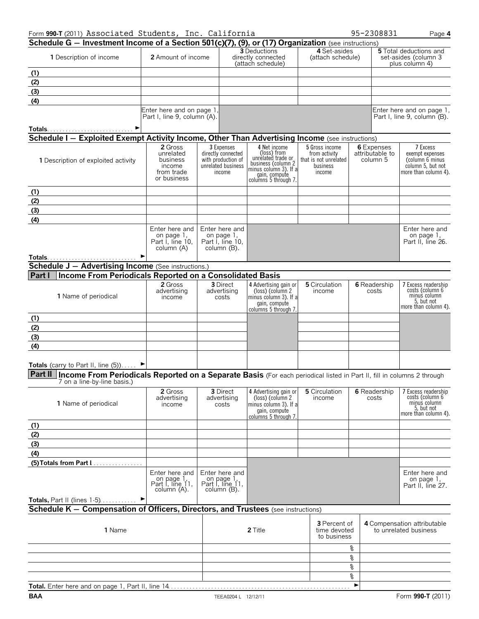| Form 990-T (2011) Associated Students, Inc. California                                                                                                          |                                                                         |                                                                                        |                                                                                                                                           |                                                                                |    | 95-2308831                                | Page 4                                                                                       |
|-----------------------------------------------------------------------------------------------------------------------------------------------------------------|-------------------------------------------------------------------------|----------------------------------------------------------------------------------------|-------------------------------------------------------------------------------------------------------------------------------------------|--------------------------------------------------------------------------------|----|-------------------------------------------|----------------------------------------------------------------------------------------------|
| Schedule G - Investment Income of a Section 501(c)(7), (9), or (17) Organization (see instructions)                                                             |                                                                         |                                                                                        |                                                                                                                                           |                                                                                |    |                                           |                                                                                              |
| 1 Description of income                                                                                                                                         | 2 Amount of income                                                      |                                                                                        | <b>3</b> Deductions<br>directly connected<br>(attach schedule)                                                                            | 4 Set-asides<br>(attach schedule)                                              |    |                                           | <b>5</b> Total deductions and<br>set-asides (column 3<br>plus column 4)                      |
| (1)                                                                                                                                                             |                                                                         |                                                                                        |                                                                                                                                           |                                                                                |    |                                           |                                                                                              |
| (2)                                                                                                                                                             |                                                                         |                                                                                        |                                                                                                                                           |                                                                                |    |                                           |                                                                                              |
| (3)                                                                                                                                                             |                                                                         |                                                                                        |                                                                                                                                           |                                                                                |    |                                           |                                                                                              |
| (4)                                                                                                                                                             |                                                                         |                                                                                        |                                                                                                                                           |                                                                                |    |                                           |                                                                                              |
|                                                                                                                                                                 | Enter here and on page 1,<br>Part I, line 9, column (A).                |                                                                                        |                                                                                                                                           |                                                                                |    |                                           | Enter here and on page 1,<br>Part I, line 9, column (B).                                     |
|                                                                                                                                                                 |                                                                         |                                                                                        |                                                                                                                                           |                                                                                |    |                                           |                                                                                              |
| Schedule I - Exploited Exempt Activity Income, Other Than Advertising Income (see instructions)                                                                 |                                                                         |                                                                                        |                                                                                                                                           |                                                                                |    |                                           |                                                                                              |
| 1 Description of exploited activity                                                                                                                             | 2 Gross<br>unrelated<br>business<br>income<br>from trade<br>or business | 3 Expenses<br>directly connected<br>with production of<br>unrelated business<br>income | 4 Net income<br>(loss) from<br>unrelated trade or<br>business (column 2<br>minus column 3). If a<br>gain, compute<br>columns 5 through 7. | 5 Gross income<br>from activity<br>that is not unrelated<br>business<br>income |    | 6 Expenses<br>attributable to<br>column 5 | 7 Excess<br>exempt expenses<br>(column 6 minus)<br>column 5, but not<br>more than column 4). |
| (1)                                                                                                                                                             |                                                                         |                                                                                        |                                                                                                                                           |                                                                                |    |                                           |                                                                                              |
| (2)                                                                                                                                                             |                                                                         |                                                                                        |                                                                                                                                           |                                                                                |    |                                           |                                                                                              |
| (3)                                                                                                                                                             |                                                                         |                                                                                        |                                                                                                                                           |                                                                                |    |                                           |                                                                                              |
| (4)                                                                                                                                                             |                                                                         |                                                                                        |                                                                                                                                           |                                                                                |    |                                           |                                                                                              |
|                                                                                                                                                                 | Enter here and<br>on page 1,<br>Part I, line 10,<br>column (A)          | Enter here and<br>on page 1,<br>Part I, line 10,<br>column (B).                        |                                                                                                                                           |                                                                                |    |                                           | Enter here and<br>on page 1,<br>Part II, line 26.                                            |
|                                                                                                                                                                 |                                                                         |                                                                                        |                                                                                                                                           |                                                                                |    |                                           |                                                                                              |
| <b>Schedule J - Advertising Income</b> (See instructions.)                                                                                                      |                                                                         |                                                                                        |                                                                                                                                           |                                                                                |    |                                           |                                                                                              |
| Part I<br>Income From Periodicals Reported on a Consolidated Basis                                                                                              |                                                                         |                                                                                        |                                                                                                                                           |                                                                                |    |                                           |                                                                                              |
| 1 Name of periodical                                                                                                                                            | 2 Gross<br>advertising<br>income                                        | <b>3</b> Direct<br>advertising<br>costs                                                | 4 Advertising gain or<br>(loss) (column 2<br>minus column 3). If a<br>gain, compute<br>columns 5 through 7.                               | 5 Circulation<br>income                                                        |    | <b>6</b> Readership<br>costs              | 7 Excess readership<br>costs (column 6<br>minus column<br>5, but not<br>more than column 4). |
| (1)                                                                                                                                                             |                                                                         |                                                                                        |                                                                                                                                           |                                                                                |    |                                           |                                                                                              |
| (2)                                                                                                                                                             |                                                                         |                                                                                        |                                                                                                                                           |                                                                                |    |                                           |                                                                                              |
| (3)                                                                                                                                                             |                                                                         |                                                                                        |                                                                                                                                           |                                                                                |    |                                           |                                                                                              |
| (4)                                                                                                                                                             |                                                                         |                                                                                        |                                                                                                                                           |                                                                                |    |                                           |                                                                                              |
|                                                                                                                                                                 |                                                                         |                                                                                        |                                                                                                                                           |                                                                                |    |                                           |                                                                                              |
| Totals (carry to Part II, line $(5)$ )                                                                                                                          |                                                                         |                                                                                        |                                                                                                                                           |                                                                                |    |                                           |                                                                                              |
| Part II   Income From Periodicals Reported on a Separate Basis (For each periodical listed in Part II, fill in columns 2 through<br>7 on a line-by-line basis.) |                                                                         |                                                                                        |                                                                                                                                           |                                                                                |    |                                           |                                                                                              |
| 1 Name of periodical                                                                                                                                            | 2 Gross<br>advertising<br>income                                        | 3 Direct<br>advertising<br>costs                                                       | 4 Advertising gain or<br>(loss) (column 2<br>minus column 3). If a<br>gain, compute<br>columns 5 through 7.                               | 5 Circulation<br>income                                                        |    | <b>6</b> Readership<br>costs              | 7 Excess readership<br>costs (column 6<br>minus column<br>5, but not<br>more than column 4). |
| (1)                                                                                                                                                             |                                                                         |                                                                                        |                                                                                                                                           |                                                                                |    |                                           |                                                                                              |
| (2)                                                                                                                                                             |                                                                         |                                                                                        |                                                                                                                                           |                                                                                |    |                                           |                                                                                              |
| (3)                                                                                                                                                             |                                                                         |                                                                                        |                                                                                                                                           |                                                                                |    |                                           |                                                                                              |
| (4)                                                                                                                                                             |                                                                         |                                                                                        |                                                                                                                                           |                                                                                |    |                                           |                                                                                              |
|                                                                                                                                                                 |                                                                         |                                                                                        |                                                                                                                                           |                                                                                |    |                                           |                                                                                              |
|                                                                                                                                                                 | Enter here and<br>on page 1,<br>Part I, line 11,<br>column (A).         | Enter here and<br>on page 1,<br>Part I, line 11,<br>column (B).                        |                                                                                                                                           |                                                                                |    |                                           | Enter here and<br>on page 1.<br>Part II, line 27.                                            |
| Totals, Part II (lines $1-5$ )                                                                                                                                  | ▸                                                                       |                                                                                        |                                                                                                                                           |                                                                                |    |                                           |                                                                                              |
| Schedule K - Compensation of Officers, Directors, and Trustees (see instructions)                                                                               |                                                                         |                                                                                        |                                                                                                                                           |                                                                                |    |                                           |                                                                                              |
| 1 Name                                                                                                                                                          |                                                                         |                                                                                        | 2 Title                                                                                                                                   | <b>3</b> Percent of<br>time devoted<br>to business                             |    |                                           | 4 Compensation attributable<br>to unrelated business                                         |
|                                                                                                                                                                 |                                                                         |                                                                                        |                                                                                                                                           |                                                                                | g  |                                           |                                                                                              |
|                                                                                                                                                                 |                                                                         |                                                                                        |                                                                                                                                           |                                                                                | နွ |                                           |                                                                                              |
|                                                                                                                                                                 |                                                                         |                                                                                        |                                                                                                                                           |                                                                                | နွ |                                           |                                                                                              |
|                                                                                                                                                                 |                                                                         |                                                                                        |                                                                                                                                           |                                                                                | နွ |                                           |                                                                                              |

**Total.** Enter here and on page 1, Part II, line 14. . . . . . . . . . . . . . . . . . . . . . . . . . . . . . . . . . . . . . . . . . . . . . . . . . . . . . . . . . . G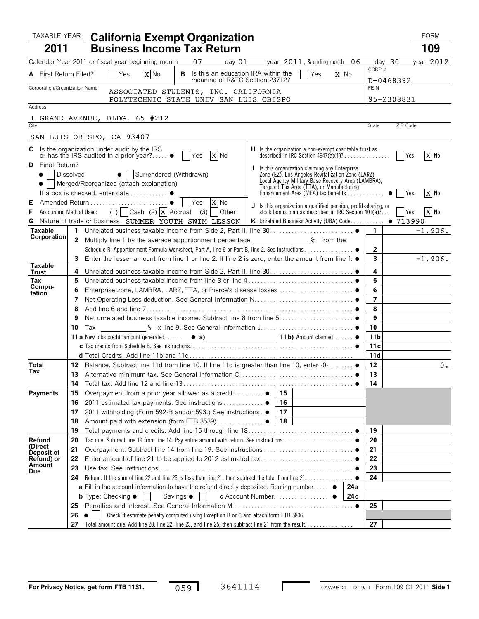|                               |                  | <b>TAXABLE YEAR California Exempt Organization</b>                                                                                                                                                 |                     |            | <b>FORM</b> |
|-------------------------------|------------------|----------------------------------------------------------------------------------------------------------------------------------------------------------------------------------------------------|---------------------|------------|-------------|
| 2011                          |                  | <b>Business Income Tax Return</b>                                                                                                                                                                  |                     |            | 109         |
|                               |                  | 07<br>Calendar Year 2011 or fiscal year beginning month<br>day $01$<br>year $2011$ , & ending month $06$                                                                                           | day 30              |            | year $2012$ |
| <b>A</b> First Return Filed?  |                  | X No<br><b>B</b> Is this an education IRA within the<br>X No<br>Yes<br>Yes                                                                                                                         | CORP#               |            |             |
| Corporation/Organization Name |                  | meaning of R&TC Section 23712?                                                                                                                                                                     | <b>FEIN</b>         | D-0468392  |             |
|                               |                  | ASSOCIATED STUDENTS, INC. CALIFORNIA                                                                                                                                                               |                     |            |             |
| Address                       |                  | POLYTECHNIC STATE UNIV SAN LUIS OBISPO                                                                                                                                                             |                     | 95-2308831 |             |
|                               |                  | 1 GRAND AVENUE, BLDG. 65 #212                                                                                                                                                                      |                     |            |             |
| City                          |                  |                                                                                                                                                                                                    | State               | ZIP Code   |             |
|                               |                  | SAN LUIS OBISPO, CA 93407                                                                                                                                                                          |                     |            |             |
|                               |                  | <b>C</b> Is the organization under audit by the IRS<br>H Is the organization a non-exempt charitable trust as                                                                                      |                     |            |             |
|                               |                  | X No<br>or has the IRS audited in a prior year? $\bullet$   Yes                                                                                                                                    |                     |            | X No        |
| <b>D</b> Final Return?        |                  | I Is this organization claiming any Enterprise                                                                                                                                                     |                     |            |             |
|                               | <b>Dissolved</b> | • Surrendered (Withdrawn)<br>Zone (EZ), Los Angeles Revitalization Zone (LARZ),<br>Local Agency Military Base Recovery Area (LAMBRA),                                                              |                     |            |             |
|                               |                  | •   Merged/Reorganized (attach explanation)<br>Targeted Tax Area (TTA), or Manufacturing<br>Enhancement Area (MEA) tax benefits ●     Yes<br>If a box is checked, enter date  ●                    |                     |            | $X$ No      |
| Е                             |                  | $X$ No                                                                                                                                                                                             |                     |            |             |
| F                             |                  | J Is this organization a qualified pension, profit-sharing, or<br>Accounting Method Used: (1) Cash (2) $\overline{X}$ Accrual (3) Other<br>stock bonus plan as described in IRC Section $401(a)$ ? |                     | Yes        | $X$ No      |
|                               |                  | G Nature of trade or business SUMMER YOUTH SWIM LESSON<br>K Unrelated Business Activity (UBA) Code . 713990                                                                                        |                     |            |             |
| <b>Taxable</b><br>Corporation |                  |                                                                                                                                                                                                    | $\mathbf{1}$        |            | $-1,906.$   |
|                               |                  |                                                                                                                                                                                                    |                     |            |             |
|                               |                  | Schedule R, Apportionment Formula Worksheet, Part A, line 6 or Part B, line 2. See instructions ●                                                                                                  | $\mathbf{2}$        |            |             |
| <b>Taxable</b>                |                  | Enter the lesser amount from line 1 or line 2. If line 2 is zero, enter the amount from line 1. $\bullet$                                                                                          | 3                   |            | $-1,906.$   |
| Trust                         | 4                |                                                                                                                                                                                                    | 4                   |            |             |
| Tax<br>Compu-                 | 5                |                                                                                                                                                                                                    | 5                   |            |             |
| tation                        | 6<br>7           |                                                                                                                                                                                                    | 6<br>$\overline{ }$ |            |             |
|                               | 8                |                                                                                                                                                                                                    | 8                   |            |             |
|                               | 9                |                                                                                                                                                                                                    | 9                   |            |             |
|                               | 10               |                                                                                                                                                                                                    | 10                  |            |             |
|                               |                  |                                                                                                                                                                                                    | 11 b                |            |             |
|                               |                  |                                                                                                                                                                                                    | 11 c                |            |             |
|                               |                  |                                                                                                                                                                                                    | 11d                 |            |             |
| Total<br>Tax                  |                  | 12 Balance. Subtract line 11d from line 10. If line 11d is greater than line 10, enter -0- .                                                                                                       | 12                  |            | 0.          |
|                               |                  |                                                                                                                                                                                                    | 13<br>14            |            |             |
| <b>Payments</b>               | 15               | Overpayment from a prior year allowed as a credit<br>15                                                                                                                                            |                     |            |             |
|                               | 16               | 2011 estimated tax payments. See instructions ●<br>16                                                                                                                                              |                     |            |             |
|                               | 17               | 2011 withholding (Form 592-B and/or 593.) See instructions. ●<br>17                                                                                                                                |                     |            |             |
|                               | 18               | 18<br>Amount paid with extension (form FTB 3539) ●                                                                                                                                                 |                     |            |             |
|                               | 19               |                                                                                                                                                                                                    | 19                  |            |             |
| Refund<br>(Direct             | 20               |                                                                                                                                                                                                    | 20                  |            |             |
| <b>Deposit of</b>             | 21               |                                                                                                                                                                                                    | 21<br>22            |            |             |
| Refund) or<br>Amount          | 22<br>23         |                                                                                                                                                                                                    | 23                  |            |             |
| <b>Due</b>                    | 24               |                                                                                                                                                                                                    | 24                  |            |             |
|                               |                  | <b>a</b> Fill in the account information to have the refund directly deposited. Routing number $\bullet$<br>24 a                                                                                   |                     |            |             |
|                               |                  | <b>b</b> Type: Checking $\bullet$<br>Savings •<br>c Account Number ●<br>24 c                                                                                                                       |                     |            |             |
|                               | 25               |                                                                                                                                                                                                    | 25                  |            |             |
|                               | 26               | Check if estimate penalty computed using Exception B or C and attach form FTB 5806.                                                                                                                |                     |            |             |
|                               | 27               | Total amount due. Add line 20, line 22, line 23, and line 25, then subtract line 21 from the result                                                                                                | 27                  |            |             |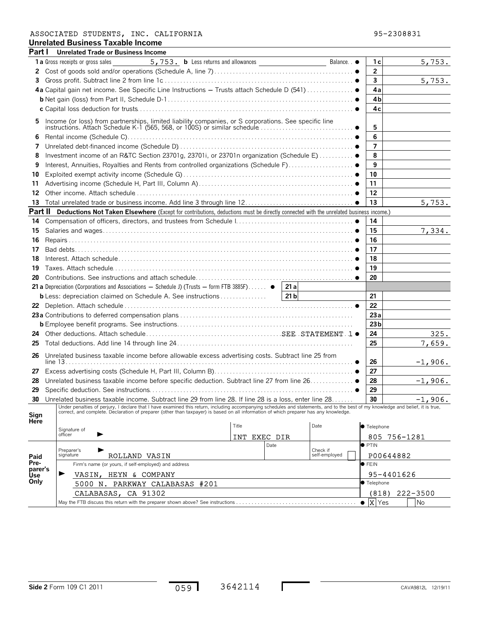### **Unrelated Business Taxable Income** ASSOCIATED STUDENTS, INC. CALIFORNIA 95-2308831

| Part I       | <b>Unrelated Trade or Business Income</b>                                                                                                                                                                                                                                                                                 |              |      |                           |                         |           |
|--------------|---------------------------------------------------------------------------------------------------------------------------------------------------------------------------------------------------------------------------------------------------------------------------------------------------------------------------|--------------|------|---------------------------|-------------------------|-----------|
|              | <b>1 a</b> Gross receipts or gross sales                                                                                                                                                                                                                                                                                  |              |      | Balance. . •              | 1 с                     | 5,753.    |
| 2            |                                                                                                                                                                                                                                                                                                                           |              |      |                           | $\overline{2}$          |           |
| 3            |                                                                                                                                                                                                                                                                                                                           |              |      |                           | $\mathbf{3}$            | 5,753.    |
|              |                                                                                                                                                                                                                                                                                                                           |              |      |                           | 4a                      |           |
|              |                                                                                                                                                                                                                                                                                                                           |              |      |                           | 4 <sub>b</sub>          |           |
|              |                                                                                                                                                                                                                                                                                                                           |              |      |                           | 4c                      |           |
| 5            |                                                                                                                                                                                                                                                                                                                           |              |      |                           | 5                       |           |
| 6            |                                                                                                                                                                                                                                                                                                                           |              |      |                           | 6                       |           |
| 7            |                                                                                                                                                                                                                                                                                                                           |              |      |                           | $\overline{\mathbf{z}}$ |           |
| 8            |                                                                                                                                                                                                                                                                                                                           |              |      |                           | 8                       |           |
| 9            |                                                                                                                                                                                                                                                                                                                           |              |      |                           | 9                       |           |
| 10           |                                                                                                                                                                                                                                                                                                                           |              |      |                           | 10                      |           |
| 11           |                                                                                                                                                                                                                                                                                                                           |              |      |                           | 11                      |           |
| 12           |                                                                                                                                                                                                                                                                                                                           |              |      |                           | 12                      |           |
| 13           |                                                                                                                                                                                                                                                                                                                           |              |      |                           | 13                      | 5,753.    |
|              | <b>Part II</b> Deductions Not Taken Elsewhere (Except for contributions, deductions must be directly connected with the unrelated business income.)                                                                                                                                                                       |              |      |                           |                         |           |
| 14           |                                                                                                                                                                                                                                                                                                                           |              |      |                           | 14                      |           |
| 15           |                                                                                                                                                                                                                                                                                                                           |              |      |                           | 15                      | 7,334.    |
| 16           |                                                                                                                                                                                                                                                                                                                           |              |      |                           | 16                      |           |
| 17           |                                                                                                                                                                                                                                                                                                                           |              |      |                           | 17                      |           |
| 18           |                                                                                                                                                                                                                                                                                                                           |              |      |                           | 18                      |           |
| 19           |                                                                                                                                                                                                                                                                                                                           |              |      |                           | 19                      |           |
| 20           |                                                                                                                                                                                                                                                                                                                           |              |      |                           | 20                      |           |
|              | 21 a Depreciation (Corporations and Associations $-$ Schedule J) (Trusts $-$ form FTB 3885F) $\bullet$   21 a                                                                                                                                                                                                             |              |      |                           |                         |           |
|              |                                                                                                                                                                                                                                                                                                                           |              |      |                           | 21                      |           |
|              |                                                                                                                                                                                                                                                                                                                           |              |      |                           | 22                      |           |
|              |                                                                                                                                                                                                                                                                                                                           |              |      |                           | 23a                     |           |
|              |                                                                                                                                                                                                                                                                                                                           |              |      |                           | 23 <sub>b</sub>         |           |
| 24           |                                                                                                                                                                                                                                                                                                                           |              |      |                           | 24                      | 325.      |
| 25           |                                                                                                                                                                                                                                                                                                                           |              |      |                           | 25                      | 7,659.    |
|              |                                                                                                                                                                                                                                                                                                                           |              |      |                           |                         |           |
| 26           | Unrelated business taxable income before allowable excess advertising costs. Subtract line 25 from                                                                                                                                                                                                                        |              |      |                           | 26                      | $-1,906.$ |
| 27           |                                                                                                                                                                                                                                                                                                                           |              |      |                           | 27                      |           |
| 28           | Unrelated business taxable income before specific deduction. Subtract line 27 from line 26. ●                                                                                                                                                                                                                             |              |      |                           | 28                      | $-1,906.$ |
| 29           |                                                                                                                                                                                                                                                                                                                           |              |      |                           | 29                      |           |
| 30           | Unrelated business taxable income. Subtract line 29 from line 28. If line 28 is a loss, enter line 28                                                                                                                                                                                                                     |              |      |                           | 30                      | $-1,906.$ |
| Sign<br>Here | Under penalties of perjury, I declare that I have examined this return, including accompanying schedules and statements, and to the best of my knowledge and belief, it is true,<br>correct, and complete. Declaration of preparer (other than taxpayer) is based on all information of which preparer has any knowledge. | Title        |      | Date                      | <b>• Telephone</b>      |           |
|              | Signature of<br>officer                                                                                                                                                                                                                                                                                                   | INT EXEC DIR |      |                           | 805 756-1281            |           |
|              |                                                                                                                                                                                                                                                                                                                           |              | Date |                           | $\bullet$ PTIN          |           |
|              | Preparer's<br>signature<br>ROLLAND VASIN                                                                                                                                                                                                                                                                                  |              |      | Check if<br>self-employed | P00644882               |           |
| Paid<br>Pre- | Firm's name (or yours, if self-employed) and address                                                                                                                                                                                                                                                                      |              |      |                           | $\bullet$ FEIN          |           |
| parer's      | VASIN, HEYN & COMPANY                                                                                                                                                                                                                                                                                                     |              |      |                           | 95-4401626              |           |
| Use<br>Only  | 5000 N. PARKWAY CALABASAS #201                                                                                                                                                                                                                                                                                            |              |      |                           | <b>Telephone</b>        |           |
|              |                                                                                                                                                                                                                                                                                                                           |              |      |                           |                         |           |

 $059$ 

May the FTB discuss this return with the preparer shown above? See instructions . . . . . . . . . . . . . . . . . . . . . . . . . . . . . . . . . . . . . . . @ Yes No

CALABASAS, CA 91302 (818) 222-3500

 $\bullet$  X Yes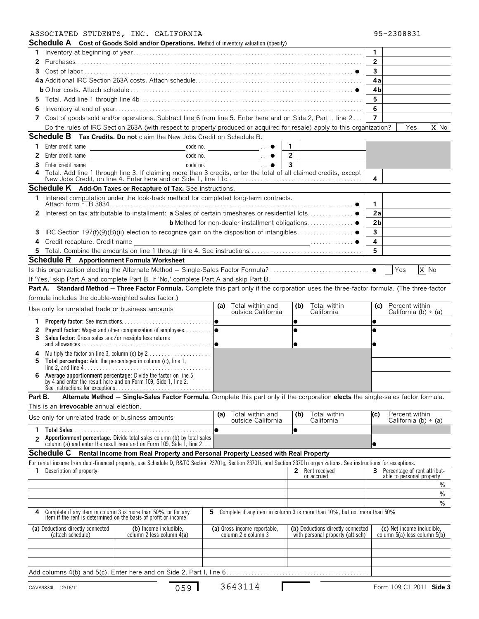### ASSOCIATED STUDENTS, INC. CALIFORNIA 95-2308831

| 95-2308831 |
|------------|
|------------|

|                |                                                        | <b>Schedule A</b> Cost of Goods Sold and/or Operations. Method of inventory valuation (specify)                                                                                      |                                               |                                                                          |                                                    |
|----------------|--------------------------------------------------------|--------------------------------------------------------------------------------------------------------------------------------------------------------------------------------------|-----------------------------------------------|--------------------------------------------------------------------------|----------------------------------------------------|
| 1.             |                                                        |                                                                                                                                                                                      |                                               |                                                                          | $\mathbf{1}$                                       |
| 2              |                                                        |                                                                                                                                                                                      |                                               |                                                                          | $\overline{2}$                                     |
| 3              |                                                        |                                                                                                                                                                                      |                                               |                                                                          | $\mathbf{3}$                                       |
|                |                                                        |                                                                                                                                                                                      |                                               |                                                                          | 4a                                                 |
|                |                                                        |                                                                                                                                                                                      |                                               |                                                                          | 4b                                                 |
| 5.             |                                                        |                                                                                                                                                                                      |                                               |                                                                          | 5                                                  |
|                |                                                        |                                                                                                                                                                                      |                                               |                                                                          | 6                                                  |
| 6              |                                                        |                                                                                                                                                                                      |                                               |                                                                          | $\overline{7}$                                     |
| 7              |                                                        | Cost of goods sold and/or operations. Subtract line 6 from line 5. Enter here and on Side 2, Part I, line 2                                                                          |                                               |                                                                          |                                                    |
|                |                                                        | Do the rules of IRC Section 263A (with respect to property produced or acquired for resale) apply to this organization?                                                              |                                               |                                                                          | X No<br>Yes                                        |
|                |                                                        | Schedule B Tax Credits. Do not claim the New Jobs Credit on Schedule B.                                                                                                              |                                               |                                                                          |                                                    |
| 1.             | Enter credit name                                      | <u> 1980 - Johann Barnett, fransk politiker (</u>                                                                                                                                    | $\overline{\phantom{a}}$ code no.             | $\mathbf{1}$                                                             |                                                    |
| 2              | Enter credit name                                      |                                                                                                                                                                                      | $\overline{\phantom{a}}$ code no.             | $\overline{2}$                                                           |                                                    |
| 3              | Enter credit name                                      |                                                                                                                                                                                      | $\text{code no.}$                             | $\mathbf{3}$                                                             |                                                    |
| 4              |                                                        | Total. Add line 1 through line 3. If claiming more than 3 credits, enter the total of all claimed credits, except<br>New Jobs Credit, on line 4. Enter here and on Side 1, line 11c. |                                               |                                                                          | 4                                                  |
|                |                                                        | Schedule K Add-On Taxes or Recapture of Tax. See instructions.                                                                                                                       |                                               |                                                                          |                                                    |
| 1.             |                                                        | Interest computation under the look-back method for completed long-term contracts.                                                                                                   |                                               |                                                                          |                                                    |
|                |                                                        |                                                                                                                                                                                      |                                               |                                                                          | $\mathbf{1}$                                       |
| 2              |                                                        |                                                                                                                                                                                      |                                               |                                                                          | 2a                                                 |
|                |                                                        |                                                                                                                                                                                      |                                               |                                                                          | 2 <sub>b</sub>                                     |
| 3              |                                                        |                                                                                                                                                                                      |                                               |                                                                          | $\overline{\mathbf{3}}$                            |
| 4              | Credit recapture. Credit name                          |                                                                                                                                                                                      |                                               |                                                                          | 4                                                  |
|                |                                                        |                                                                                                                                                                                      |                                               |                                                                          | 5                                                  |
|                |                                                        | <b>Schedule R</b> Apportionment Formula Worksheet                                                                                                                                    |                                               |                                                                          |                                                    |
|                |                                                        |                                                                                                                                                                                      |                                               |                                                                          | X No<br>Yes                                        |
|                |                                                        | If 'Yes,' skip Part A and complete Part B. If 'No,' complete Part A and skip Part B.                                                                                                 |                                               |                                                                          |                                                    |
|                |                                                        | Part A. Standard Method - Three Factor Formula. Complete this part only if the corporation uses the three-factor formula. (The three-factor                                          |                                               |                                                                          |                                                    |
|                | formula includes the double-weighted sales factor.)    |                                                                                                                                                                                      |                                               |                                                                          |                                                    |
|                | Use only for unrelated trade or business amounts       |                                                                                                                                                                                      | (a) Total within and                          | Total within<br>(b)                                                      | (c) Percent within                                 |
|                |                                                        |                                                                                                                                                                                      | outside California                            | California                                                               | California (b) $\div$ (a)                          |
|                |                                                        |                                                                                                                                                                                      |                                               |                                                                          |                                                    |
| 1.             |                                                        |                                                                                                                                                                                      |                                               |                                                                          |                                                    |
| 2              |                                                        | <b>Payroll factor:</b> Wages and other compensation of employees.  ●                                                                                                                 |                                               | $\bullet$                                                                |                                                    |
| 3.             | Sales factor: Gross sales and/or receipts less returns |                                                                                                                                                                                      |                                               |                                                                          |                                                    |
|                |                                                        |                                                                                                                                                                                      |                                               |                                                                          |                                                    |
| 4              |                                                        |                                                                                                                                                                                      |                                               |                                                                          |                                                    |
| 5              |                                                        | Total percentage: Add the percentages in column (c), line 1,                                                                                                                         |                                               |                                                                          |                                                    |
| 6              |                                                        | Average apportionment percentage: Divide the factor on line 5                                                                                                                        |                                               |                                                                          |                                                    |
|                |                                                        | by 4 and enter the result here and on Form 109, Side 1, line 2.                                                                                                                      |                                               |                                                                          |                                                    |
|                |                                                        |                                                                                                                                                                                      |                                               |                                                                          |                                                    |
| Part B.        |                                                        | Alternate Method - Single-Sales Factor Formula. Complete this part only if the corporation elects the single-sales factor formula.                                                   |                                               |                                                                          |                                                    |
|                | This is an <b>irrevocable</b> annual election.         |                                                                                                                                                                                      |                                               |                                                                          |                                                    |
|                | Use only for unrelated trade or business amounts       |                                                                                                                                                                                      | Total within and<br>(a)<br>outside California | Total within<br>(b)<br>California                                        | Percent within<br>(c)<br>California (b) $\div$ (a) |
| 1              | <b>Total Sales.</b>                                    |                                                                                                                                                                                      |                                               | $\bullet$                                                                |                                                    |
| $\mathfrak{p}$ |                                                        | Apportionment percentage. Divide total sales column (b) by total sales                                                                                                               |                                               |                                                                          |                                                    |
|                |                                                        | column (a) and enter the result here and on Form 109, Side 1, line 2                                                                                                                 |                                               |                                                                          |                                                    |
|                |                                                        | Schedule C Rental Income from Real Property and Personal Property Leased with Real Property                                                                                          |                                               |                                                                          |                                                    |
|                |                                                        | For rental income from debt-financed property, use Schedule D, R&TC Section 23701g, Section 23701i, and Section 23701n organizations. See instructions for exceptions.               |                                               |                                                                          |                                                    |
|                | <b>1</b> Description of property                       |                                                                                                                                                                                      |                                               | $\mathbf{2}$<br>Rent received                                            | Percentage of rent attribut-<br>3                  |
|                |                                                        |                                                                                                                                                                                      |                                               | or accrued                                                               | able to personal property                          |
|                |                                                        |                                                                                                                                                                                      |                                               |                                                                          | %                                                  |
|                |                                                        |                                                                                                                                                                                      |                                               |                                                                          | %                                                  |
| 4              |                                                        | Complete if any item in column 3 is more than 50%, or for any                                                                                                                        | 5.                                            | Complete if any item in column 3 is more than 10%, but not more than 50% | %                                                  |
|                |                                                        | item if the rent is determined on the basis of profit or income                                                                                                                      |                                               |                                                                          |                                                    |
|                | (a) Deductions directly connected                      | (b) Income includible,                                                                                                                                                               | (a) Gross income reportable,                  | (b) Deductions directly connected                                        | (c) Net income includible,                         |
|                | (attach schedule)                                      | column 2 less column 4(a)                                                                                                                                                            | column 2 x column 3                           | with personal property (att sch)                                         | column 5(a) less column 5(b)                       |
|                |                                                        |                                                                                                                                                                                      |                                               |                                                                          |                                                    |
|                |                                                        |                                                                                                                                                                                      |                                               |                                                                          |                                                    |
|                |                                                        |                                                                                                                                                                                      |                                               |                                                                          |                                                    |
|                |                                                        | Add columns $4(b)$ and $5(c)$ . Enter here and on Side 2, Part I, line $6$                                                                                                           |                                               |                                                                          |                                                    |
|                | CAVA9834L 12/16/11                                     | 059                                                                                                                                                                                  | 3643114                                       |                                                                          | Form 109 C1 2011 Side 3                            |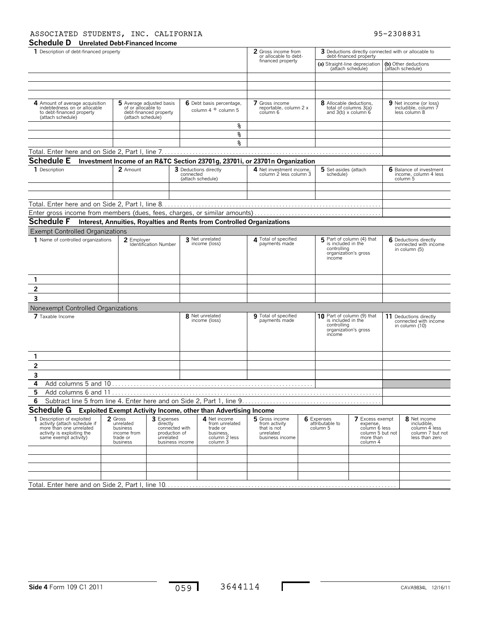### **Schedule D Unrelated Debt-Financed Income** ASSOCIATED STUDENTS, INC. CALIFORNIA 195-2308831

| omenated Debt Financed meonie<br>1 Description of debt-financed property                                                                     |                                                                                                                                                                      |                                                    |                                                                                      |                                                                        | 2 Gross income from<br>or allocable to debt-                                                            |  | 3 Deductions directly connected with or allocable to<br>debt-financed property                                                                |  |                                           |                                                                                    |
|----------------------------------------------------------------------------------------------------------------------------------------------|----------------------------------------------------------------------------------------------------------------------------------------------------------------------|----------------------------------------------------|--------------------------------------------------------------------------------------|------------------------------------------------------------------------|---------------------------------------------------------------------------------------------------------|--|-----------------------------------------------------------------------------------------------------------------------------------------------|--|-------------------------------------------|------------------------------------------------------------------------------------|
|                                                                                                                                              |                                                                                                                                                                      |                                                    |                                                                                      |                                                                        | financed property                                                                                       |  | (a) Straight-line depreciation<br>(attach schedule)                                                                                           |  | (b) Other deductions<br>(attach schedule) |                                                                                    |
|                                                                                                                                              |                                                                                                                                                                      |                                                    |                                                                                      |                                                                        |                                                                                                         |  |                                                                                                                                               |  |                                           |                                                                                    |
|                                                                                                                                              |                                                                                                                                                                      |                                                    |                                                                                      |                                                                        |                                                                                                         |  |                                                                                                                                               |  |                                           |                                                                                    |
| 4 Amount of average acquisition<br>indebtedness on or allocable<br>to debt-financed property<br>(attach schedule)                            | of or allocable to<br>(attach schedule)                                                                                                                              | 5 Average adjusted basis<br>debt-financed property |                                                                                      | 6 Debt basis percentage,<br>column $4 \div$ column 5                   | 7 Gross income<br>reportable, column 2 x<br>column 6                                                    |  | 8 Allocable deductions,<br>total of columns 3(a)<br>and $3(b) \times$ column $6$                                                              |  |                                           | 9 Net income (or loss)<br>includible, column 7<br>less column 8                    |
|                                                                                                                                              |                                                                                                                                                                      |                                                    |                                                                                      | g                                                                      |                                                                                                         |  |                                                                                                                                               |  |                                           |                                                                                    |
|                                                                                                                                              |                                                                                                                                                                      |                                                    |                                                                                      | g                                                                      |                                                                                                         |  |                                                                                                                                               |  |                                           |                                                                                    |
|                                                                                                                                              |                                                                                                                                                                      |                                                    |                                                                                      | ٩,                                                                     |                                                                                                         |  |                                                                                                                                               |  |                                           |                                                                                    |
|                                                                                                                                              |                                                                                                                                                                      |                                                    |                                                                                      |                                                                        |                                                                                                         |  |                                                                                                                                               |  |                                           |                                                                                    |
| <b>Schedule E</b>                                                                                                                            | 2 Amount                                                                                                                                                             |                                                    |                                                                                      | 3 Deductions directly                                                  | Investment Income of an R&TC Section 23701g, 23701i, or 23701n Organization<br>4 Net investment income, |  | 5 Set-asides (attach                                                                                                                          |  |                                           | 6 Balance of investment                                                            |
| 1 Description                                                                                                                                |                                                                                                                                                                      |                                                    | connected                                                                            | (attach schedule)                                                      | column 2 less column 3                                                                                  |  | schedule)                                                                                                                                     |  |                                           | income, column 4 less<br>column 5                                                  |
|                                                                                                                                              |                                                                                                                                                                      |                                                    |                                                                                      |                                                                        |                                                                                                         |  |                                                                                                                                               |  |                                           |                                                                                    |
|                                                                                                                                              |                                                                                                                                                                      |                                                    |                                                                                      |                                                                        |                                                                                                         |  |                                                                                                                                               |  |                                           |                                                                                    |
|                                                                                                                                              |                                                                                                                                                                      |                                                    |                                                                                      |                                                                        |                                                                                                         |  |                                                                                                                                               |  |                                           |                                                                                    |
|                                                                                                                                              |                                                                                                                                                                      |                                                    |                                                                                      |                                                                        |                                                                                                         |  |                                                                                                                                               |  |                                           |                                                                                    |
| <b>Schedule F</b>                                                                                                                            |                                                                                                                                                                      |                                                    |                                                                                      | Interest, Annuities, Royalties and Rents from Controlled Organizations |                                                                                                         |  |                                                                                                                                               |  |                                           |                                                                                    |
| <b>Exempt Controlled Organizations</b>                                                                                                       |                                                                                                                                                                      |                                                    |                                                                                      |                                                                        |                                                                                                         |  |                                                                                                                                               |  |                                           |                                                                                    |
| 1 Name of controlled organizations                                                                                                           | 2 Employer                                                                                                                                                           | Identification Number                              |                                                                                      | 3 Net unrelated<br>income (loss)                                       | 4 Total of specified<br>payments made                                                                   |  | 5 Part of column (4) that<br>is included in the<br>controlling<br>organization's gross<br>income                                              |  |                                           | 6 Deductions directly<br>connected with income<br>in column (5)                    |
| 1                                                                                                                                            |                                                                                                                                                                      |                                                    |                                                                                      |                                                                        |                                                                                                         |  |                                                                                                                                               |  |                                           |                                                                                    |
| 2                                                                                                                                            |                                                                                                                                                                      |                                                    |                                                                                      |                                                                        |                                                                                                         |  |                                                                                                                                               |  |                                           |                                                                                    |
| 3                                                                                                                                            |                                                                                                                                                                      |                                                    |                                                                                      |                                                                        |                                                                                                         |  |                                                                                                                                               |  |                                           |                                                                                    |
| Nonexempt Controlled Organizations                                                                                                           |                                                                                                                                                                      |                                                    |                                                                                      |                                                                        |                                                                                                         |  |                                                                                                                                               |  |                                           |                                                                                    |
| 7 Taxable Income                                                                                                                             |                                                                                                                                                                      |                                                    |                                                                                      | 8 Net unrelated                                                        | 9 Total of specified                                                                                    |  | 10 Part of column (9) that                                                                                                                    |  |                                           | 11 Deductions directly                                                             |
|                                                                                                                                              |                                                                                                                                                                      |                                                    |                                                                                      | income (loss)                                                          | payments made                                                                                           |  | is included in the<br>controlling<br>organization's gross<br>income                                                                           |  |                                           | connected with income<br>in column (10)                                            |
| 1                                                                                                                                            |                                                                                                                                                                      |                                                    |                                                                                      |                                                                        |                                                                                                         |  |                                                                                                                                               |  |                                           |                                                                                    |
| $\overline{\mathbf{c}}$                                                                                                                      |                                                                                                                                                                      |                                                    |                                                                                      |                                                                        |                                                                                                         |  |                                                                                                                                               |  |                                           |                                                                                    |
| 3                                                                                                                                            |                                                                                                                                                                      |                                                    |                                                                                      |                                                                        |                                                                                                         |  |                                                                                                                                               |  |                                           |                                                                                    |
| 4                                                                                                                                            |                                                                                                                                                                      |                                                    |                                                                                      |                                                                        |                                                                                                         |  |                                                                                                                                               |  |                                           |                                                                                    |
| 5<br>Add columns 6 and 11                                                                                                                    |                                                                                                                                                                      |                                                    |                                                                                      |                                                                        |                                                                                                         |  |                                                                                                                                               |  |                                           |                                                                                    |
| 6                                                                                                                                            |                                                                                                                                                                      |                                                    |                                                                                      |                                                                        |                                                                                                         |  |                                                                                                                                               |  |                                           |                                                                                    |
| <b>Schedule G</b>                                                                                                                            |                                                                                                                                                                      |                                                    |                                                                                      | <b>Exploited Exempt Activity Income, other than Advertising Income</b> |                                                                                                         |  |                                                                                                                                               |  |                                           |                                                                                    |
| 1 Description of exploited<br>activity (attach schedule if<br>more than one unrelated<br>activity is exploiting the<br>same exempt activity) | 2 Gross<br>3 Expenses<br>unrelated<br>directly<br>connected with<br>business<br>production of<br>income from<br>unrelated<br>trade or<br>business<br>business income |                                                    | 4 Net income<br>from unrelated<br>trade or<br>business,<br>column 2 less<br>column 3 |                                                                        | 5 Gross income<br>from activity<br>that is not<br>unrelated<br>business income                          |  | 6 Expenses<br><b>7</b> Excess exempt<br>attributable to<br>expense,<br>column 6 less<br>column 5<br>column 5 but not<br>more than<br>column 4 |  |                                           | 8 Net income<br>includible,<br>column 4 less<br>column 7 but not<br>less than zero |
|                                                                                                                                              |                                                                                                                                                                      |                                                    |                                                                                      |                                                                        |                                                                                                         |  |                                                                                                                                               |  |                                           |                                                                                    |
|                                                                                                                                              |                                                                                                                                                                      |                                                    |                                                                                      |                                                                        |                                                                                                         |  |                                                                                                                                               |  |                                           |                                                                                    |
|                                                                                                                                              |                                                                                                                                                                      |                                                    |                                                                                      |                                                                        |                                                                                                         |  |                                                                                                                                               |  |                                           |                                                                                    |
|                                                                                                                                              |                                                                                                                                                                      |                                                    |                                                                                      |                                                                        |                                                                                                         |  |                                                                                                                                               |  |                                           |                                                                                    |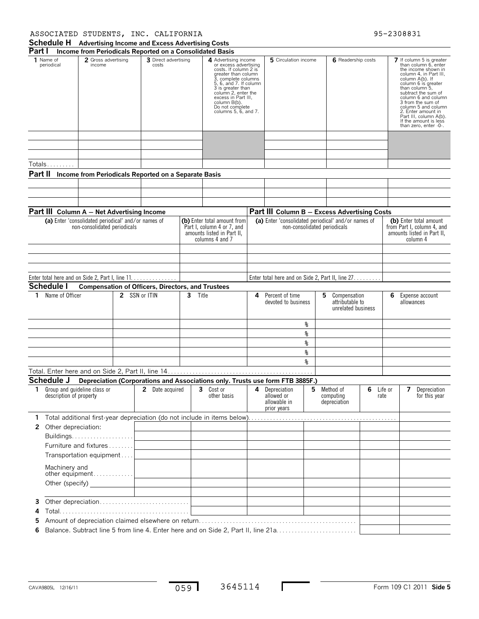### ASSOCIATED STUDENTS, INC. CALIFORNIA 95-2308831

| Part I  |                                                         |                               |               | Income from Periodicals Reported on a Consolidated Basis |         |                                                                                                                                                                                                                                                                              |   |                                                           |    |                                                         |           |         |                                                                                                                                                                                                                                                                                                                                                           |
|---------|---------------------------------------------------------|-------------------------------|---------------|----------------------------------------------------------|---------|------------------------------------------------------------------------------------------------------------------------------------------------------------------------------------------------------------------------------------------------------------------------------|---|-----------------------------------------------------------|----|---------------------------------------------------------|-----------|---------|-----------------------------------------------------------------------------------------------------------------------------------------------------------------------------------------------------------------------------------------------------------------------------------------------------------------------------------------------------------|
|         | 1 Name of<br>periodical                                 | 2 Gross advertising<br>income |               | 3 Direct advertising<br>costs                            |         | 4 Advertising income<br>or excess advertising<br>costs. If column 2 is<br>greater than column<br>3, complete columns<br>5, 6, and 7. If column<br>3 is greater than<br>column 2, enter the<br>excess in Part III,<br>column B(b).<br>Do not complete<br>columns 5, 6, and 7. |   | 5 Circulation income                                      |    | 6 Readership costs                                      |           |         | 7 If column 5 is greater<br>than column 6, enter<br>the income shown in<br>column 4. in Part III.<br>column A(b). If<br>column 6 is greater<br>than column 5,<br>subtract the sum of<br>column 6 and column<br>3 from the sum of<br>column 5 and column<br>2. Enter amount in<br>Part III, column A(b).<br>If the amount is less<br>than zero, enter -0-. |
|         |                                                         |                               |               |                                                          |         |                                                                                                                                                                                                                                                                              |   |                                                           |    |                                                         |           |         |                                                                                                                                                                                                                                                                                                                                                           |
|         | Totals                                                  |                               |               |                                                          |         |                                                                                                                                                                                                                                                                              |   |                                                           |    |                                                         |           |         |                                                                                                                                                                                                                                                                                                                                                           |
| Part II |                                                         |                               |               | Income from Periodicals Reported on a Separate Basis     |         |                                                                                                                                                                                                                                                                              |   |                                                           |    |                                                         |           |         |                                                                                                                                                                                                                                                                                                                                                           |
|         |                                                         |                               |               |                                                          |         |                                                                                                                                                                                                                                                                              |   |                                                           |    |                                                         |           |         |                                                                                                                                                                                                                                                                                                                                                           |
|         |                                                         |                               |               |                                                          |         |                                                                                                                                                                                                                                                                              |   |                                                           |    |                                                         |           |         |                                                                                                                                                                                                                                                                                                                                                           |
|         |                                                         |                               |               |                                                          |         |                                                                                                                                                                                                                                                                              |   |                                                           |    |                                                         |           |         |                                                                                                                                                                                                                                                                                                                                                           |
|         | Part III Column A - Net Advertising Income              |                               |               |                                                          |         |                                                                                                                                                                                                                                                                              |   | Part III Column B - Excess Advertising Costs              |    |                                                         |           |         |                                                                                                                                                                                                                                                                                                                                                           |
|         | (a) Enter 'consolidated periodical' and/or names of     | non-consolidated periodicals  |               |                                                          |         | (b) Enter total amount from<br>Part I, column 4 or 7, and<br>amounts listed in Part II.<br>columns 4 and 7                                                                                                                                                                   |   | (a) Enter 'consolidated periodical' and/or names of       |    | non-consolidated periodicals                            |           |         | (b) Enter total amount<br>from Part I, column 4, and<br>amounts listed in Part II,<br>column 4                                                                                                                                                                                                                                                            |
|         |                                                         |                               |               |                                                          |         |                                                                                                                                                                                                                                                                              |   |                                                           |    |                                                         |           |         |                                                                                                                                                                                                                                                                                                                                                           |
|         |                                                         |                               |               |                                                          |         |                                                                                                                                                                                                                                                                              |   |                                                           |    |                                                         |           |         |                                                                                                                                                                                                                                                                                                                                                           |
|         |                                                         |                               |               |                                                          |         |                                                                                                                                                                                                                                                                              |   |                                                           |    |                                                         |           |         |                                                                                                                                                                                                                                                                                                                                                           |
|         |                                                         |                               |               | Enter total here and on Side 2, Part I, line 11.         |         |                                                                                                                                                                                                                                                                              |   | Enter total here and on Side 2, Part II, line 27.         |    |                                                         |           |         |                                                                                                                                                                                                                                                                                                                                                           |
|         | Schedule I                                              |                               |               | <b>Compensation of Officers, Directors, and Trustees</b> |         |                                                                                                                                                                                                                                                                              |   |                                                           |    |                                                         |           |         |                                                                                                                                                                                                                                                                                                                                                           |
|         | 1 Name of Officer                                       |                               | 2 SSN or ITIN |                                                          | 3 Title |                                                                                                                                                                                                                                                                              | 4 | Percent of time<br>devoted to business                    |    | 5 Compensation<br>attributable to<br>unrelated business |           | 6.      | Expense account<br>allowances                                                                                                                                                                                                                                                                                                                             |
|         |                                                         |                               |               |                                                          |         |                                                                                                                                                                                                                                                                              |   |                                                           | နွ |                                                         |           |         |                                                                                                                                                                                                                                                                                                                                                           |
|         |                                                         |                               |               |                                                          |         |                                                                                                                                                                                                                                                                              |   |                                                           | နွ |                                                         |           |         |                                                                                                                                                                                                                                                                                                                                                           |
|         |                                                         |                               |               |                                                          |         |                                                                                                                                                                                                                                                                              |   |                                                           | ጜ  |                                                         |           |         |                                                                                                                                                                                                                                                                                                                                                           |
|         |                                                         |                               |               |                                                          |         |                                                                                                                                                                                                                                                                              |   |                                                           | g  |                                                         |           |         |                                                                                                                                                                                                                                                                                                                                                           |
|         |                                                         |                               |               |                                                          |         |                                                                                                                                                                                                                                                                              |   |                                                           | 옹. |                                                         |           |         |                                                                                                                                                                                                                                                                                                                                                           |
|         |                                                         |                               |               |                                                          |         |                                                                                                                                                                                                                                                                              |   |                                                           |    |                                                         |           |         |                                                                                                                                                                                                                                                                                                                                                           |
|         | Schedule J                                              |                               |               |                                                          |         | Depreciation (Corporations and Associations only. Trusts use form FTB 3885F.)                                                                                                                                                                                                |   |                                                           |    |                                                         |           |         |                                                                                                                                                                                                                                                                                                                                                           |
| 1.      | Group and quideline class or<br>description of property |                               |               | <b>2</b> Date acquired                                   |         | 3 Cost or<br>other basis                                                                                                                                                                                                                                                     | 4 | Depreciation<br>allowed or<br>allowable in<br>prior years | 5  | Method of<br>computing<br>depreciation                  | 6<br>rate | Life or | 7<br>Depreciation<br>for this year                                                                                                                                                                                                                                                                                                                        |
| 1.      |                                                         |                               |               |                                                          |         |                                                                                                                                                                                                                                                                              |   |                                                           |    |                                                         |           |         |                                                                                                                                                                                                                                                                                                                                                           |
|         | 2 Other depreciation:                                   |                               |               |                                                          |         |                                                                                                                                                                                                                                                                              |   |                                                           |    |                                                         |           |         |                                                                                                                                                                                                                                                                                                                                                           |
|         |                                                         |                               |               |                                                          |         |                                                                                                                                                                                                                                                                              |   |                                                           |    |                                                         |           |         |                                                                                                                                                                                                                                                                                                                                                           |
|         | Furniture and fixtures                                  |                               |               |                                                          |         |                                                                                                                                                                                                                                                                              |   |                                                           |    |                                                         |           |         |                                                                                                                                                                                                                                                                                                                                                           |
|         | Transportation equipment                                |                               |               |                                                          |         |                                                                                                                                                                                                                                                                              |   |                                                           |    |                                                         |           |         |                                                                                                                                                                                                                                                                                                                                                           |
|         | Machinery and                                           | other equipment               |               |                                                          |         |                                                                                                                                                                                                                                                                              |   |                                                           |    |                                                         |           |         |                                                                                                                                                                                                                                                                                                                                                           |
|         |                                                         |                               |               |                                                          |         |                                                                                                                                                                                                                                                                              |   |                                                           |    |                                                         |           |         |                                                                                                                                                                                                                                                                                                                                                           |
|         |                                                         |                               |               |                                                          |         |                                                                                                                                                                                                                                                                              |   |                                                           |    |                                                         |           |         |                                                                                                                                                                                                                                                                                                                                                           |
| 3       |                                                         |                               |               |                                                          |         |                                                                                                                                                                                                                                                                              |   |                                                           |    |                                                         |           |         |                                                                                                                                                                                                                                                                                                                                                           |
| 4       |                                                         |                               |               |                                                          |         |                                                                                                                                                                                                                                                                              |   |                                                           |    |                                                         |           |         |                                                                                                                                                                                                                                                                                                                                                           |
| 5       |                                                         |                               |               |                                                          |         |                                                                                                                                                                                                                                                                              |   |                                                           |    |                                                         |           |         |                                                                                                                                                                                                                                                                                                                                                           |
| 6       |                                                         |                               |               |                                                          |         |                                                                                                                                                                                                                                                                              |   |                                                           |    |                                                         |           |         |                                                                                                                                                                                                                                                                                                                                                           |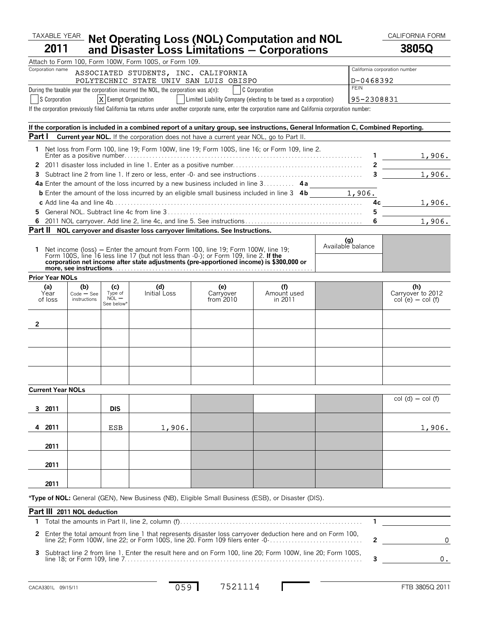### $\frac{TAXABLE}{YEAR}$  Not Operating Loss (NOL) Computation and NOL CALIFORNIA FORM **2011 Net Operating Loss (NOL) Computation and NOL and Disaster Loss Limitations** ' **Corporations 3805Q**

|         |                          |                             |                         | Attach to Form 100, Form 100W, Form 100S, or Form 109.                                                                                                                   |                                                                   |                    |                          |                          |                               |
|---------|--------------------------|-----------------------------|-------------------------|--------------------------------------------------------------------------------------------------------------------------------------------------------------------------|-------------------------------------------------------------------|--------------------|--------------------------|--------------------------|-------------------------------|
|         | Corporation name         |                             |                         | ASSOCIATED STUDENTS, INC. CALIFORNIA                                                                                                                                     |                                                                   |                    |                          |                          | California corporation number |
|         |                          |                             |                         | POLYTECHNIC STATE UNIV SAN LUIS OBISPO                                                                                                                                   |                                                                   |                    |                          | D-0468392<br><b>FEIN</b> |                               |
|         |                          |                             |                         | During the taxable year the corporation incurred the NOL, the corporation was a(n):                                                                                      |                                                                   | C Corporation      |                          |                          |                               |
|         | S Corporation            |                             | $X$ Exempt Organization |                                                                                                                                                                          | Limited Liability Company (electing to be taxed as a corporation) |                    |                          | 95-2308831               |                               |
|         |                          |                             |                         | If the corporation previously filed California tax returns under another corporate name, enter the corporation name and California corporation number:                   |                                                                   |                    |                          |                          |                               |
|         |                          |                             |                         | If the corporation is included in a combined report of a unitary group, see instructions, General Information C, Combined Reporting.                                     |                                                                   |                    |                          |                          |                               |
| Part I  |                          |                             |                         | <b>Current year NOL.</b> If the corporation does not have a current year NOL, go to Part II.                                                                             |                                                                   |                    |                          |                          |                               |
|         |                          |                             |                         | 1 Net loss from Form 100, line 19; Form 100W, line 19; Form 100S, line 16; or Form 109, line 2.                                                                          |                                                                   |                    |                          |                          |                               |
|         |                          |                             |                         |                                                                                                                                                                          |                                                                   |                    |                          |                          | 1,906.                        |
| 3       |                          |                             |                         |                                                                                                                                                                          |                                                                   |                    |                          |                          | 1,906.                        |
|         |                          |                             |                         | 4a Enter the amount of the loss incurred by a new business included in line 3 4a                                                                                         |                                                                   |                    |                          |                          |                               |
|         |                          |                             |                         |                                                                                                                                                                          |                                                                   |                    |                          |                          |                               |
|         |                          |                             |                         |                                                                                                                                                                          |                                                                   |                    |                          |                          | 1,906.                        |
| 5.      |                          |                             |                         |                                                                                                                                                                          |                                                                   |                    |                          | 5.                       |                               |
| 6       |                          |                             |                         |                                                                                                                                                                          |                                                                   |                    |                          | 6                        | 1,906.                        |
| Part II |                          |                             |                         | NOL carryover and disaster loss carryover limitations. See Instructions.                                                                                                 |                                                                   |                    |                          |                          |                               |
|         |                          |                             |                         |                                                                                                                                                                          |                                                                   |                    | (g)<br>Available balance |                          |                               |
| 1.      |                          |                             |                         | Net income (loss) – Enter the amount from Form 100, line 19; Form 100W, line 19;<br>Form 100S, line 16 less line 17 (but not less than -0-); or Form 109, line 2. If the |                                                                   |                    |                          |                          |                               |
|         |                          |                             |                         | corporation net income after state adjustments (pre-apportioned income) is \$300,000 or                                                                                  |                                                                   |                    |                          |                          |                               |
|         |                          |                             |                         |                                                                                                                                                                          |                                                                   |                    |                          |                          |                               |
|         | <b>Prior Year NOLs</b>   |                             |                         |                                                                                                                                                                          |                                                                   |                    |                          |                          |                               |
|         | (a)<br>Year              | (b)<br>$Code - See$         | (c)<br>Type of          | (d)<br>Initial Loss                                                                                                                                                      | (e)<br>Carryover                                                  | (f)<br>Amount used |                          |                          | (h)<br>Carryover to 2012      |
|         | of loss                  | instructions                | $NOL$ $-$<br>See below* |                                                                                                                                                                          | from 2010                                                         | in 2011            |                          |                          | $col(e) - col(f)$             |
|         |                          |                             |                         |                                                                                                                                                                          |                                                                   |                    |                          |                          |                               |
| 2       |                          |                             |                         |                                                                                                                                                                          |                                                                   |                    |                          |                          |                               |
|         |                          |                             |                         |                                                                                                                                                                          |                                                                   |                    |                          |                          |                               |
|         |                          |                             |                         |                                                                                                                                                                          |                                                                   |                    |                          |                          |                               |
|         |                          |                             |                         |                                                                                                                                                                          |                                                                   |                    |                          |                          |                               |
|         |                          |                             |                         |                                                                                                                                                                          |                                                                   |                    |                          |                          |                               |
|         |                          |                             |                         |                                                                                                                                                                          |                                                                   |                    |                          |                          |                               |
|         |                          |                             |                         |                                                                                                                                                                          |                                                                   |                    |                          |                          |                               |
|         | <b>Current Year NOLs</b> |                             |                         |                                                                                                                                                                          |                                                                   |                    |                          |                          |                               |
| 3       | 2011                     |                             | <b>DIS</b>              |                                                                                                                                                                          |                                                                   |                    |                          |                          | $col(d) - col(f)$             |
|         |                          |                             |                         |                                                                                                                                                                          |                                                                   |                    |                          |                          |                               |
| 4       | 2011                     |                             | <b>ESB</b>              | 1,906.                                                                                                                                                                   |                                                                   |                    |                          |                          | 1,906.                        |
|         |                          |                             |                         |                                                                                                                                                                          |                                                                   |                    |                          |                          |                               |
|         | 2011                     |                             |                         |                                                                                                                                                                          |                                                                   |                    |                          |                          |                               |
|         |                          |                             |                         |                                                                                                                                                                          |                                                                   |                    |                          |                          |                               |
|         | 2011                     |                             |                         |                                                                                                                                                                          |                                                                   |                    |                          |                          |                               |
|         |                          |                             |                         |                                                                                                                                                                          |                                                                   |                    |                          |                          |                               |
|         | 2011                     |                             |                         |                                                                                                                                                                          |                                                                   |                    |                          |                          |                               |
|         |                          |                             |                         | *Type of NOL: General (GEN), New Business (NB), Eligible Small Business (ESB), or Disaster (DIS).                                                                        |                                                                   |                    |                          |                          |                               |
|         |                          | Part III 2011 NOL deduction |                         |                                                                                                                                                                          |                                                                   |                    |                          |                          |                               |
| 1.      |                          |                             |                         |                                                                                                                                                                          |                                                                   |                    |                          | 1                        |                               |
|         |                          |                             |                         | Enter the total amount from line 1 that represents disaster loss carryover deduction here and on Form 100,                                                               |                                                                   |                    |                          |                          |                               |
| 2       |                          |                             |                         | line 22; Form 100W, line 22; or Form 100S, line 20. Form 109 filers enter -0-                                                                                            |                                                                   |                    |                          | 2                        | 0                             |
| 3       |                          |                             |                         | Subtract line 2 from line 1. Enter the result here and on Form 100, line 20; Form 100W, line 20; Form 100S,                                                              |                                                                   |                    |                          | 3                        | 0.                            |